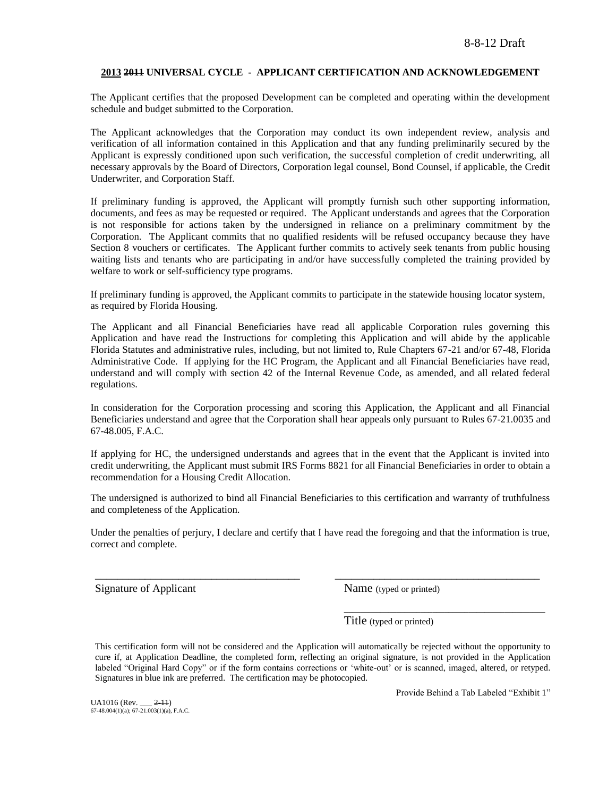#### **2013 2011 UNIVERSAL CYCLE - APPLICANT CERTIFICATION AND ACKNOWLEDGEMENT**

The Applicant certifies that the proposed Development can be completed and operating within the development schedule and budget submitted to the Corporation.

The Applicant acknowledges that the Corporation may conduct its own independent review, analysis and verification of all information contained in this Application and that any funding preliminarily secured by the Applicant is expressly conditioned upon such verification, the successful completion of credit underwriting, all necessary approvals by the Board of Directors, Corporation legal counsel, Bond Counsel, if applicable, the Credit Underwriter, and Corporation Staff.

If preliminary funding is approved, the Applicant will promptly furnish such other supporting information, documents, and fees as may be requested or required. The Applicant understands and agrees that the Corporation is not responsible for actions taken by the undersigned in reliance on a preliminary commitment by the Corporation. The Applicant commits that no qualified residents will be refused occupancy because they have Section 8 vouchers or certificates. The Applicant further commits to actively seek tenants from public housing waiting lists and tenants who are participating in and/or have successfully completed the training provided by welfare to work or self-sufficiency type programs.

If preliminary funding is approved, the Applicant commits to participate in the statewide housing locator system, as required by Florida Housing.

The Applicant and all Financial Beneficiaries have read all applicable Corporation rules governing this Application and have read the Instructions for completing this Application and will abide by the applicable Florida Statutes and administrative rules, including, but not limited to, Rule Chapters 67-21 and/or 67-48, Florida Administrative Code. If applying for the HC Program, the Applicant and all Financial Beneficiaries have read, understand and will comply with section 42 of the Internal Revenue Code, as amended, and all related federal regulations.

In consideration for the Corporation processing and scoring this Application, the Applicant and all Financial Beneficiaries understand and agree that the Corporation shall hear appeals only pursuant to Rules 67-21.0035 and 67-48.005, F.A.C.

If applying for HC, the undersigned understands and agrees that in the event that the Applicant is invited into credit underwriting, the Applicant must submit IRS Forms 8821 for all Financial Beneficiaries in order to obtain a recommendation for a Housing Credit Allocation.

The undersigned is authorized to bind all Financial Beneficiaries to this certification and warranty of truthfulness and completeness of the Application.

Under the penalties of perjury, I declare and certify that I have read the foregoing and that the information is true, correct and complete.

\_\_\_\_\_\_\_\_\_\_\_\_\_\_\_\_\_\_\_\_\_\_\_\_\_\_\_\_\_\_\_\_\_\_\_\_\_ \_\_\_\_\_\_\_\_\_\_\_\_\_\_\_\_\_\_\_\_\_\_\_\_\_\_\_\_\_\_\_\_\_\_\_\_\_

Signature of Applicant Name (typed or printed)

Title (typed or printed)

This certification form will not be considered and the Application will automatically be rejected without the opportunity to cure if, at Application Deadline, the completed form, reflecting an original signature, is not provided in the Application labeled "Original Hard Copy" or if the form contains corrections or 'white-out' or is scanned, imaged, altered, or retyped. Signatures in blue ink are preferred. The certification may be photocopied.

UA1016 (Rev. \_\_\_ 2-11) 67-48.004(1)(a); 67-21.003(1)(a), F.A.C. Provide Behind a Tab Labeled "Exhibit 1"

\_\_\_\_\_\_\_\_\_\_\_\_\_\_\_\_\_\_\_\_\_\_\_\_\_\_\_\_\_\_\_\_\_\_\_\_\_\_\_\_\_\_\_\_\_\_\_\_\_\_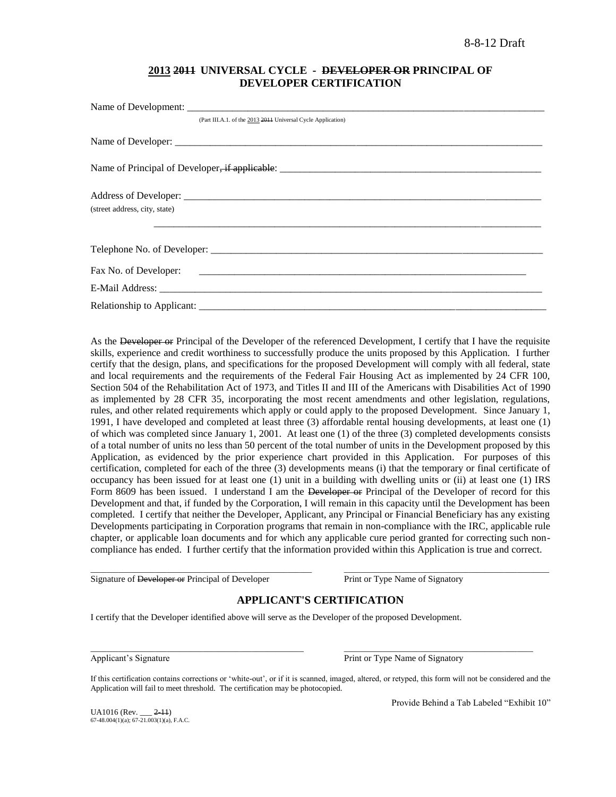## **2013 2011 UNIVERSAL CYCLE - DEVELOPER OR PRINCIPAL OF DEVELOPER CERTIFICATION**

| (Part III.A.1. of the 2013 2014 Universal Cycle Application) |
|--------------------------------------------------------------|
|                                                              |
|                                                              |
|                                                              |
| (street address, city, state)                                |
|                                                              |
|                                                              |
|                                                              |
|                                                              |
|                                                              |

As the Developer or Principal of the Developer of the referenced Development, I certify that I have the requisite skills, experience and credit worthiness to successfully produce the units proposed by this Application. I further certify that the design, plans, and specifications for the proposed Development will comply with all federal, state and local requirements and the requirements of the Federal Fair Housing Act as implemented by 24 CFR 100, Section 504 of the Rehabilitation Act of 1973, and Titles II and III of the Americans with Disabilities Act of 1990 as implemented by 28 CFR 35, incorporating the most recent amendments and other legislation, regulations, rules, and other related requirements which apply or could apply to the proposed Development. Since January 1, 1991, I have developed and completed at least three (3) affordable rental housing developments, at least one (1) of which was completed since January 1, 2001. At least one (1) of the three (3) completed developments consists of a total number of units no less than 50 percent of the total number of units in the Development proposed by this Application, as evidenced by the prior experience chart provided in this Application. For purposes of this certification, completed for each of the three (3) developments means (i) that the temporary or final certificate of occupancy has been issued for at least one (1) unit in a building with dwelling units or (ii) at least one (1) IRS Form 8609 has been issued. I understand I am the Developer or Principal of the Developer of record for this Development and that, if funded by the Corporation, I will remain in this capacity until the Development has been completed. I certify that neither the Developer, Applicant, any Principal or Financial Beneficiary has any existing Developments participating in Corporation programs that remain in non-compliance with the IRC, applicable rule chapter, or applicable loan documents and for which any applicable cure period granted for correcting such noncompliance has ended. I further certify that the information provided within this Application is true and correct.

Signature of Developer or Principal of Developer Print or Type Name of Signatory

# **APPLICANT'S CERTIFICATION**

\_\_\_\_\_\_\_\_\_\_\_\_\_\_\_\_\_\_\_\_\_\_\_\_\_\_\_\_\_\_\_\_\_\_\_\_\_\_\_\_\_\_\_\_\_\_\_\_\_\_\_\_\_\_\_ \_\_\_\_\_\_\_\_\_\_\_\_\_\_\_\_\_\_\_\_\_\_\_\_\_\_\_\_\_\_\_\_\_\_\_\_\_\_\_\_\_\_\_\_\_\_\_\_\_\_\_

I certify that the Developer identified above will serve as the Developer of the proposed Development.

 $\_$  , and the state of the state of the state of the state of the state of the state of the state of the state of the state of the state of the state of the state of the state of the state of the state of the state of the Applicant's Signature **Print or Type Name of Signatory** Print or Type Name of Signatory

If this certification contains corrections or 'white-out', or if it is scanned, imaged, altered, or retyped, this form will not be considered and the Application will fail to meet threshold. The certification may be photocopied.

 $UA1016$  (Rev.  $2-11$ ) 67-48.004(1)(a); 67-21.003(1)(a), F.A.C. Provide Behind a Tab Labeled "Exhibit 10"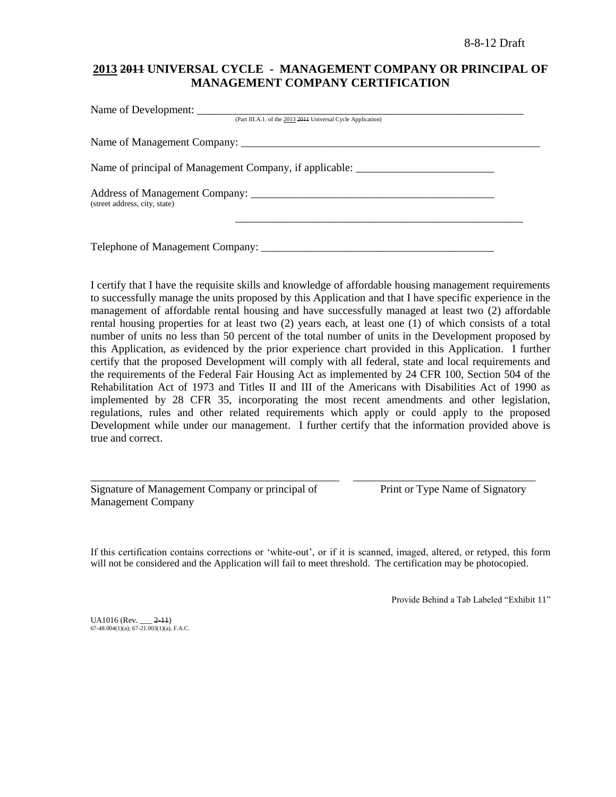# **2013 2011 UNIVERSAL CYCLE - MANAGEMENT COMPANY OR PRINCIPAL OF MANAGEMENT COMPANY CERTIFICATION**

| (Part III.A.1. of the 2013 2014 Universal Cycle Application)                      |  |
|-----------------------------------------------------------------------------------|--|
|                                                                                   |  |
| Name of principal of Management Company, if applicable: _________________________ |  |
| (street address, city, state)                                                     |  |
| Telephone of Management Company:                                                  |  |

I certify that I have the requisite skills and knowledge of affordable housing management requirements to successfully manage the units proposed by this Application and that I have specific experience in the management of affordable rental housing and have successfully managed at least two (2) affordable rental housing properties for at least two (2) years each, at least one (1) of which consists of a total number of units no less than 50 percent of the total number of units in the Development proposed by this Application, as evidenced by the prior experience chart provided in this Application. I further certify that the proposed Development will comply with all federal, state and local requirements and the requirements of the Federal Fair Housing Act as implemented by 24 CFR 100, Section 504 of the Rehabilitation Act of 1973 and Titles II and III of the Americans with Disabilities Act of 1990 as implemented by 28 CFR 35, incorporating the most recent amendments and other legislation, regulations, rules and other related requirements which apply or could apply to the proposed Development while under our management. I further certify that the information provided above is true and correct.

| Signature of Management Company or principal of |  |  |
|-------------------------------------------------|--|--|
| <b>Management Company</b>                       |  |  |

Print or Type Name of Signatory

If this certification contains corrections or "white-out", or if it is scanned, imaged, altered, or retyped, this form will not be considered and the Application will fail to meet threshold. The certification may be photocopied.

\_\_\_\_\_\_\_\_\_\_\_\_\_\_\_\_\_\_\_\_\_\_\_\_\_\_\_\_\_\_\_\_\_\_\_\_\_\_\_\_\_\_\_\_\_ \_\_\_\_\_\_\_\_\_\_\_\_\_\_\_\_\_\_\_\_\_\_\_\_\_\_\_\_\_\_\_\_\_

Provide Behind a Tab Labeled "Exhibit 11"

 $UA1016$  (Rev.  $2-11$ )  $67-48.004(1)(a)$ ;  $67-21.003(1)(a)$ , F.A.C.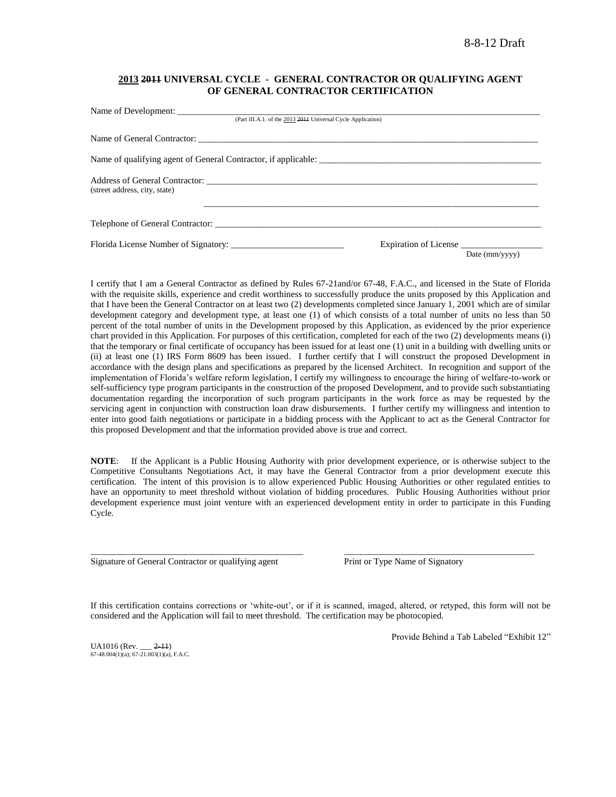### **2013 2011 UNIVERSAL CYCLE - GENERAL CONTRACTOR OR QUALIFYING AGENT OF GENERAL CONTRACTOR CERTIFICATION**

| (Part III.A.1. of the 2013 2014 Universal Cycle Application) |                       |                         |
|--------------------------------------------------------------|-----------------------|-------------------------|
|                                                              |                       |                         |
|                                                              |                       |                         |
| (street address, city, state)                                |                       |                         |
| Telephone of General Contractor:                             |                       |                         |
|                                                              | Expiration of License |                         |
|                                                              |                       | Date $\text{(mm/vyyy)}$ |

I certify that I am a General Contractor as defined by Rules 67-21and/or 67-48, F.A.C., and licensed in the State of Florida with the requisite skills, experience and credit worthiness to successfully produce the units proposed by this Application and that I have been the General Contractor on at least two (2) developments completed since January 1, 2001 which are of similar development category and development type, at least one (1) of which consists of a total number of units no less than 50 percent of the total number of units in the Development proposed by this Application, as evidenced by the prior experience chart provided in this Application. For purposes of this certification, completed for each of the two (2) developments means (i) that the temporary or final certificate of occupancy has been issued for at least one (1) unit in a building with dwelling units or (ii) at least one (1) IRS Form 8609 has been issued. I further certify that I will construct the proposed Development in accordance with the design plans and specifications as prepared by the licensed Architect. In recognition and support of the implementation of Florida"s welfare reform legislation, I certify my willingness to encourage the hiring of welfare-to-work or self-sufficiency type program participants in the construction of the proposed Development, and to provide such substantiating documentation regarding the incorporation of such program participants in the work force as may be requested by the servicing agent in conjunction with construction loan draw disbursements. I further certify my willingness and intention to enter into good faith negotiations or participate in a bidding process with the Applicant to act as the General Contractor for this proposed Development and that the information provided above is true and correct.

**NOTE**: If the Applicant is a Public Housing Authority with prior development experience, or is otherwise subject to the Competitive Consultants Negotiations Act, it may have the General Contractor from a prior development execute this certification. The intent of this provision is to allow experienced Public Housing Authorities or other regulated entities to have an opportunity to meet threshold without violation of bidding procedures. Public Housing Authorities without prior development experience must joint venture with an experienced development entity in order to participate in this Funding Cycle.

Signature of General Contractor or qualifying agent Print or Type Name of Signatory

If this certification contains corrections or 'white-out', or if it is scanned, imaged, altered, or retyped, this form will not be considered and the Application will fail to meet threshold. The certification may be photocopied.

\_\_\_\_\_\_\_\_\_\_\_\_\_\_\_\_\_\_\_\_\_\_\_\_\_\_\_\_\_\_\_\_\_\_\_\_\_\_\_\_\_\_\_\_\_\_\_ \_\_\_\_\_\_\_\_\_\_\_\_\_\_\_\_\_\_\_\_\_\_\_\_\_\_\_\_\_\_\_\_\_\_\_\_\_\_\_\_\_\_

 $UA1016$  (Rev.  $2-11$ )  $67-48.004(1)(a)$ ;  $67-21.003(1)(a)$ , F.A.C. Provide Behind a Tab Labeled "Exhibit 12"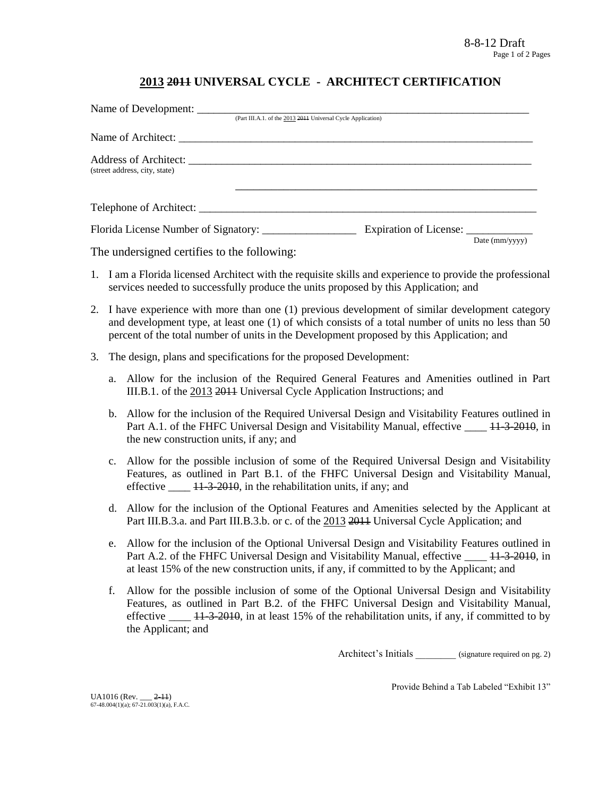# **2013 2011 UNIVERSAL CYCLE - ARCHITECT CERTIFICATION**

| Name of Development:                 |                                                              |                |
|--------------------------------------|--------------------------------------------------------------|----------------|
|                                      | (Part III.A.1. of the 2013 2014 Universal Cycle Application) |                |
|                                      |                                                              |                |
| (street address, city, state)        |                                                              |                |
|                                      |                                                              |                |
| Florida License Number of Signatory: |                                                              | Date (mm/yyyy) |

The undersigned certifies to the following:

- 1. I am a Florida licensed Architect with the requisite skills and experience to provide the professional services needed to successfully produce the units proposed by this Application; and
- 2. I have experience with more than one (1) previous development of similar development category and development type, at least one (1) of which consists of a total number of units no less than 50 percent of the total number of units in the Development proposed by this Application; and
- 3. The design, plans and specifications for the proposed Development:
	- a. Allow for the inclusion of the Required General Features and Amenities outlined in Part III.B.1. of the 2013 2011 Universal Cycle Application Instructions; and
	- b. Allow for the inclusion of the Required Universal Design and Visitability Features outlined in Part A.1. of the FHFC Universal Design and Visitability Manual, effective \_\_\_\_ 11-3-2010, in the new construction units, if any; and
	- c. Allow for the possible inclusion of some of the Required Universal Design and Visitability Features, as outlined in Part B.1. of the FHFC Universal Design and Visitability Manual, effective \_\_\_\_ 11-3-2010, in the rehabilitation units, if any; and
	- d. Allow for the inclusion of the Optional Features and Amenities selected by the Applicant at Part III.B.3.a. and Part III.B.3.b. or c. of the 2013 2014 Universal Cycle Application; and
	- e. Allow for the inclusion of the Optional Universal Design and Visitability Features outlined in Part A.2. of the FHFC Universal Design and Visitability Manual, effective \_\_\_\_ 11-3-2010, in at least 15% of the new construction units, if any, if committed to by the Applicant; and
	- f. Allow for the possible inclusion of some of the Optional Universal Design and Visitability Features, as outlined in Part B.2. of the FHFC Universal Design and Visitability Manual, effective  $\frac{11-3-2010}{11}$ , in at least 15% of the rehabilitation units, if any, if committed to by the Applicant; and

Architect's Initials (signature required on pg. 2)

Provide Behind a Tab Labeled "Exhibit 13"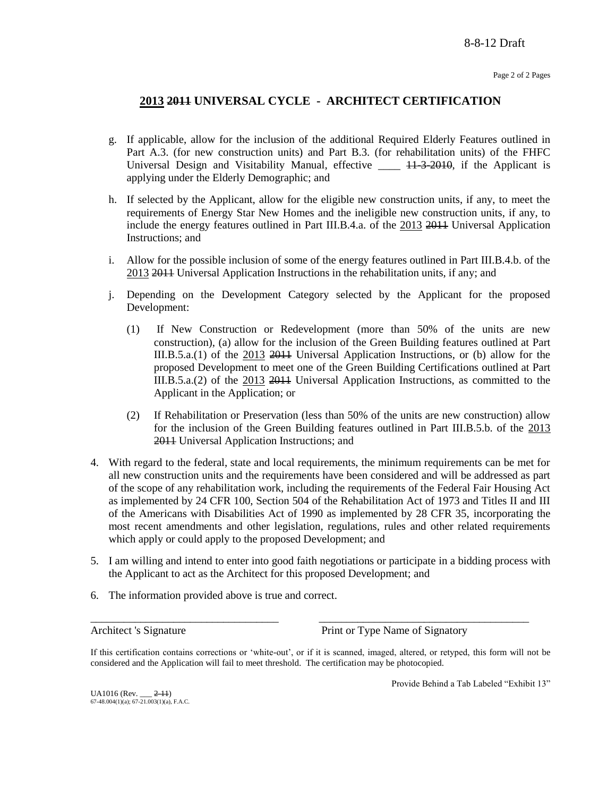# **2013 2011 UNIVERSAL CYCLE - ARCHITECT CERTIFICATION**

- g. If applicable, allow for the inclusion of the additional Required Elderly Features outlined in Part A.3. (for new construction units) and Part B.3. (for rehabilitation units) of the FHFC Universal Design and Visitability Manual, effective \_\_\_\_ 11-3-2010, if the Applicant is applying under the Elderly Demographic; and
- h. If selected by the Applicant, allow for the eligible new construction units, if any, to meet the requirements of Energy Star New Homes and the ineligible new construction units, if any, to include the energy features outlined in Part III.B.4.a. of the 2013 2011 Universal Application Instructions; and
- i. Allow for the possible inclusion of some of the energy features outlined in Part III.B.4.b. of the 2013 2011 Universal Application Instructions in the rehabilitation units, if any; and
- j. Depending on the Development Category selected by the Applicant for the proposed Development:
	- (1) If New Construction or Redevelopment (more than 50% of the units are new construction), (a) allow for the inclusion of the Green Building features outlined at Part III.B.5.a.(1) of the 2013 2011 Universal Application Instructions, or (b) allow for the proposed Development to meet one of the Green Building Certifications outlined at Part III.B.5.a.(2) of the 2013 2014 Universal Application Instructions, as committed to the Applicant in the Application; or
	- (2) If Rehabilitation or Preservation (less than 50% of the units are new construction) allow for the inclusion of the Green Building features outlined in Part III.B.5.b. of the 2013 2011 Universal Application Instructions; and
- 4. With regard to the federal, state and local requirements, the minimum requirements can be met for all new construction units and the requirements have been considered and will be addressed as part of the scope of any rehabilitation work, including the requirements of the Federal Fair Housing Act as implemented by 24 CFR 100, Section 504 of the Rehabilitation Act of 1973 and Titles II and III of the Americans with Disabilities Act of 1990 as implemented by 28 CFR 35, incorporating the most recent amendments and other legislation, regulations, rules and other related requirements which apply or could apply to the proposed Development; and
- 5. I am willing and intend to enter into good faith negotiations or participate in a bidding process with the Applicant to act as the Architect for this proposed Development; and
- 6. The information provided above is true and correct.

Architect 's Signature Print or Type Name of Signatory

If this certification contains corrections or "white-out", or if it is scanned, imaged, altered, or retyped, this form will not be considered and the Application will fail to meet threshold. The certification may be photocopied.

\_\_\_\_\_\_\_\_\_\_\_\_\_\_\_\_\_\_\_\_\_\_\_\_\_\_\_\_\_\_\_\_\_\_ \_\_\_\_\_\_\_\_\_\_\_\_\_\_\_\_\_\_\_\_\_\_\_\_\_\_\_\_\_\_\_\_\_\_\_\_\_\_

Provide Behind a Tab Labeled "Exhibit 13"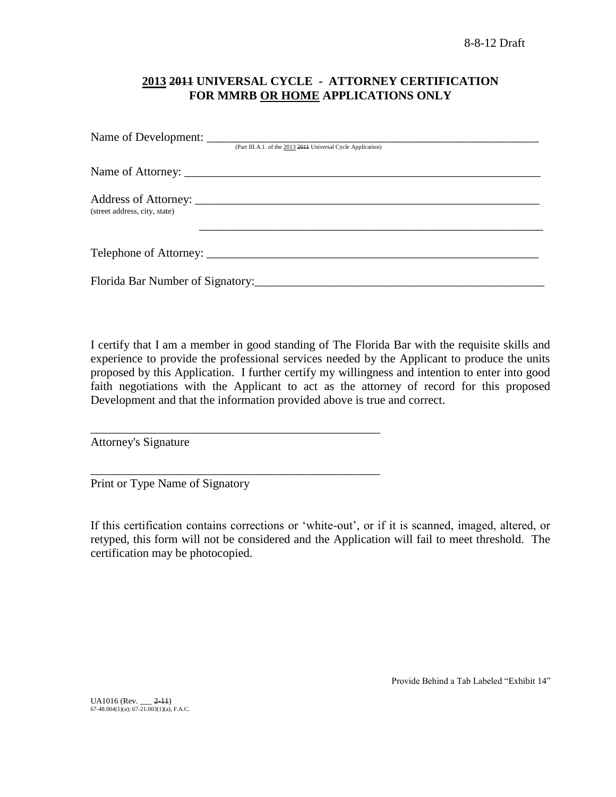# **2013 2011 UNIVERSAL CYCLE - ATTORNEY CERTIFICATION FOR MMRB OR HOME APPLICATIONS ONLY**

|                               | (Part III.A.1. of the 2013 2011 Universal Cycle Application) |
|-------------------------------|--------------------------------------------------------------|
|                               |                                                              |
| (street address, city, state) |                                                              |
|                               |                                                              |
|                               |                                                              |

I certify that I am a member in good standing of The Florida Bar with the requisite skills and experience to provide the professional services needed by the Applicant to produce the units proposed by this Application. I further certify my willingness and intention to enter into good faith negotiations with the Applicant to act as the attorney of record for this proposed Development and that the information provided above is true and correct.

Attorney's Signature

Print or Type Name of Signatory

\_\_\_\_\_\_\_\_\_\_\_\_\_\_\_\_\_\_\_\_\_\_\_\_\_\_\_\_\_\_\_\_\_\_\_\_\_\_\_\_\_\_\_\_\_\_\_\_

\_\_\_\_\_\_\_\_\_\_\_\_\_\_\_\_\_\_\_\_\_\_\_\_\_\_\_\_\_\_\_\_\_\_\_\_\_\_\_\_\_\_\_\_\_\_\_\_

If this certification contains corrections or "white-out", or if it is scanned, imaged, altered, or retyped, this form will not be considered and the Application will fail to meet threshold. The certification may be photocopied.

Provide Behind a Tab Labeled "Exhibit 14"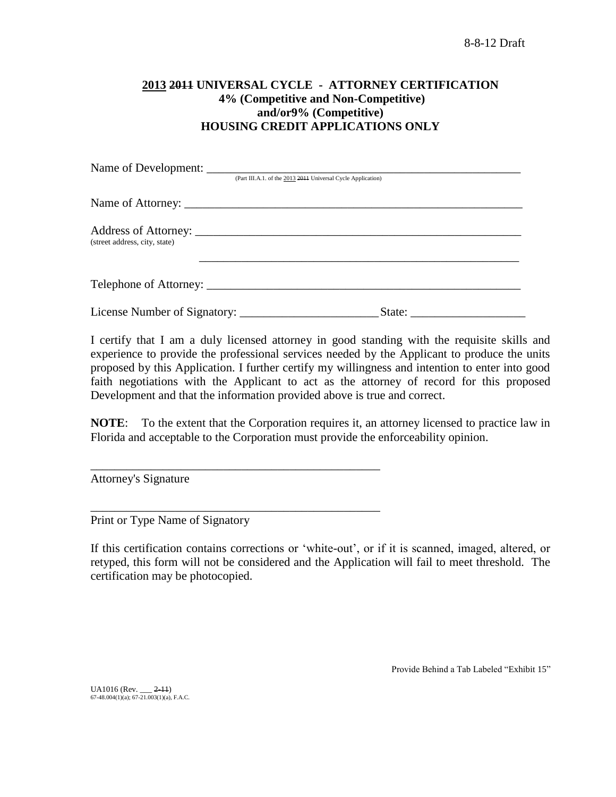# **2013 2011 UNIVERSAL CYCLE - ATTORNEY CERTIFICATION 4% (Competitive and Non-Competitive) and/or9% (Competitive) HOUSING CREDIT APPLICATIONS ONLY**

|                               | Name of Development:                                         |
|-------------------------------|--------------------------------------------------------------|
|                               | (Part III.A.1. of the 2013 2014 Universal Cycle Application) |
|                               |                                                              |
| (street address, city, state) |                                                              |
|                               |                                                              |
| License Number of Signatory:  | State:                                                       |

I certify that I am a duly licensed attorney in good standing with the requisite skills and experience to provide the professional services needed by the Applicant to produce the units proposed by this Application. I further certify my willingness and intention to enter into good faith negotiations with the Applicant to act as the attorney of record for this proposed Development and that the information provided above is true and correct.

**NOTE**: To the extent that the Corporation requires it, an attorney licensed to practice law in Florida and acceptable to the Corporation must provide the enforceability opinion.

Attorney's Signature

Print or Type Name of Signatory

\_\_\_\_\_\_\_\_\_\_\_\_\_\_\_\_\_\_\_\_\_\_\_\_\_\_\_\_\_\_\_\_\_\_\_\_\_\_\_\_\_\_\_\_\_\_\_\_

\_\_\_\_\_\_\_\_\_\_\_\_\_\_\_\_\_\_\_\_\_\_\_\_\_\_\_\_\_\_\_\_\_\_\_\_\_\_\_\_\_\_\_\_\_\_\_\_

If this certification contains corrections or "white-out", or if it is scanned, imaged, altered, or retyped, this form will not be considered and the Application will fail to meet threshold. The certification may be photocopied.

Provide Behind a Tab Labeled "Exhibit 15"

UA1016 (Rev. \_\_ 2-11) 67-48.004(1)(a); 67-21.003(1)(a), F.A.C.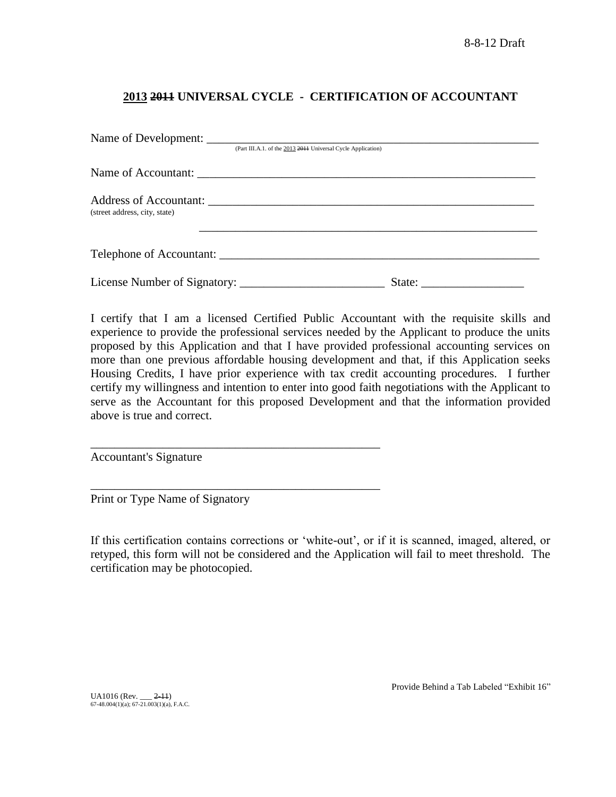# **2013 2011 UNIVERSAL CYCLE - CERTIFICATION OF ACCOUNTANT**

|                               | (Part III.A.1. of the 2013 2011 Universal Cycle Application) |                                                           |  |
|-------------------------------|--------------------------------------------------------------|-----------------------------------------------------------|--|
|                               |                                                              |                                                           |  |
| (street address, city, state) |                                                              |                                                           |  |
| Telephone of Accountant:      |                                                              |                                                           |  |
|                               |                                                              | State: $\frac{1}{\sqrt{1-\frac{1}{2}} \cdot \frac{1}{2}}$ |  |

I certify that I am a licensed Certified Public Accountant with the requisite skills and experience to provide the professional services needed by the Applicant to produce the units proposed by this Application and that I have provided professional accounting services on more than one previous affordable housing development and that, if this Application seeks Housing Credits, I have prior experience with tax credit accounting procedures. I further certify my willingness and intention to enter into good faith negotiations with the Applicant to serve as the Accountant for this proposed Development and that the information provided above is true and correct.

Accountant's Signature

Print or Type Name of Signatory

\_\_\_\_\_\_\_\_\_\_\_\_\_\_\_\_\_\_\_\_\_\_\_\_\_\_\_\_\_\_\_\_\_\_\_\_\_\_\_\_\_\_\_\_\_\_\_\_

\_\_\_\_\_\_\_\_\_\_\_\_\_\_\_\_\_\_\_\_\_\_\_\_\_\_\_\_\_\_\_\_\_\_\_\_\_\_\_\_\_\_\_\_\_\_\_\_

If this certification contains corrections or "white-out", or if it is scanned, imaged, altered, or retyped, this form will not be considered and the Application will fail to meet threshold. The certification may be photocopied.

UA1016 (Rev. \_\_\_ <del>2-11</del>)<br>67-48.004(1)(a); 67-21.003(1)(a), F.A.C.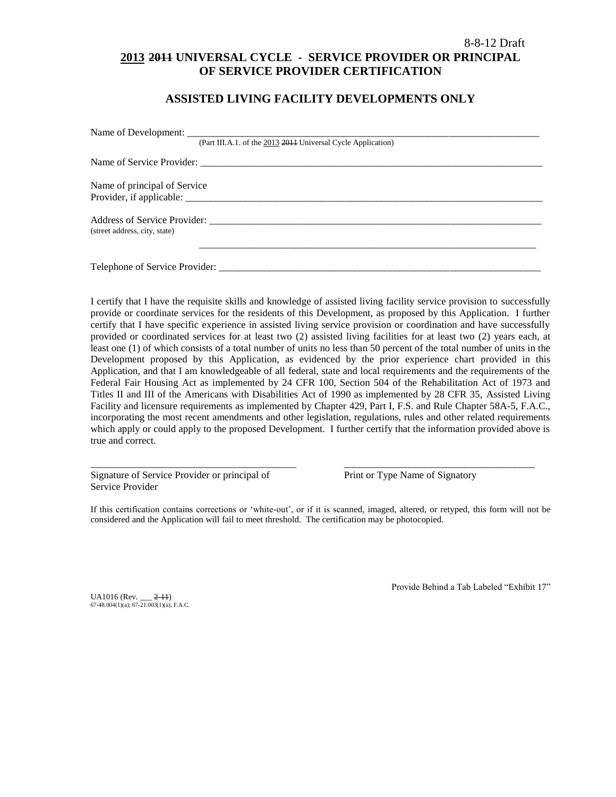# 8-8-12 Draft **2013 2011 UNIVERSAL CYCLE - SERVICE PROVIDER OR PRINCIPAL OF SERVICE PROVIDER CERTIFICATION**

## **ASSISTED LIVING FACILITY DEVELOPMENTS ONLY**

|                               | (Part III.A.1. of the 2013 2014 Universal Cycle Application) |
|-------------------------------|--------------------------------------------------------------|
|                               |                                                              |
| Name of principal of Service  |                                                              |
|                               |                                                              |
|                               | Address of Service Provider:                                 |
| (street address, city, state) |                                                              |
|                               |                                                              |
|                               | Telephone of Service Provider:                               |

I certify that I have the requisite skills and knowledge of assisted living facility service provision to successfully provide or coordinate services for the residents of this Development, as proposed by this Application. I further certify that I have specific experience in assisted living service provision or coordination and have successfully provided or coordinated services for at least two (2) assisted living facilities for at least two (2) years each, at least one (1) of which consists of a total number of units no less than 50 percent of the total number of units in the Development proposed by this Application, as evidenced by the prior experience chart provided in this Application, and that I am knowledgeable of all federal, state and local requirements and the requirements of the Federal Fair Housing Act as implemented by 24 CFR 100, Section 504 of the Rehabilitation Act of 1973 and Titles II and III of the Americans with Disabilities Act of 1990 as implemented by 28 CFR 35, Assisted Living Facility and licensure requirements as implemented by Chapter 429, Part I, F.S. and Rule Chapter 58A-5, F.A.C., incorporating the most recent amendments and other legislation, regulations, rules and other related requirements which apply or could apply to the proposed Development. I further certify that the information provided above is true and correct.

Signature of Service Provider or principal of Print or Type Name of Signatory Service Provider

If this certification contains corrections or "white-out", or if it is scanned, imaged, altered, or retyped, this form will not be considered and the Application will fail to meet threshold. The certification may be photocopied.

\_\_\_\_\_\_\_\_\_\_\_\_\_\_\_\_\_\_\_\_\_\_\_\_\_\_\_\_\_\_\_\_\_\_\_\_\_\_\_\_\_ \_\_\_\_\_\_\_\_\_\_\_\_\_\_\_\_\_\_\_\_\_\_\_\_\_\_\_\_\_\_\_\_\_\_\_\_\_\_

UA1016 (Rev. \_\_\_ 2-11) 67-48.004(1)(a); 67-21.003(1)(a), F.A.C. Provide Behind a Tab Labeled "Exhibit 17"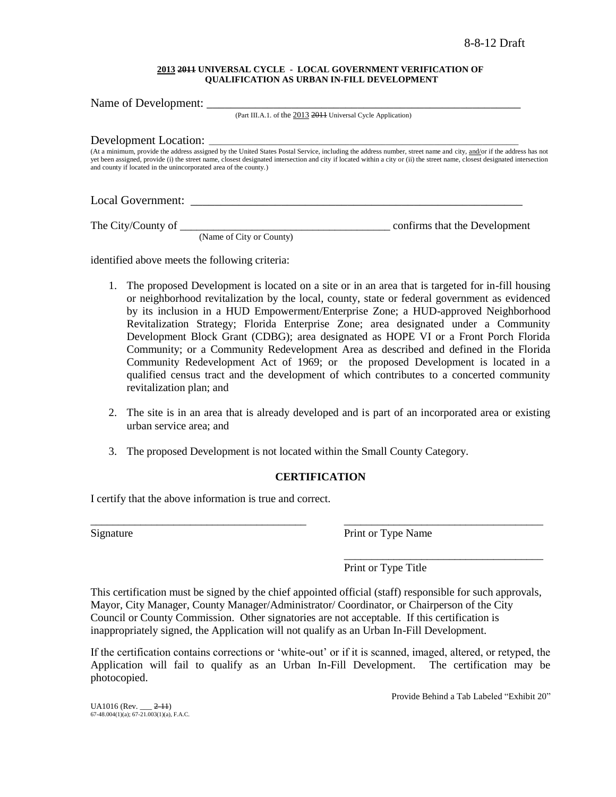#### **2013 2011 UNIVERSAL CYCLE - LOCAL GOVERNMENT VERIFICATION OF QUALIFICATION AS URBAN IN-FILL DEVELOPMENT**

Name of Development: (Part III.A.1. of the 2013 2011 Universal Cycle Application) Development Location: (At a minimum, provide the address assigned by the United States Postal Service, including the address number, street name and city, and/or if the address has not yet been assigned, provide (i) the street name, closest designated intersection and city if located within a city or (ii) the street name, closest designated intersection and county if located in the unincorporated area of the county.)

Local Government:

The City/County of \_\_\_\_\_\_\_\_\_\_\_\_\_\_\_\_\_\_\_\_\_\_\_\_\_\_\_\_\_\_\_\_\_\_\_\_\_\_ confirms that the Development

(Name of City or County)

identified above meets the following criteria:

- 1. The proposed Development is located on a site or in an area that is targeted for in-fill housing or neighborhood revitalization by the local, county, state or federal government as evidenced by its inclusion in a HUD Empowerment/Enterprise Zone; a HUD-approved Neighborhood Revitalization Strategy; Florida Enterprise Zone; area designated under a Community Development Block Grant (CDBG); area designated as HOPE VI or a Front Porch Florida Community; or a Community Redevelopment Area as described and defined in the Florida Community Redevelopment Act of 1969; or the proposed Development is located in a qualified census tract and the development of which contributes to a concerted community revitalization plan; and
- 2. The site is in an area that is already developed and is part of an incorporated area or existing urban service area; and
- 3. The proposed Development is not located within the Small County Category.

## **CERTIFICATION**

\_\_\_\_\_\_\_\_\_\_\_\_\_\_\_\_\_\_\_\_\_\_\_\_\_\_\_\_\_\_\_\_\_\_\_\_\_\_\_ \_\_\_\_\_\_\_\_\_\_\_\_\_\_\_\_\_\_\_\_\_\_\_\_\_\_\_\_\_\_\_\_\_\_\_\_

I certify that the above information is true and correct.

Signature Print or Type Name

Print or Type Title

This certification must be signed by the chief appointed official (staff) responsible for such approvals, Mayor, City Manager, County Manager/Administrator/ Coordinator, or Chairperson of the City Council or County Commission. Other signatories are not acceptable. If this certification is inappropriately signed, the Application will not qualify as an Urban In-Fill Development.

If the certification contains corrections or "white-out" or if it is scanned, imaged, altered, or retyped, the Application will fail to qualify as an Urban In-Fill Development. The certification may be photocopied.

\_\_\_\_\_\_\_\_\_\_\_\_\_\_\_\_\_\_\_\_\_\_\_\_\_\_\_\_\_\_\_\_\_\_\_\_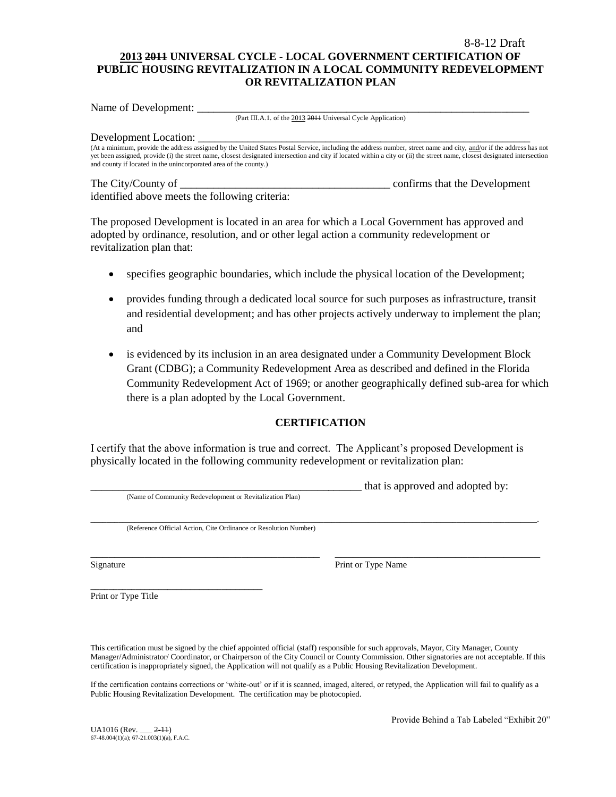## 8-8-12 Draft **2013 2011 UNIVERSAL CYCLE - LOCAL GOVERNMENT CERTIFICATION OF PUBLIC HOUSING REVITALIZATION IN A LOCAL COMMUNITY REDEVELOPMENT OR REVITALIZATION PLAN**

Name of Development:

(Part III.A.1. of the 2013 2011 Universal Cycle Application)

#### Development Location:

(At a minimum, provide the address assigned by the United States Postal Service, including the address number, street name and city, and/or if the address has not yet been assigned, provide (i) the street name, closest designated intersection and city if located within a city or (ii) the street name, closest designated intersection and county if located in the unincorporated area of the county.)

#### The City/County of \_\_\_\_\_\_\_\_\_\_\_\_\_\_\_\_\_\_\_\_\_\_\_\_\_\_\_\_\_\_\_\_\_\_\_\_\_\_ confirms that the Development identified above meets the following criteria:

The proposed Development is located in an area for which a Local Government has approved and adopted by ordinance, resolution, and or other legal action a community redevelopment or revitalization plan that:

- specifies geographic boundaries, which include the physical location of the Development;
- provides funding through a dedicated local source for such purposes as infrastructure, transit and residential development; and has other projects actively underway to implement the plan; and
- is evidenced by its inclusion in an area designated under a Community Development Block Grant (CDBG); a Community Redevelopment Area as described and defined in the Florida Community Redevelopment Act of 1969; or another geographically defined sub-area for which there is a plan adopted by the Local Government.

## **CERTIFICATION**

I certify that the above information is true and correct. The Applicant"s proposed Development is physically located in the following community redevelopment or revitalization plan:

|                                                                  | that is approved and adopted by: |
|------------------------------------------------------------------|----------------------------------|
| (Name of Community Redevelopment or Revitalization Plan)         |                                  |
|                                                                  |                                  |
|                                                                  |                                  |
| (Reference Official Action, Cite Ordinance or Resolution Number) |                                  |
|                                                                  |                                  |
|                                                                  |                                  |
|                                                                  |                                  |

Signature Print or Type Name

Print or Type Title

\_\_\_\_\_\_\_\_\_\_\_\_\_\_\_\_\_\_\_\_\_\_\_\_\_\_\_\_\_\_\_\_\_\_\_\_\_\_

This certification must be signed by the chief appointed official (staff) responsible for such approvals, Mayor, City Manager, County Manager/Administrator/ Coordinator, or Chairperson of the City Council or County Commission. Other signatories are not acceptable. If this certification is inappropriately signed, the Application will not qualify as a Public Housing Revitalization Development.

If the certification contains corrections or "white-out" or if it is scanned, imaged, altered, or retyped, the Application will fail to qualify as a Public Housing Revitalization Development. The certification may be photocopied.

Provide Behind a Tab Labeled "Exhibit 20"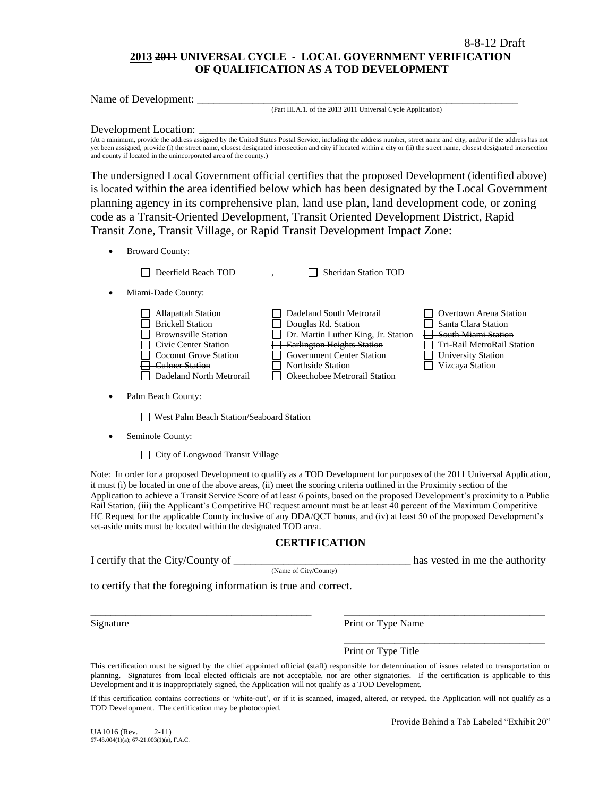## **2013 2011 UNIVERSAL CYCLE - LOCAL GOVERNMENT VERIFICATION OF QUALIFICATION AS A TOD DEVELOPMENT**

Name of Development:

(Part III.A.1. of the 2013 2011 Universal Cycle Application)

#### Development Location:

(At a minimum, provide the address assigned by the United States Postal Service, including the address number, street name and city, and/or if the address has not yet been assigned, provide (i) the street name, closest designated intersection and city if located within a city or (ii) the street name, closest designated intersection and county if located in the unincorporated area of the county.)

The undersigned Local Government official certifies that the proposed Development (identified above) is located within the area identified below which has been designated by the Local Government planning agency in its comprehensive plan, land use plan, land development code, or zoning code as a Transit-Oriented Development, Transit Oriented Development District, Rapid Transit Zone, Transit Village, or Rapid Transit Development Impact Zone:

Broward County:

Deerfield Beach TOD , Sheridan Station TOD Miami-Dade County: Allapattah Station Dadeland South Metrorail Overtown Arena Station Brickell Station **Douglas Rd. Station** Santa Clara Station **Brownsville Station** Dr. Martin Luther King, Jr. Station  $\Box$  South Miami Station  $\Box$  Civic Center Station  $\Box$  Earlington Heights Station  $\Box$  Tri-Rail MetroRail Station Government Center Station Government Center Station Guiversity Station Culmer Station ■ Northside Station ■ Vizcaya Station □ Dadeland North Metrorail □ Okeechobee Metrorail Station

Palm Beach County:

West Palm Beach Station/Seaboard Station

Seminole County:

□ City of Longwood Transit Village

Note: In order for a proposed Development to qualify as a TOD Development for purposes of the 2011 Universal Application, it must (i) be located in one of the above areas, (ii) meet the scoring criteria outlined in the Proximity section of the Application to achieve a Transit Service Score of at least 6 points, based on the proposed Development"s proximity to a Public Rail Station, (iii) the Applicant"s Competitive HC request amount must be at least 40 percent of the Maximum Competitive HC Request for the applicable County inclusive of any DDA/QCT bonus, and (iv) at least 50 of the proposed Development"s set-aside units must be located within the designated TOD area.

## **CERTIFICATION**

I certify that the City/County of the comparison of the authority has vested in me the authority

(Name of City/County)

to certify that the foregoing information is true and correct.

Signature **Print or Type Name** Print or Type Name

Print or Type Title

This certification must be signed by the chief appointed official (staff) responsible for determination of issues related to transportation or planning. Signatures from local elected officials are not acceptable, nor are other signatories. If the certification is applicable to this Development and it is inappropriately signed, the Application will not qualify as a TOD Development.

\_\_\_\_\_\_\_\_\_\_\_\_\_\_\_\_\_\_\_\_\_\_\_\_\_\_\_\_\_\_\_\_\_\_\_\_\_\_\_\_\_\_\_\_ \_\_\_\_\_\_\_\_\_\_\_\_\_\_\_\_\_\_\_\_\_\_\_\_\_\_\_\_\_\_\_\_\_\_\_\_\_\_\_\_

If this certification contains corrections or "white-out", or if it is scanned, imaged, altered, or retyped, the Application will not qualify as a TOD Development. The certification may be photocopied.

 $U_A$ 1016 (Rev.  $2-11$ ) 67-48.004(1)(a); 67-21.003(1)(a), F.A.C. Provide Behind a Tab Labeled "Exhibit 20"

\_\_\_\_\_\_\_\_\_\_\_\_\_\_\_\_\_\_\_\_\_\_\_\_\_\_\_\_\_\_\_\_\_\_\_\_\_\_\_\_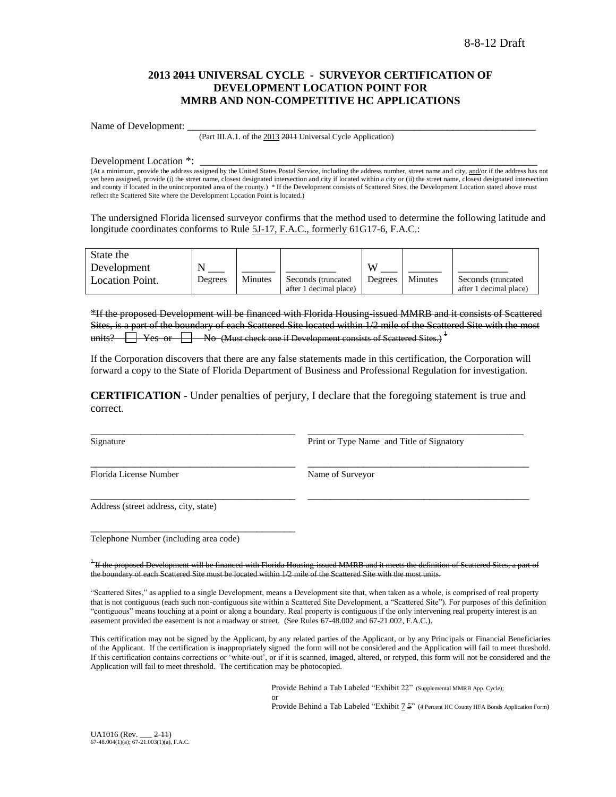## **2013 2011 UNIVERSAL CYCLE - SURVEYOR CERTIFICATION OF DEVELOPMENT LOCATION POINT FOR MMRB AND NON-COMPETITIVE HC APPLICATIONS**

Name of Development:

(Part III.A.1. of the 2013 2011 Universal Cycle Application)

Development Location \*:

(At a minimum, provide the address assigned by the United States Postal Service, including the address number, street name and city, and/or if the address has not yet been assigned, provide (i) the street name, closest designated intersection and city if located within a city or (ii) the street name, closest designated intersection and county if located in the unincorporated area of the county.) \* If the Development consists of Scattered Sites, the Development Location stated above must reflect the Scattered Site where the Development Location Point is located.)

The undersigned Florida licensed surveyor confirms that the method used to determine the following latitude and longitude coordinates conforms to Rule 5J-17, F.A.C., formerly 61G17-6, F.A.C.:

| State the              |         |         |                        |         |         |                        |
|------------------------|---------|---------|------------------------|---------|---------|------------------------|
| Development            |         |         |                        | VY.     |         |                        |
| <b>Location Point.</b> | Degrees | Minutes | Seconds (truncated)    | Degrees | Minutes | Seconds (truncated     |
|                        |         |         | after 1 decimal place) |         |         | after 1 decimal place) |

\*If the proposed Development will be financed with Florida Housing-issued MMRB and it consists of Scattered Sites, is a part of the boundary of each Scattered Site located within 1/2 mile of the Scattered Site with the most units?  $\Box$  Yes or  $\Box$  No (Must check one if Development consists of Scattered Sites.)<sup> $\pm$ </sup>

If the Corporation discovers that there are any false statements made in this certification, the Corporation will forward a copy to the State of Florida Department of Business and Professional Regulation for investigation.

**CERTIFICATION** - Under penalties of perjury, I declare that the foregoing statement is true and correct.

\_\_\_\_\_\_\_\_\_\_\_\_\_\_\_\_\_\_\_\_\_\_\_\_\_\_\_\_\_\_\_\_\_\_\_\_\_ \_\_\_\_\_\_\_\_\_\_\_\_\_\_\_\_\_\_\_\_\_\_\_\_\_\_\_\_\_\_\_\_\_\_\_\_\_\_\_

\_\_\_\_\_\_\_\_\_\_\_\_\_\_\_\_\_\_\_\_\_\_\_\_\_\_\_\_\_\_\_\_\_\_\_\_\_ \_\_\_\_\_\_\_\_\_\_\_\_\_\_\_\_\_\_\_\_\_\_\_\_\_\_\_\_\_\_\_\_\_\_\_\_\_\_\_\_

\_\_\_\_\_\_\_\_\_\_\_\_\_\_\_\_\_\_\_\_\_\_\_\_\_\_\_\_\_\_\_\_\_\_\_\_\_ \_\_\_\_\_\_\_\_\_\_\_\_\_\_\_\_\_\_\_\_\_\_\_\_\_\_\_\_\_\_\_\_\_\_\_\_\_\_\_\_

Signature **Print or Type Name and Title of Signatory** 

Florida License Number Name of Surveyor

Address (street address, city, state)

Telephone Number (including area code)

\_\_\_\_\_\_\_\_\_\_\_\_\_\_\_\_\_\_\_\_\_\_\_\_\_\_\_\_\_\_\_\_\_\_\_\_\_

<sup>1</sup>If the proposed Development will be fin anced with Florida Housing-issued MMRB and it the boundary of each Scattered Site must be located within 1/2 mile of the Scattered Site with the most units.

"Scattered Sites," as applied to a single Development, means a Development site that, when taken as a whole, is comprised of real property that is not contiguous (each such non-contiguous site within a Scattered Site Development, a "Scattered Site"). For purposes of this definition "contiguous" means touching at a point or along a boundary. Real property is contiguous if the only intervening real property interest is an easement provided the easement is not a roadway or street. (See Rules 67-48.002 and 67-21.002, F.A.C.).

This certification may not be signed by the Applicant, by any related parties of the Applicant, or by any Principals or Financial Beneficiaries of the Applicant. If the certification is inappropriately signed the form will not be considered and the Application will fail to meet threshold. If this certification contains corrections or 'white-out', or if it is scanned, imaged, altered, or retyped, this form will not be considered and the Application will fail to meet threshold. The certification may be photocopied.

or

Provide Behind a Tab Labeled "Exhibit 22" (Supplemental MMRB App. Cycle);

Provide Behind a Tab Labeled "Exhibit 7 5" (4 Percent HC County HFA Bonds Application Form)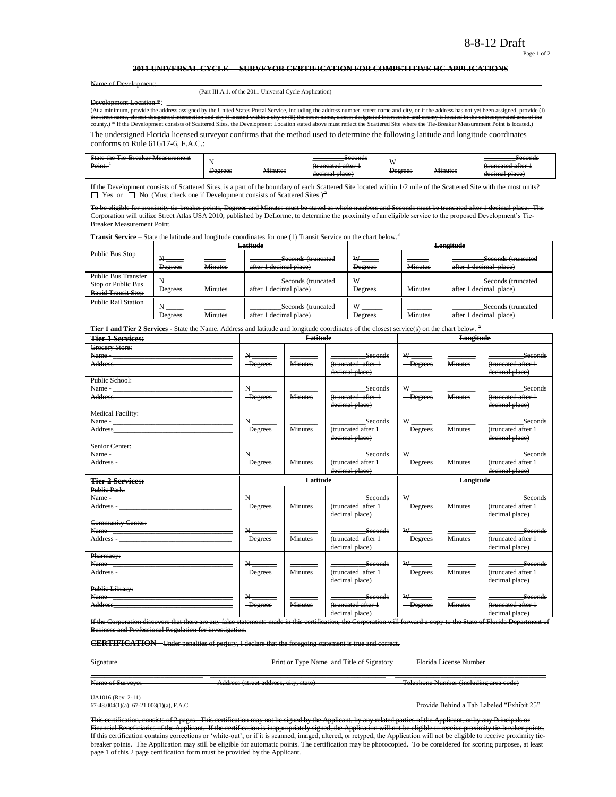#### Page 1 of 2

#### **2011 UNIVERSAL CYCLE - SURVEYOR CERTIFICATION FOR COMPETITIVE HC APPLICATIONS**

Name of Development:

(Part III.A.1. of the 2011 Universal Cycle Application)

Development Location  $*$ (At a minimum, provide the address assigned by the United States Postal Service, including the address number, street name and city, or if the address has not yet been assigned, provide (i)<br>the street name, closest designa ts of Scattered Sites, the Development Location stated above must reflect the

The undersigned Florida licensed surveyor confirms that the method used to determine the following latitude and longitude coordinates conforms to Rule 61G17-6, F.A.C.:

| ---<br>$\sim$<br>State<br>Measurement<br>Breaker<br>$\sim$<br>--<br>Point. | $\overline{\phantom{a}}$<br>______<br><del>Degrees</del> | __________<br>$\ddot{\phantom{1}}$<br><del>Amutes</del> | Seconds<br>i attar<br>ctruncatad<br>decimal place | <b>TY</b><br>________<br>Degrees | $\sim$ $\sim$<br><del>Minute:</del> | Seconds<br>. attar<br>decimal place: |
|----------------------------------------------------------------------------|----------------------------------------------------------|---------------------------------------------------------|---------------------------------------------------|----------------------------------|-------------------------------------|--------------------------------------|
|----------------------------------------------------------------------------|----------------------------------------------------------|---------------------------------------------------------|---------------------------------------------------|----------------------------------|-------------------------------------|--------------------------------------|

ists of Scattered Sites, is a part of the boundary of each Scattered Site located within 1/2 mile of the Scattered Site with the  $\Box$  Yes or  $\Box$  No (Must check one if Development consists of Scattered Sites.)<sup>2</sup>

To be eligible for proximity tie-breaker points, Degrees and Minutes must be stated as whole numbers and Seconds must be truncated after 1 decimal place. The Corporation will utilize Street Atlas USA 2010, published by DeLorme, to determine the proximity of an eligible service to the proposed Development"s Tie-Breaker Measurement Point.

**Transit Service** State the latitude and longitude coordinates for one (1) Transit Service on the chart below.<sup>3</sup>

|                                                                        |                |                                   | Latitude                                     |                                                  |                | Longitude                                    |
|------------------------------------------------------------------------|----------------|-----------------------------------|----------------------------------------------|--------------------------------------------------|----------------|----------------------------------------------|
| Public Bus Stop                                                        | Degrees        | <b>Minutes</b>                    | Seconds (truncated<br>after 1 decimal place) | $\mathsf{W}_{\text{max}}$<br><b>Degrees</b>      | <b>Minutes</b> | Seconds (truncated<br>after 1 decimal place) |
| <b>Public Bus Transfer</b><br>Stop or Public Bus<br>Rapid Transit Stop | <b>Degrees</b> | and the company<br><b>Minutes</b> | Seconds (truncated<br>after 1 decimal place) | $\mathsf{W}$ $\longrightarrow$<br><b>Degrees</b> | <b>Minutes</b> | Seconds (truncated<br>after 1 decimal place) |
| <b>Public Rail Station</b>                                             | <b>Degrees</b> | <b>Minutes</b>                    | Seconds (truncated<br>after 1 decimal place) | <b>XX</b><br><b>Degrees</b>                      | <b>Minutes</b> | Seconds (truncated<br>after 1 decimal place) |

**Tier 1 and Tier 2 Services** - State the Name, Address and latitude and longitude coordinates of the closest service(s) on the chart below. <sup>3</sup>

| <b>Tier 1 Services:</b>                                                                                                                                                                                                                                                                                                                                                                                                                                                           |                                        | Latitude       |                                                  |                                                       | <b>Longitude</b> |                                                        |
|-----------------------------------------------------------------------------------------------------------------------------------------------------------------------------------------------------------------------------------------------------------------------------------------------------------------------------------------------------------------------------------------------------------------------------------------------------------------------------------|----------------------------------------|----------------|--------------------------------------------------|-------------------------------------------------------|------------------|--------------------------------------------------------|
| Grocery Store:<br>Name - Name - Name - Name - Name - Name - Name - Name - Name - Name - Name - Name - Name - Name - Name - Name - Name - Name - Name - Name - Name - Name - Name - Name - Name - Name - Name - Name - Name - Name - Name - Name<br>Address - The Commission of the Commission of the Commission of the Commission of the Commission of the Commission of the Commission of the Commission of the Commission of the Commission of the Commission of the Commission | $N$ <sub>-1</sub><br>-Degrees          | <b>Minutes</b> | Seconds<br>(truncated after 1)<br>decimal place) | $W$ and $W$<br>-Degrees                               | <b>Minutes</b>   | Seconds<br>(truncated after 1<br>decimal place)        |
| Public School:                                                                                                                                                                                                                                                                                                                                                                                                                                                                    | $N_{\overline{---}}$<br>-Degrees       | <b>Minutes</b> | Seconds<br>(truncated after 1<br>decimal place)  | W <sub>1</sub><br>-Degrees                            | <b>Minutes</b>   | Seconds<br>(truncated after 1<br>decimal place)        |
| <b>Medical Facility:</b><br>Address and the contract of the contract of the contract of the contract of the contract of the contract of the                                                                                                                                                                                                                                                                                                                                       | $N-$<br><b>Degrees</b>                 | <b>Minutes</b> | Seconds<br>(truncated after 1<br>decimal place)  | $W \underline{\hspace{2mm}}$<br>$-\n$ Degrees         | <b>Minutes</b>   | Seconds<br>(truncated after 1<br>decimal place)        |
| Senior Center:                                                                                                                                                                                                                                                                                                                                                                                                                                                                    | $\mathbf{N}_{\text{max}}$<br>-Degrees  | <b>Minutes</b> | Seconds<br>(truncated after 1<br>decimal place)  | W<br>-Degrees                                         | <b>Minutes</b>   | Seconds<br>(truncated after 1<br>decimal place)        |
|                                                                                                                                                                                                                                                                                                                                                                                                                                                                                   |                                        |                |                                                  |                                                       |                  |                                                        |
| <b>Tier 2 Services:</b>                                                                                                                                                                                                                                                                                                                                                                                                                                                           |                                        | Latitude       |                                                  |                                                       | Longitude        |                                                        |
| Public Park:<br>Address - The Commission of the Commission of the Commission of the Commission of the Commission of the Commission of the Commission of the Commission of the Commission of the Commission of the Commission of the Commission                                                                                                                                                                                                                                    | $\mathbf{N}_{\text{max}}$<br>-Degrees  | <b>Minutes</b> | Seconds<br>(truncated after 1<br>decimal place)  | -Degrees                                              | <b>Minutes</b>   | Seconds<br>(truncated after 1<br>decimal place)        |
| <b>Community Center:</b>                                                                                                                                                                                                                                                                                                                                                                                                                                                          | N<br>-Degrees                          | <b>Minutes</b> | Seconds<br>(truncated after 1<br>decimal place)  | W<br>-Degrees                                         | <b>Minutes</b>   | <b>Seconds</b><br>(truncated after 1<br>decimal place) |
| Pharmacy:<br>Public Library:                                                                                                                                                                                                                                                                                                                                                                                                                                                      | $\mathbf{N}_{\frac{1}{2}}$<br>-Degrees | <b>Minutes</b> | Seconds<br>(truncated after 1<br>decimal place)  | $\ensuremath{\text{w}}\xspace_\text{max}$<br>-Degrees | <b>Minutes</b>   | Seconds<br>(truncated after 1<br>decimal place)        |

If the Corporation discovers that there are any false statements made in this certification, the Corporation will forward a copy to the State of Florida Department of<br>Business and Professional Regulation for investigation. nd Professional Regulation for investigation.

**CERTIFICATION** - Under penalties of perjury, I declare that the foregoing statement is true and correct.

\_\_\_\_\_\_\_\_\_\_\_\_\_\_\_\_\_\_\_\_\_\_\_\_\_\_\_\_\_\_\_\_\_\_\_\_\_\_\_\_\_\_\_\_\_\_\_\_\_ \_\_\_\_\_\_\_\_\_\_\_\_\_\_\_\_\_\_\_\_\_\_\_\_\_\_\_\_\_\_\_\_\_ \_\_\_\_\_\_\_\_\_\_\_\_\_\_\_\_\_\_\_\_\_\_\_\_\_\_\_\_\_\_\_\_\_\_\_\_\_

Signature **Print or Type Name and Title of Signatory Florida License Number** 

\_\_\_\_\_\_\_\_\_\_\_\_\_\_\_\_\_\_\_\_\_\_\_\_\_\_\_\_\_\_\_\_ \_\_\_\_\_\_\_\_\_\_\_\_\_\_\_\_\_\_\_\_\_\_\_\_\_\_\_\_\_\_\_\_\_\_\_\_\_\_\_\_\_\_\_\_\_\_\_\_\_\_ \_\_\_\_\_\_\_\_\_\_\_\_\_\_\_\_\_\_\_\_\_\_\_\_\_\_\_\_\_\_\_\_\_\_\_\_\_\_\_\_\_\_\_ Name of Surveyor **Address (street address, city, state)** Telephone Number (including area code)

 $UA1016$  (Rev. 2-11)<br>67-48.004(1)(a); 67-21.003(1)(a), F.A.C.

Provide Behind a Tab Labeled "Exhibit 25"

This certification, consists of 2 pages. This certification may not be signed by the Applicant, by any related parties of the Applicant, or by any Principals or Financial Beneficiaries of the Applicant. If the certification is inappropriately signed, the Application will not be eligible to receive proximity tie-breaker points. If this certification contains corrections or "white-out", or if it is scanned, imaged, altered, or retyped, the Application will not be eligible to receive proximity tiebreaker points. The Application may still be eligible for automatic points. The certification may be photocopied. To be considered for scoring purposes, at least page 1 of this 2 page certification form must be provided by the Applicant.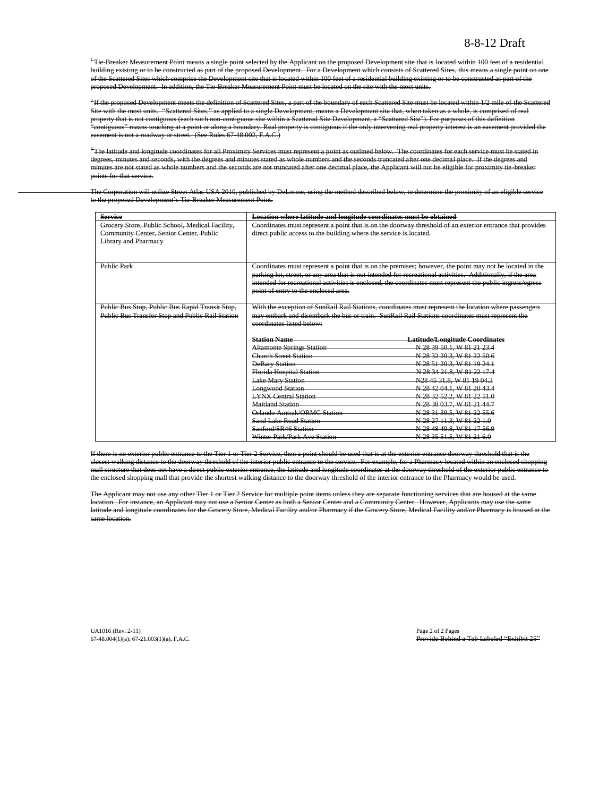<sup>+</sup>Tie-Breaker Measurement Point means a single point selected by the Applicant on the proposed Development site that is located within 100 feet of a residential building existing or to be constructed as part of the proposed Development. For a Development which consists of Scattered Sites, this means a single point on one of the Scattered Sites which comprise the Development site that is located within 100 feet of a residential building existing or to be constructed as part of the proposed Development. In addition, the Tie-Breaker Measurement Point must be located on the site with the most units.

2 If the proposed Development meets the definition of Scattered Sites, a part of the boundary of each Scattered Site must be located within 1/2 mile of the Scattered Site with the most units. "Scattered Sites," as applied to a single Development, means a Development site that, when taken as a whole, is comprised of real property that is not contiguous (each such non-contiguous site within a Scattered Site Development, a "Scattered Site"). For purposes of this definition "contiguous" means touching at a point or along a boundary. Real property is contiguous if the only intervening real property interest is an easement provided the easement is not a roadway or street. (See Rules 67-48.002, F.A.C.)

<sup>3</sup>The latitude and longitude coordinates for all Proximity Services must represent a point as outlined below. The coordinates for each service must be stated in degrees, minutes and seconds, with the degrees and minutes stated as whole numbers and the seconds truncated after one decimal place. If the degrees and minutes are not stated as whole numbers and the seconds are not truncated after one decimal place, the Applicant will not be eligible for proximity tie-breaker points for that service.

The Corporation will utilize Street Atlas USA 2010, published by DeLorme, using the method described below, to determine the proximity of an eligible service to the proposed Development's Tie-Breaker Measurement Point.

| <b>Service</b>                                                                             | Location where latitude and longitude coordinates must be obtained |                                                                                                              |
|--------------------------------------------------------------------------------------------|--------------------------------------------------------------------|--------------------------------------------------------------------------------------------------------------|
| Grocery Store, Public School, Medical Facility,<br>Community Center, Senior Center, Public | direct public access to the building where the service is located. | Coordinates must represent a point that is on the doorway threshold of an exterior entrance that provides    |
| <b>Library and Pharmacy</b>                                                                |                                                                    |                                                                                                              |
|                                                                                            |                                                                    |                                                                                                              |
|                                                                                            |                                                                    |                                                                                                              |
| <b>Public Park</b>                                                                         |                                                                    | Coordinates must represent a point that is on the premises; however, the point may not be located in the     |
|                                                                                            |                                                                    | parking lot, street, or any area that is not intended for recreational activities. Additionally, if the area |
|                                                                                            |                                                                    | intended for recreational activities is enclosed, the coordinates must represent the public ingress/egress   |
|                                                                                            | point of entry to the enclosed area.                               |                                                                                                              |
|                                                                                            |                                                                    |                                                                                                              |
| Public Bus Stop, Public Bus Rapid Transit Stop,                                            |                                                                    | With the exception of SunRail Rail Stations, coordinates must represent the location where passengers        |
| Public Bus Transfer Stop and Public Rail Station                                           | coordinates listed below:                                          | may embark and disembark the bus or train. SunRail Rail Stations coordinates must represent the              |
|                                                                                            |                                                                    |                                                                                                              |
|                                                                                            | <b>Station Name</b>                                                | <b>Latitude/Longitude Coordinates</b>                                                                        |
|                                                                                            | <b>Altamonte Springs Station</b>                                   | N 28 39 50.1, W 81 21 23.4                                                                                   |
|                                                                                            | <b>Church Street Station</b>                                       | N 28 32 20.3, W 81 22 50.6                                                                                   |
|                                                                                            | <b>DeBary Station</b>                                              | N 28 51 20.3, W 81 19 24.1                                                                                   |
|                                                                                            | <b>Florida Hospital Station</b>                                    | N 28 34 21 8, W 81 22 17.4                                                                                   |
|                                                                                            | <b>Lake Mary Station</b>                                           | N28 45 31.8, W 81 19 04.3                                                                                    |
|                                                                                            | <b>Longwood Station</b>                                            | N 28 42 04.1, W 81 20 43.4                                                                                   |
|                                                                                            | <b>LYNX Central Station</b>                                        | N 28 32 52.2, W 81 22 51.0                                                                                   |
|                                                                                            | Maitland Station                                                   | N 28 38 03.7, W 81 21 44.7                                                                                   |
|                                                                                            | Orlando Amtrak/ORMC Station                                        | N 28 31 39.5, W 81 22 55.6                                                                                   |
|                                                                                            | <b>Sand Lake Road Station</b>                                      | N 28 27 11.3, W 81 22 1.0                                                                                    |
|                                                                                            | Sanford/SR46 Station                                               | N 28 48 49.8, W 81 17 56.9                                                                                   |
|                                                                                            | Winter Park/Park Ave Station                                       | N 28 35 51.5, W 81 21 6.0                                                                                    |

If there is no exterior public entrance to the Tier 1 or Tier 2 Service, then a point should be used that is at the exterior entrance doorway threshold that is the closest walking distance to the doorway threshold of the interior public entrance to the service. For example, for a Pharmacy located within an enclosed shopping mall structure that does not have a direct public exterior entrance, the latitude and longitude coordinates at the doorway threshold of the exterior public entrance to the enclosed shopping mall that provide the shortest walking distance to the doorway threshold of the interior entrance to the Pharmacy would be used.

The Applicant may not use any other Tier 1 or Tier 2 Service for multiple point items unless they are separate functioning services that are housed at the same location. For instance, an Applicant may not use a Senior Center as both a Senior Center and a Community Center. However, Applicants may use the same latitude and longitude coordinates for the Grocery Store, Medical Facility and/or Pharmacy if the Grocery Store, Medical Facility and/or Pharmacy is housed at the same location.

UA1016 (Rev. 2-11) Page 2 of 2 Pages

67-48.004(1)(a); 67-21.003(1)(a), F.A.C. Provide Behind a Tab Labeled "Exhibit 25"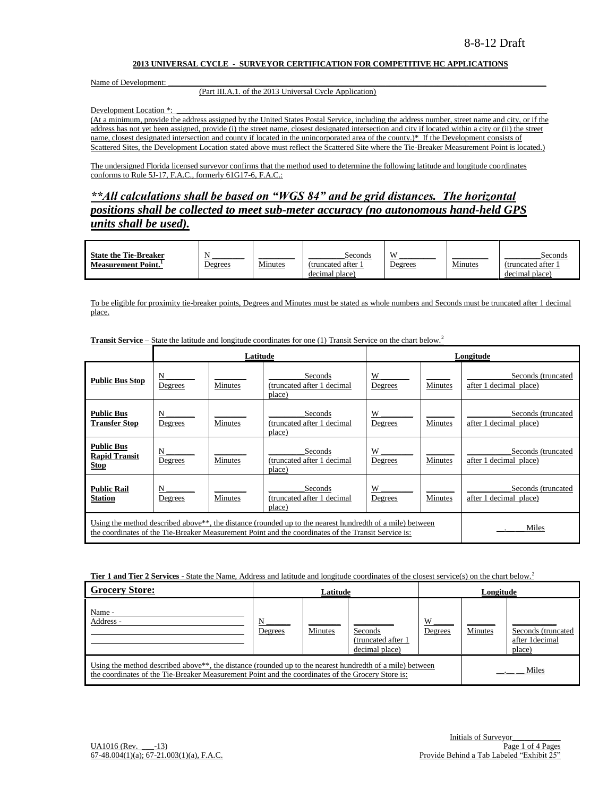#### **2013 UNIVERSAL CYCLE - SURVEYOR CERTIFICATION FOR COMPETITIVE HC APPLICATIONS**

Name of Development:

#### (Part III.A.1. of the 2013 Universal Cycle Application)

Development Location \*:

(At a minimum, provide the address assigned by the United States Postal Service, including the address number, street name and city, or if the address has not yet been assigned, provide (i) the street name, closest designated intersection and city if located within a city or (ii) the street name, closest designated intersection and county if located in the unincorporated area of the county.)\* If the Development consists of Scattered Sites, the Development Location stated above must reflect the Scattered Site where the Tie-Breaker Measurement Point is located.)

The undersigned Florida licensed surveyor confirms that the method used to determine the following latitude and longitude coordinates conforms to Rule 5J-17, F.A.C., formerly 61G17-6, F.A.C.:

*\*\*All calculations shall be based on "WGS 84" and be grid distances. The horizontal positions shall be collected to meet sub-meter accuracy (no autonomous hand-held GPS units shall be used).*

| <b>State the Tie-Breaker</b> |         |         | Seconds           | <b>VI</b>      |         | Seconds           |
|------------------------------|---------|---------|-------------------|----------------|---------|-------------------|
| <b>Measurement Point.</b>    | Degrees | Minutes | (truncated after) | <b>Degrees</b> | Minutes | (truncated after) |
|                              |         |         | decimal place)    |                |         | decimal place)    |

To be eligible for proximity tie-breaker points, Degrees and Minutes must be stated as whole numbers and Seconds must be truncated after 1 decimal place.

|                                                                                                                                                                                                                                       |              | Latitude |                                                 |              |         | Longitude                                    |
|---------------------------------------------------------------------------------------------------------------------------------------------------------------------------------------------------------------------------------------|--------------|----------|-------------------------------------------------|--------------|---------|----------------------------------------------|
| <b>Public Bus Stop</b>                                                                                                                                                                                                                | N<br>Degrees | Minutes  | Seconds<br>(truncated after 1 decimal<br>place) | W<br>Degrees | Minutes | Seconds (truncated<br>after 1 decimal place) |
| <b>Public Bus</b><br><b>Transfer Stop</b>                                                                                                                                                                                             | N<br>Degrees | Minutes  | Seconds<br>(truncated after 1 decimal<br>place) | W<br>Degrees | Minutes | Seconds (truncated<br>after 1 decimal place) |
| <b>Public Bus</b><br><b>Rapid Transit</b><br><b>Stop</b>                                                                                                                                                                              | N<br>Degrees | Minutes  | Seconds<br>(truncated after 1 decimal<br>place) | W<br>Degrees | Minutes | Seconds (truncated<br>after 1 decimal place) |
| <b>Public Rail</b><br><b>Station</b>                                                                                                                                                                                                  | N<br>Degrees | Minutes  | Seconds<br>(truncated after 1 decimal<br>place) | W<br>Degrees | Minutes | Seconds (truncated<br>after 1 decimal place) |
| Using the method described above <sup>**</sup> , the distance (rounded up to the nearest hundredth of a mile) between<br>Miles<br>the coordinates of the Tie-Breaker Measurement Point and the coordinates of the Transit Service is: |              |          |                                                 |              |         |                                              |

**Transit Service –** State the latitude and longitude coordinates for one (1) Transit Service on the chart below.<sup>2</sup>

**Tier 1 and Tier 2 Services** - State the Name, Address and latitude and longitude coordinates of the closest service(s) on the chart below.<sup>2</sup>

| <b>Grocery Store:</b>                                                                                                                                                                                                      |              | Latitude |                                                 |              | Longitude |                                                |  |
|----------------------------------------------------------------------------------------------------------------------------------------------------------------------------------------------------------------------------|--------------|----------|-------------------------------------------------|--------------|-----------|------------------------------------------------|--|
| Name -<br>Address -                                                                                                                                                                                                        | N<br>Degrees | Minutes  | Seconds<br>(truncated after 1<br>decimal place) | W<br>Degrees | Minutes   | Seconds (truncated<br>after 1decimal<br>place) |  |
| Using the method described above <sup>**</sup> , the distance (rounded up to the nearest hundredth of a mile) between<br>the coordinates of the Tie-Breaker Measurement Point and the coordinates of the Grocery Store is: |              |          |                                                 |              |           | Miles                                          |  |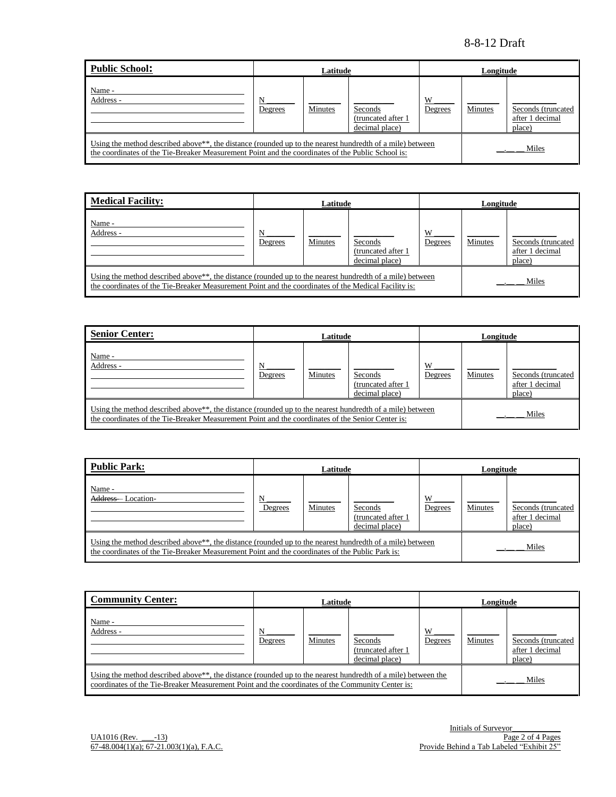| Public School:                                                                                    | Latitude<br>Longitude |                                                                                                                                |                                                  |              |         |                                                 |  |
|---------------------------------------------------------------------------------------------------|-----------------------|--------------------------------------------------------------------------------------------------------------------------------|--------------------------------------------------|--------------|---------|-------------------------------------------------|--|
| Name -<br>Address -                                                                               | N<br>Degrees          | Minutes                                                                                                                        | Seconds<br>(truncated after 1)<br>decimal place) | W<br>Degrees | Minutes | Seconds (truncated<br>after 1 decimal<br>place) |  |
| the coordinates of the Tie-Breaker Measurement Point and the coordinates of the Public School is: |                       | Using the method described above <sup>**</sup> , the distance (rounded up to the nearest hundredth of a mile) between<br>Miles |                                                  |              |         |                                                 |  |

| <b>Medical Facility:</b>                                                                                                                                                                                                      | Latitude     |         |                                                  | Longitude    |         |                                                 |
|-------------------------------------------------------------------------------------------------------------------------------------------------------------------------------------------------------------------------------|--------------|---------|--------------------------------------------------|--------------|---------|-------------------------------------------------|
| Name -<br>Address -                                                                                                                                                                                                           | N<br>Degrees | Minutes | Seconds<br>(truncated after 1)<br>decimal place) | W<br>Degrees | Minutes | Seconds (truncated<br>after 1 decimal<br>place) |
| Using the method described above <sup>**</sup> , the distance (rounded up to the nearest hundredth of a mile) between<br>the coordinates of the Tie-Breaker Measurement Point and the coordinates of the Medical Facility is: |              |         |                                                  |              |         | Miles                                           |

| <b>Senior Center:</b>                                                                                                                                                                                                      |              | Latitude |                                                 | Longitude    |         |                                                 |
|----------------------------------------------------------------------------------------------------------------------------------------------------------------------------------------------------------------------------|--------------|----------|-------------------------------------------------|--------------|---------|-------------------------------------------------|
| Name -<br>Address -                                                                                                                                                                                                        | N<br>Degrees | Minutes  | Seconds<br>(truncated after 1<br>decimal place) | W<br>Degrees | Minutes | Seconds (truncated<br>after 1 decimal<br>place) |
| Using the method described above <sup>**</sup> , the distance (rounded up to the nearest hundredth of a mile) between<br>the coordinates of the Tie-Breaker Measurement Point and the coordinates of the Senior Center is: |              |          |                                                 |              |         | Miles                                           |

| Public Park:                                                                                                                                                                                                             | Latitude     |         |                                                 | Longitude    |         |                                                 |
|--------------------------------------------------------------------------------------------------------------------------------------------------------------------------------------------------------------------------|--------------|---------|-------------------------------------------------|--------------|---------|-------------------------------------------------|
| Name -<br>Address-Location-                                                                                                                                                                                              | N<br>Degrees | Minutes | Seconds<br>(truncated after 1<br>decimal place) | W<br>Degrees | Minutes | Seconds (truncated<br>after 1 decimal<br>place) |
| Using the method described above <sup>**</sup> , the distance (rounded up to the nearest hundredth of a mile) between<br>the coordinates of the Tie-Breaker Measurement Point and the coordinates of the Public Park is: |              |         |                                                 |              |         | Miles                                           |

| <b>Community Center:</b>                                                                                                                                                                                                      |              | Latitude       |                                                  |              | Longitude      |                                                 |  |
|-------------------------------------------------------------------------------------------------------------------------------------------------------------------------------------------------------------------------------|--------------|----------------|--------------------------------------------------|--------------|----------------|-------------------------------------------------|--|
| Name -<br>Address -                                                                                                                                                                                                           | N<br>Degrees | <b>Minutes</b> | Seconds<br>(truncated after 1)<br>decimal place) | W<br>Degrees | <b>Minutes</b> | Seconds (truncated<br>after 1 decimal<br>place) |  |
| Using the method described above <sup>**</sup> , the distance (rounded up to the nearest hundredth of a mile) between the<br>coordinates of the Tie-Breaker Measurement Point and the coordinates of the Community Center is: |              |                |                                                  |              |                | Miles                                           |  |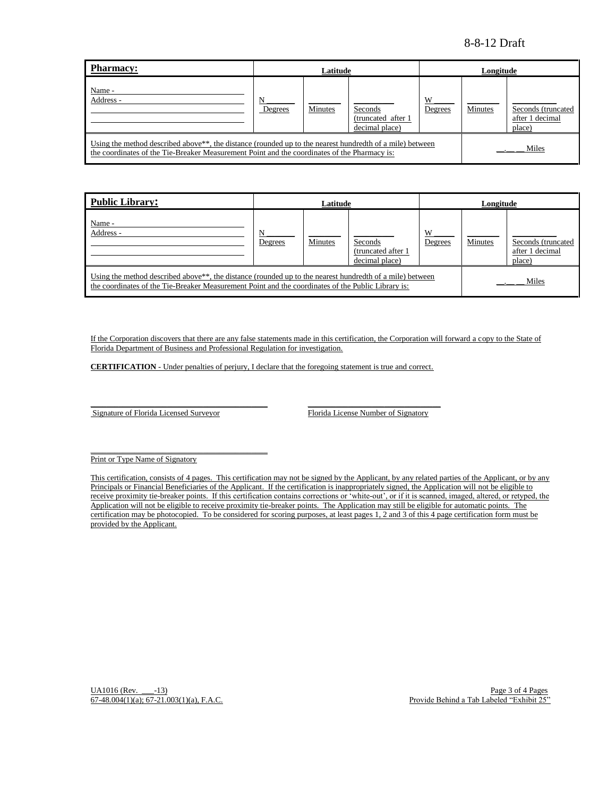| <b>Pharmacy:</b>                                                                                                                                                                                                      | Latitude     |         |                                                  |              | Longitude |                                                 |
|-----------------------------------------------------------------------------------------------------------------------------------------------------------------------------------------------------------------------|--------------|---------|--------------------------------------------------|--------------|-----------|-------------------------------------------------|
| Name -<br>Address -                                                                                                                                                                                                   | N<br>Degrees | Minutes | Seconds<br>(truncated after 1)<br>decimal place) | W<br>Degrees | Minutes   | Seconds (truncated<br>after 1 decimal<br>place) |
| Using the method described above <sup>**</sup> , the distance (rounded up to the nearest hundredth of a mile) between<br>the coordinates of the Tie-Breaker Measurement Point and the coordinates of the Pharmacy is: |              |         |                                                  |              |           | Miles                                           |

| <b>Public Library:</b>                                                                                                                                                                                                      |              | Latitude |                                                  |              | Longitude |                                                 |
|-----------------------------------------------------------------------------------------------------------------------------------------------------------------------------------------------------------------------------|--------------|----------|--------------------------------------------------|--------------|-----------|-------------------------------------------------|
| Name -<br>Address -                                                                                                                                                                                                         | N<br>Degrees | Minutes  | Seconds<br>(truncated after 1)<br>decimal place) | W<br>Degrees | Minutes   | Seconds (truncated<br>after 1 decimal<br>place) |
| Using the method described above <sup>**</sup> , the distance (rounded up to the nearest hundredth of a mile) between<br>the coordinates of the Tie-Breaker Measurement Point and the coordinates of the Public Library is: |              |          |                                                  |              | Miles     |                                                 |

If the Corporation discovers that there are any false statements made in this certification, the Corporation will forward a copy to the State of Florida Department of Business and Professional Regulation for investigation.

**CERTIFICATION** - Under penalties of perjury, I declare that the foregoing statement is true and correct.

\_\_\_\_\_\_\_\_\_\_\_\_\_\_\_\_\_\_\_\_\_\_\_\_\_\_\_\_\_\_\_\_\_\_\_\_\_\_\_\_\_\_\_\_ \_\_\_\_\_\_\_\_\_\_\_\_\_\_\_\_\_\_\_\_\_\_\_\_\_\_\_\_\_\_\_\_\_

Signature of Florida Licensed Surveyor Florida License Number of Signatory

\_\_\_\_\_\_\_\_\_\_\_\_\_\_\_\_\_\_\_\_\_\_\_\_\_\_\_\_\_\_\_\_\_\_\_\_\_\_\_\_\_\_\_\_

Print or Type Name of Signatory

This certification, consists of 4 pages. This certification may not be signed by the Applicant, by any related parties of the Applicant, or by any Principals or Financial Beneficiaries of the Applicant. If the certification is inappropriately signed, the Application will not be eligible to receive proximity tie-breaker points. If this certification contains corrections or "white-out", or if it is scanned, imaged, altered, or retyped, the Application will not be eligible to receive proximity tie-breaker points. The Application may still be eligible for automatic points. The certification may be photocopied. To be considered for scoring purposes, at least pages 1, 2 and 3 of this 4 page certification form must be provided by the Applicant.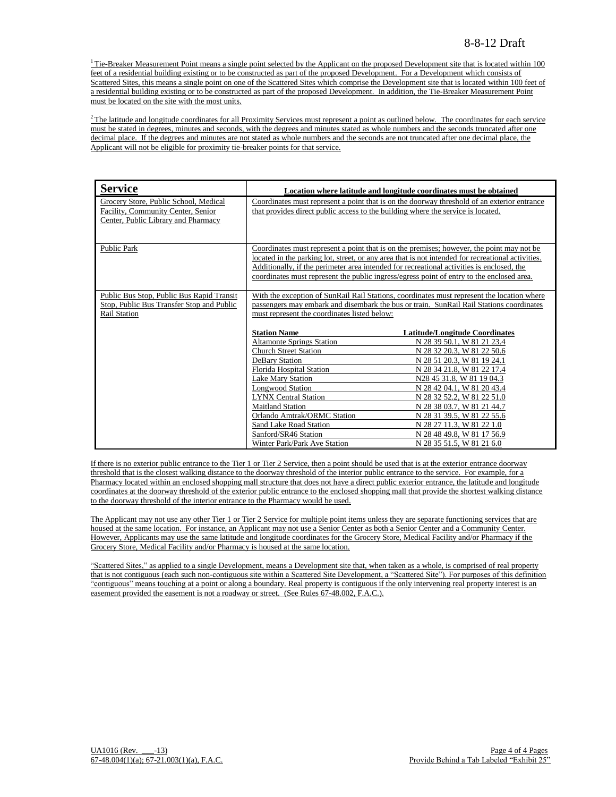$1$ <sup>1</sup> Tie-Breaker Measurement Point means a single point selected by the Applicant on the proposed Development site that is located within 100 feet of a residential building existing or to be constructed as part of the proposed Development. For a Development which consists of Scattered Sites, this means a single point on one of the Scattered Sites which comprise the Development site that is located within 100 feet of a residential building existing or to be constructed as part of the proposed Development. In addition, the Tie-Breaker Measurement Point must be located on the site with the most units.

 $2$ The latitude and longitude coordinates for all Proximity Services must represent a point as outlined below. The coordinates for each service must be stated in degrees, minutes and seconds, with the degrees and minutes stated as whole numbers and the seconds truncated after one decimal place. If the degrees and minutes are not stated as whole numbers and the seconds are not truncated after one decimal place, the Applicant will not be eligible for proximity tie-breaker points for that service.

| <b>Service</b>                                                                                                     |                                                                                  | Location where latitude and longitude coordinates must be obtained                                                                                                                                                                                                                                                                                                                       |
|--------------------------------------------------------------------------------------------------------------------|----------------------------------------------------------------------------------|------------------------------------------------------------------------------------------------------------------------------------------------------------------------------------------------------------------------------------------------------------------------------------------------------------------------------------------------------------------------------------------|
| Grocery Store, Public School, Medical<br>Facility, Community Center, Senior<br>Center, Public Library and Pharmacy | that provides direct public access to the building where the service is located. | Coordinates must represent a point that is on the doorway threshold of an exterior entrance                                                                                                                                                                                                                                                                                              |
| <b>Public Park</b>                                                                                                 |                                                                                  | Coordinates must represent a point that is on the premises; however, the point may not be<br>located in the parking lot, street, or any area that is not intended for recreational activities.<br>Additionally, if the perimeter area intended for recreational activities is enclosed, the<br>coordinates must represent the public ingress/egress point of entry to the enclosed area. |
| Public Bus Stop, Public Bus Rapid Transit<br>Stop, Public Bus Transfer Stop and Public<br><b>Rail Station</b>      | must represent the coordinates listed below:                                     | With the exception of SunRail Rail Stations, coordinates must represent the location where<br>passengers may embark and disembark the bus or train. SunRail Rail Stations coordinates                                                                                                                                                                                                    |
|                                                                                                                    | <b>Station Name</b>                                                              | <b>Latitude/Longitude Coordinates</b>                                                                                                                                                                                                                                                                                                                                                    |
|                                                                                                                    | <b>Altamonte Springs Station</b>                                                 | N 28 39 50.1, W 81 21 23.4                                                                                                                                                                                                                                                                                                                                                               |
|                                                                                                                    | <b>Church Street Station</b>                                                     | N 28 32 20.3, W 81 22 50.6                                                                                                                                                                                                                                                                                                                                                               |
|                                                                                                                    | DeBary Station                                                                   | N 28 51 20.3, W 81 19 24.1                                                                                                                                                                                                                                                                                                                                                               |
|                                                                                                                    | <b>Florida Hospital Station</b>                                                  | N 28 34 21.8, W 81 22 17.4                                                                                                                                                                                                                                                                                                                                                               |
|                                                                                                                    | <b>Lake Mary Station</b>                                                         | N28 45 31.8, W 81 19 04.3                                                                                                                                                                                                                                                                                                                                                                |
|                                                                                                                    | <b>Longwood Station</b>                                                          | N 28 42 04.1, W 81 20 43.4                                                                                                                                                                                                                                                                                                                                                               |
|                                                                                                                    | <b>LYNX Central Station</b>                                                      | N 28 32 52.2, W 81 22 51.0                                                                                                                                                                                                                                                                                                                                                               |
|                                                                                                                    | <b>Maitland Station</b>                                                          | N 28 38 03.7, W 81 21 44.7                                                                                                                                                                                                                                                                                                                                                               |
|                                                                                                                    | Orlando Amtrak/ORMC Station                                                      | N 28 31 39.5, W 81 22 55.6                                                                                                                                                                                                                                                                                                                                                               |
|                                                                                                                    | Sand Lake Road Station                                                           | N 28 27 11.3, W 81 22 1.0                                                                                                                                                                                                                                                                                                                                                                |
|                                                                                                                    | Sanford/SR46 Station                                                             | N 28 48 49.8, W 81 17 56.9                                                                                                                                                                                                                                                                                                                                                               |
|                                                                                                                    | Winter Park/Park Ave Station                                                     | N 28 35 51.5, W 81 21 6.0                                                                                                                                                                                                                                                                                                                                                                |

If there is no exterior public entrance to the Tier 1 or Tier 2 Service, then a point should be used that is at the exterior entrance doorway threshold that is the closest walking distance to the doorway threshold of the interior public entrance to the service. For example, for a Pharmacy located within an enclosed shopping mall structure that does not have a direct public exterior entrance, the latitude and longitude coordinates at the doorway threshold of the exterior public entrance to the enclosed shopping mall that provide the shortest walking distance to the doorway threshold of the interior entrance to the Pharmacy would be used.

The Applicant may not use any other Tier 1 or Tier 2 Service for multiple point items unless they are separate functioning services that are housed at the same location. For instance, an Applicant may not use a Senior Center as both a Senior Center and a Community Center. However, Applicants may use the same latitude and longitude coordinates for the Grocery Store, Medical Facility and/or Pharmacy if the Grocery Store, Medical Facility and/or Pharmacy is housed at the same location.

"Scattered Sites," as applied to a single Development, means a Development site that, when taken as a whole, is comprised of real property that is not contiguous (each such non-contiguous site within a Scattered Site Development, a "Scattered Site"). For purposes of this definition "contiguous" means touching at a point or along a boundary. Real property is contiguous if the only intervening real property interest is an easement provided the easement is not a roadway or street. (See Rules 67-48.002, F.A.C.).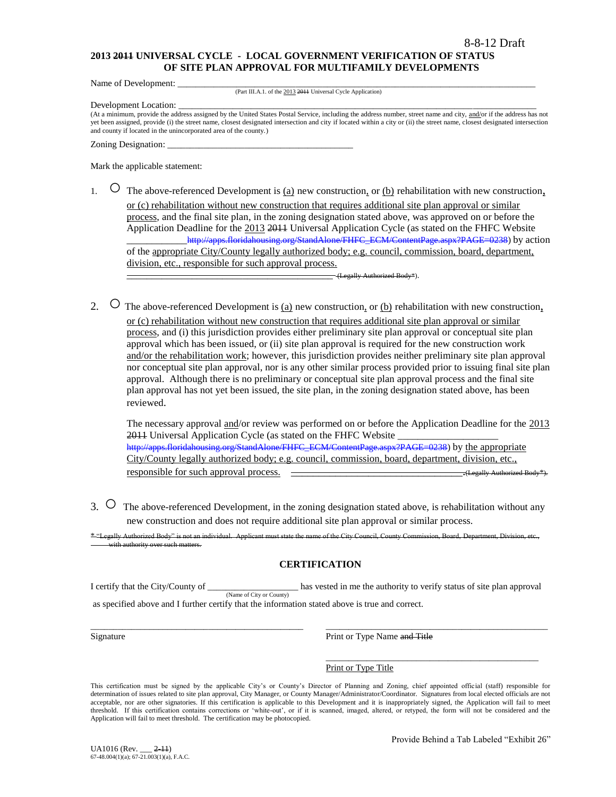#### **2013 2011 UNIVERSAL CYCLE - LOCAL GOVERNMENT VERIFICATION OF STATUS OF SITE PLAN APPROVAL FOR MULTIFAMILY DEVELOPMENTS**

Name of Development:

(Part III.A.1. of the 2013 2011 Universal Cycle Application)

Development Location:

(At a minimum, provide the address assigned by the United States Postal Service, including the address number, street name and city, and/or if the address has not yet been assigned, provide (i) the street name, closest designated intersection and city if located within a city or (ii) the street name, closest designated intersection and county if located in the unincorporated area of the county.)

Zoning Designation:

Mark the applicable statement:

- 1.  $\circ$  The above-referenced Development is <u>(a)</u> new construction, or <u>(b)</u> rehabilitation with new construction, or (c) rehabilitation without new construction that requires additional site plan approval or similar process, and the final site plan, in the zoning designation stated above, was approved on or before the Application Deadline for the 2013 2011 Universal Application Cycle (as stated on the FHFC Website [http://apps.floridahousing.org/StandAlone/FHFC\\_ECM/ContentPage.aspx?PAGE=0238\)](http://apps.floridahousing.org/StandAlone/FHFC_ECM/ContentPage.aspx?PAGE=0238) by action of the appropriate City/County legally authorized body; e.g. council, commission, board, department, division, etc., responsible for such approval process.
	- \_\_\_\_\_\_\_\_\_\_\_\_\_\_\_\_\_\_\_\_\_\_\_\_\_\_\_\_\_\_\_\_\_\_\_\_\_\_\_\_\_ (Legally Authorized Body\*).
- 2.  $\circ$  The above-referenced Development is (a) new construction, or (b) rehabilitation with new construction, or (c) rehabilitation without new construction that requires additional site plan approval or similar process, and (i) this jurisdiction provides either preliminary site plan approval or conceptual site plan approval which has been issued, or (ii) site plan approval is required for the new construction work and/or the rehabilitation work; however, this jurisdiction provides neither preliminary site plan approval nor conceptual site plan approval, nor is any other similar process provided prior to issuing final site plan approval. Although there is no preliminary or conceptual site plan approval process and the final site plan approval has not yet been issued, the site plan, in the zoning designation stated above, has been reviewed.

The necessary approval and/or review was performed on or before the Application Deadline for the 2013 2011 Universal Application Cycle (as stated on the FHFC Website [http://apps.floridahousing.org/StandAlone/FHFC\\_ECM/ContentPage.aspx?PAGE=0238\)](http://apps.floridahousing.org/StandAlone/FHFC_ECM/ContentPage.aspx?PAGE=0238) by the appropriate City/County legally authorized body; e.g. council, commission, board, department, division, etc., responsible for such approval process. \_\_\_\_\_\_\_\_\_\_\_\_\_\_\_\_\_\_\_\_\_\_\_\_\_\_\_\_\_\_\_.(Legally Authorized Body\*).

3. O The above-referenced Development, in the zoning designation stated above, is rehabilitation without any new construction and does not require additional site plan approval or similar process.

ant must state the name of the City Council, County Commission, Board, County Commission, Department, Department, D with authority over such matters.

## **CERTIFICATION**

I certify that the City/County of \_\_\_\_\_\_\_\_\_\_\_\_\_\_\_\_\_\_\_\_ has vested in me the authority to verify status of site plan approval (Name of City or County) as specified above and I further certify that the information stated above is true and correct.

\_\_\_\_\_\_\_\_\_\_\_\_\_\_\_\_\_\_\_\_\_\_\_\_\_\_\_\_\_\_\_\_\_\_\_\_\_\_\_\_\_\_\_\_\_\_\_ \_\_\_\_\_\_\_\_\_\_\_\_\_\_\_\_\_\_\_\_\_\_\_\_\_\_\_\_\_\_\_\_\_\_\_\_\_\_\_\_\_\_\_\_\_\_\_\_\_

Signature **Print or Type Name and Title** 

\_\_\_\_\_\_\_\_\_\_\_\_\_\_\_\_\_\_\_\_\_\_\_\_\_\_\_\_\_\_\_\_\_\_\_\_\_\_\_\_\_\_\_\_\_\_\_ Print or Type Title

This certification must be signed by the applicable City's or County's Director of Planning and Zoning, chief appointed official (staff) responsible for determination of issues related to site plan approval, City Manager, or County Manager/Administrator/Coordinator. Signatures from local elected officials are not acceptable, nor are other signatories. If this certification is applicable to this Development and it is inappropriately signed, the Application will fail to meet threshold. If this certification contains corrections or "white-out", or if it is scanned, imaged, altered, or retyped, the form will not be considered and the Application will fail to meet threshold. The certification may be photocopied.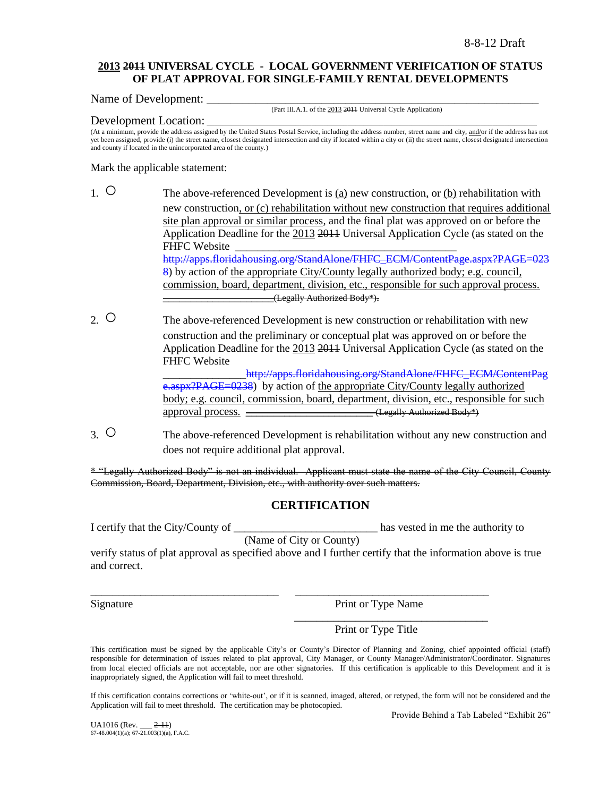## **2013 2011 UNIVERSAL CYCLE - LOCAL GOVERNMENT VERIFICATION OF STATUS OF PLAT APPROVAL FOR SINGLE-FAMILY RENTAL DEVELOPMENTS**

Name of Development:

(Part III.A.1. of the 2013 2011 Universal Cycle Application)

Development Location:

(At a minimum, provide the address assigned by the United States Postal Service, including the address number, street name and city, and/or if the address has not yet been assigned, provide (i) the street name, closest designated intersection and city if located within a city or (ii) the street name, closest designated intersection and county if located in the unincorporated area of the county.)

Mark the applicable statement:

- 1.  $\circ$  The above-referenced Development is <u>(a)</u> new construction, or (b) rehabilitation with new construction, or (c) rehabilitation without new construction that requires additional site plan approval or similar process, and the final plat was approved on or before the Application Deadline for the 2013 2011 Universal Application Cycle (as stated on the FHFC Website [http://apps.floridahousing.org/StandAlone/FHFC\\_ECM/ContentPage.aspx?PAGE=023](http://apps.floridahousing.org/StandAlone/FHFC_ECM/ContentPage.aspx?PAGE=0238) [8\)](http://apps.floridahousing.org/StandAlone/FHFC_ECM/ContentPage.aspx?PAGE=0238) by action of the appropriate City/County legally authorized body; e.g. council, commission, board, department, division, etc., responsible for such approval process. \_\_\_\_\_\_\_\_\_\_\_\_\_\_\_\_\_\_\_\_(Legally Authorized Body\*).
- 2. O The above-referenced Development is new construction or rehabilitation with new construction and the preliminary or conceptual plat was approved on or before the Application Deadline for the 2013 2011 Universal Application Cycle (as stated on the FHFC Website http://apps.floridahousing.org/StandAlone/FHFC\_ECM/ContentPag

[e.aspx?PAGE=0238\)](http://apps.floridahousing.org/StandAlone/FHFC_ECM/ContentPage.aspx?PAGE=0238) by action of the appropriate City/County legally authorized body; e.g. council, commission, board, department, division, etc., responsible for such approval process.  $\overline{\phantom{a}}$  (Legally Authorized Body\*)

3. ○ The above-referenced Development is rehabilitation without any new construction and does not require additional plat approval.

\* "Legally Authorized Body" is not an individual. Applicant must state the name of the City Council, County Commission, Board, Department, Division, etc., with authority over such matters.

# **CERTIFICATION**

I certify that the City/County of the contract the contract of the subseted in me the authority to

(Name of City or County)

verify status of plat approval as specified above and I further certify that the information above is true and correct.

\_\_\_\_\_\_\_\_\_\_\_\_\_\_\_\_\_\_\_\_\_\_\_\_\_\_\_\_\_\_\_\_\_\_ \_\_\_\_\_\_\_\_\_\_\_\_\_\_\_\_\_\_\_\_\_\_\_\_\_\_\_\_\_\_\_\_\_\_\_

Signature Print or Type Name

\_\_\_\_\_\_\_\_\_\_\_\_\_\_\_\_\_\_\_\_\_\_\_\_\_\_\_\_\_\_\_\_\_\_\_

Print or Type Title

This certification must be signed by the applicable City"s or County"s Director of Planning and Zoning, chief appointed official (staff) responsible for determination of issues related to plat approval, City Manager, or County Manager/Administrator/Coordinator. Signatures from local elected officials are not acceptable, nor are other signatories. If this certification is applicable to this Development and it is inappropriately signed, the Application will fail to meet threshold.

If this certification contains corrections or "white-out", or if it is scanned, imaged, altered, or retyped, the form will not be considered and the Application will fail to meet threshold. The certification may be photocopied.

Provide Behind a Tab Labeled "Exhibit 26"

UA1016 (Rev. \_\_\_ 2-11) 67-48.004(1)(a); 67-21.003(1)(a), F.A.C.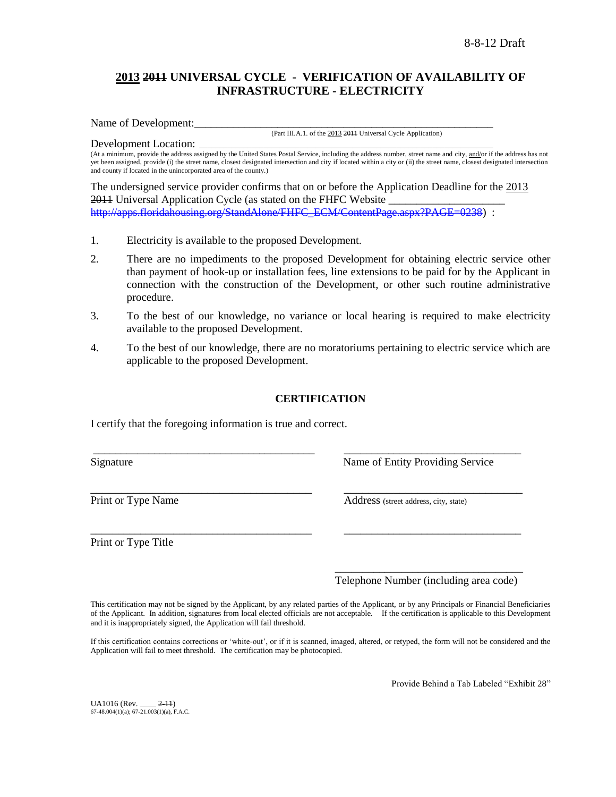# **2013 2011 UNIVERSAL CYCLE - VERIFICATION OF AVAILABILITY OF INFRASTRUCTURE - ELECTRICITY**

Name of Development:

(Part III.A.1. of the 2013 2011 Universal Cycle Application)

Development Location: (At a minimum, provide the address assigned by the United States Postal Service, including the address number, street name and city, and/or if the address has not yet been assigned, provide (i) the street name, closest designated intersection and city if located within a city or (ii) the street name, closest designated intersection and county if located in the unincorporated area of the county.)

The undersigned service provider confirms that on or before the Application Deadline for the 2013 2011 Universal Application Cycle (as stated on the FHFC Website \_ [http://apps.floridahousing.org/StandAlone/FHFC\\_ECM/ContentPage.aspx?PAGE=0238\)](http://apps.floridahousing.org/StandAlone/FHFC_ECM/ContentPage.aspx?PAGE=0238) :

- 1. Electricity is available to the proposed Development.
- 2. There are no impediments to the proposed Development for obtaining electric service other than payment of hook-up or installation fees, line extensions to be paid for by the Applicant in connection with the construction of the Development, or other such routine administrative procedure.
- 3. To the best of our knowledge, no variance or local hearing is required to make electricity available to the proposed Development.
- 4. To the best of our knowledge, there are no moratoriums pertaining to electric service which are applicable to the proposed Development.

## **CERTIFICATION**

\_\_\_\_\_\_\_\_\_\_\_\_\_\_\_\_\_\_\_\_\_\_\_\_\_\_\_\_\_\_\_\_\_\_\_\_\_\_\_\_ \_\_\_\_\_\_\_\_\_\_\_\_\_\_\_\_\_\_\_\_\_\_\_\_\_\_\_\_\_\_\_\_

\_\_\_\_\_\_\_\_\_\_\_\_\_\_\_\_\_\_\_\_\_\_\_\_\_\_\_\_\_\_\_\_\_\_\_\_\_\_\_\_ \_\_\_\_\_\_\_\_\_\_\_\_\_\_\_\_\_\_\_\_\_\_\_\_\_\_\_\_\_\_\_\_

I certify that the foregoing information is true and correct.

Signature Name of Entity Providing Service

Print or Type Name Address (street address, city, state)

Print or Type Title

\_\_\_\_\_\_\_\_\_\_\_\_\_\_\_\_\_\_\_\_\_\_\_\_\_\_\_\_\_\_\_\_\_\_ Telephone Number (including area code)

This certification may not be signed by the Applicant, by any related parties of the Applicant, or by any Principals or Financial Beneficiaries of the Applicant. In addition, signatures from local elected officials are not acceptable. If the certification is applicable to this Development and it is inappropriately signed, the Application will fail threshold.

If this certification contains corrections or 'white-out', or if it is scanned, imaged, altered, or retyped, the form will not be considered and the Application will fail to meet threshold. The certification may be photocopied.

Provide Behind a Tab Labeled "Exhibit 28"

UA1016 (Rev. \_\_\_\_ 2-11)  $67-48.004(1)(a)$ ;  $67-21.003(1)(a)$ , F.A.C.

\_\_\_\_\_\_\_\_\_\_\_\_\_\_\_\_\_\_\_\_\_\_\_\_\_\_\_\_\_\_\_\_\_\_\_\_ \_\_\_\_\_\_\_\_\_\_\_\_\_\_\_\_\_\_\_\_\_\_\_\_\_\_\_\_\_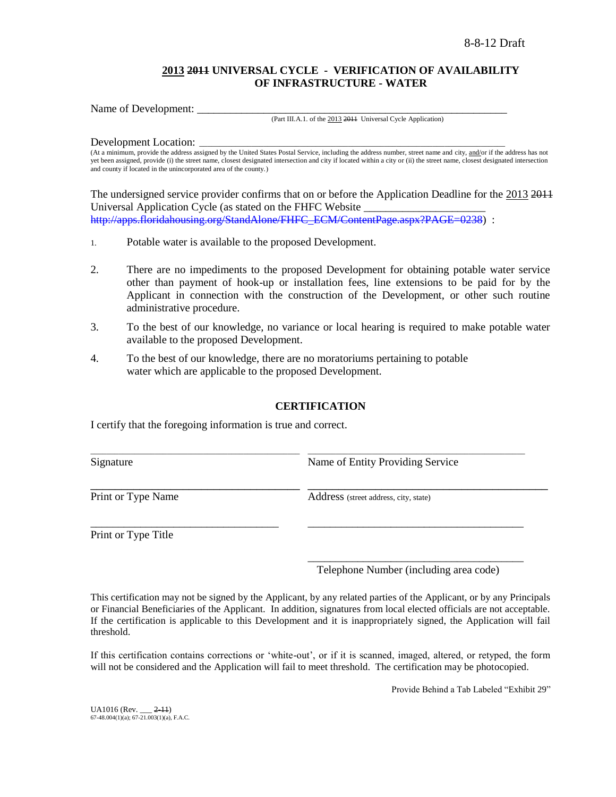## **2013 2011 UNIVERSAL CYCLE - VERIFICATION OF AVAILABILITY OF INFRASTRUCTURE - WATER**

Name of Development:

#### (Part III.A.1. of the 2013 2011 Universal Cycle Application)

Development Location:

(At a minimum, provide the address assigned by the United States Postal Service, including the address number, street name and city, and/or if the address has not yet been assigned, provide (i) the street name, closest designated intersection and city if located within a city or (ii) the street name, closest designated intersection and county if located in the unincorporated area of the county.)

The undersigned service provider confirms that on or before the Application Deadline for the 2013 2011 Universal Application Cycle (as stated on the FHFC Website \_\_\_\_\_\_\_\_\_\_\_\_\_\_\_\_\_\_\_\_\_\_ [http://apps.floridahousing.org/StandAlone/FHFC\\_ECM/ContentPage.aspx?PAGE=0238\)](http://apps.floridahousing.org/StandAlone/FHFC_ECM/ContentPage.aspx?PAGE=0238) :

- 1. Potable water is available to the proposed Development.
- 2. There are no impediments to the proposed Development for obtaining potable water service other than payment of hook-up or installation fees, line extensions to be paid for by the Applicant in connection with the construction of the Development, or other such routine administrative procedure.
- 3. To the best of our knowledge, no variance or local hearing is required to make potable water available to the proposed Development.
- 4. To the best of our knowledge, there are no moratoriums pertaining to potable water which are applicable to the proposed Development.

## **CERTIFICATION**

I certify that the foregoing information is true and correct.

| Signature          | Name of Entity Providing Service      |
|--------------------|---------------------------------------|
| Print or Type Name | Address (street address, city, state) |
|                    |                                       |

Print or Type Title

\_\_\_\_\_\_\_\_\_\_\_\_\_\_\_\_\_\_\_\_\_\_\_\_\_\_\_\_\_\_\_\_\_\_\_\_\_\_\_ Telephone Number (including area code)

This certification may not be signed by the Applicant, by any related parties of the Applicant, or by any Principals or Financial Beneficiaries of the Applicant. In addition, signatures from local elected officials are not acceptable. If the certification is applicable to this Development and it is inappropriately signed, the Application will fail threshold.

If this certification contains corrections or "white-out", or if it is scanned, imaged, altered, or retyped, the form will not be considered and the Application will fail to meet threshold. The certification may be photocopied.

Provide Behind a Tab Labeled "Exhibit 29"

UA1016 (Rev. \_\_\_ 2-11)  $67-48.004(1)(a)$ ;  $67-21.003(1)(a)$ , F.A.C.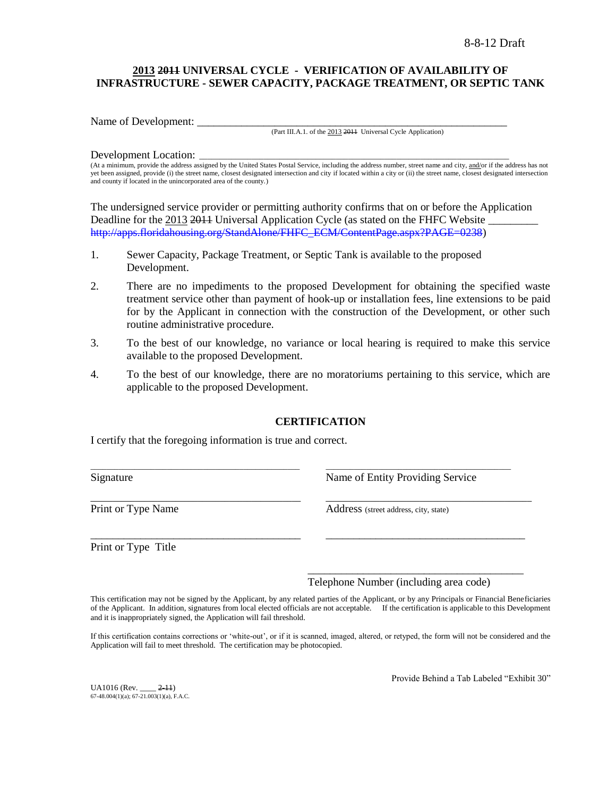# **2013 2011 UNIVERSAL CYCLE - VERIFICATION OF AVAILABILITY OF INFRASTRUCTURE - SEWER CAPACITY, PACKAGE TREATMENT, OR SEPTIC TANK**

Name of Development:

(Part III.A.1. of the 2013 2011 Universal Cycle Application)

#### Development Location:

(At a minimum, provide the address assigned by the United States Postal Service, including the address number, street name and city, and/or if the address has not yet been assigned, provide (i) the street name, closest designated intersection and city if located within a city or (ii) the street name, closest designated intersection and county if located in the unincorporated area of the county.)

The undersigned service provider or permitting authority confirms that on or before the Application Deadline for the 2013 2011 Universal Application Cycle (as stated on the FHFC Website [http://apps.floridahousing.org/StandAlone/FHFC\\_ECM/ContentPage.aspx?PAGE=0238\)](http://apps.floridahousing.org/StandAlone/FHFC_ECM/ContentPage.aspx?PAGE=0238)

- 1. Sewer Capacity, Package Treatment, or Septic Tank is available to the proposed Development.
- 2. There are no impediments to the proposed Development for obtaining the specified waste treatment service other than payment of hook-up or installation fees, line extensions to be paid for by the Applicant in connection with the construction of the Development, or other such routine administrative procedure.
- 3. To the best of our knowledge, no variance or local hearing is required to make this service available to the proposed Development.
- 4. To the best of our knowledge, there are no moratoriums pertaining to this service, which are applicable to the proposed Development.

## **CERTIFICATION**

 $\_$  ,  $\_$  ,  $\_$  ,  $\_$  ,  $\_$  ,  $\_$  ,  $\_$  ,  $\_$  ,  $\_$  ,  $\_$  ,  $\_$  ,  $\_$  ,  $\_$  ,  $\_$  ,  $\_$  ,  $\_$  ,  $\_$  ,  $\_$  ,  $\_$  ,  $\_$  ,  $\_$  ,  $\_$  ,  $\_$  ,  $\_$  ,  $\_$  ,  $\_$  ,  $\_$  ,  $\_$  ,  $\_$  ,  $\_$  ,  $\_$  ,  $\_$  ,  $\_$  ,  $\_$  ,  $\_$  ,  $\_$  ,  $\_$  ,

\_\_\_\_\_\_\_\_\_\_\_\_\_\_\_\_\_\_\_\_\_\_\_\_\_\_\_\_\_\_\_\_\_\_\_\_\_\_\_\_\_\_\_\_\_\_\_ \_\_\_\_\_\_\_\_\_\_\_\_\_\_\_\_\_\_\_\_\_\_\_\_\_\_\_\_\_\_\_\_\_\_\_\_\_\_\_\_\_\_\_\_\_\_

\_\_\_\_\_\_\_\_\_\_\_\_\_\_\_\_\_\_\_\_\_\_\_\_\_\_\_\_\_\_\_\_\_\_\_\_\_\_ \_\_\_\_\_\_\_\_\_\_\_\_\_\_\_\_\_\_\_\_\_\_\_\_\_\_\_\_\_\_\_\_\_\_\_\_

I certify that the foregoing information is true and correct.

Signature Name of Entity Providing Service

Print or Type Name<br>
Address (street address, city, state)

Print or Type Title

Telephone Number (including area code)

\_\_\_\_\_\_\_\_\_\_\_\_\_\_\_\_\_\_\_\_\_\_\_\_\_\_\_\_\_\_\_\_\_\_\_\_\_\_\_

This certification may not be signed by the Applicant, by any related parties of the Applicant, or by any Principals or Financial Beneficiaries of the Applicant. In addition, signatures from local elected officials are not acceptable. If the certification is applicable to this Development and it is inappropriately signed, the Application will fail threshold.

If this certification contains corrections or "white-out", or if it is scanned, imaged, altered, or retyped, the form will not be considered and the Application will fail to meet threshold. The certification may be photocopied.

 $UA1016$  (Rev.  $2-11$ )  $67-48.004(1)(a)$ ;  $67-21.003(1)(a)$ , F.A.C. Provide Behind a Tab Labeled "Exhibit 30"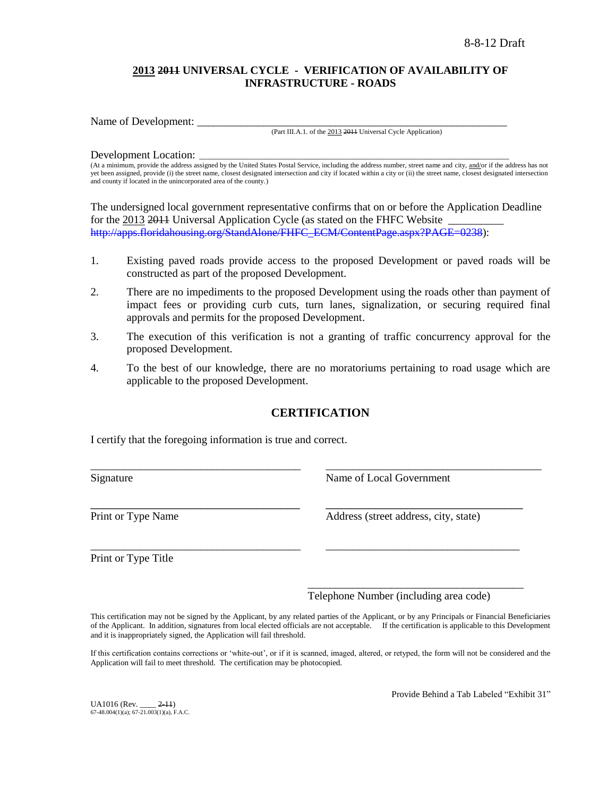## **2013 2011 UNIVERSAL CYCLE - VERIFICATION OF AVAILABILITY OF INFRASTRUCTURE - ROADS**

Name of Development:

(Part III.A.1. of the 2013 2011 Universal Cycle Application)

#### Development Location:

(At a minimum, provide the address assigned by the United States Postal Service, including the address number, street name and city, and/or if the address has not yet been assigned, provide (i) the street name, closest designated intersection and city if located within a city or (ii) the street name, closest designated intersection and county if located in the unincorporated area of the county.)

The undersigned local government representative confirms that on or before the Application Deadline for the 2013 2014 Universal Application Cycle (as stated on the FHFC Website [http://apps.floridahousing.org/StandAlone/FHFC\\_ECM/ContentPage.aspx?PAGE=0238\)](http://apps.floridahousing.org/StandAlone/FHFC_ECM/ContentPage.aspx?PAGE=0238):

- 1. Existing paved roads provide access to the proposed Development or paved roads will be constructed as part of the proposed Development.
- 2. There are no impediments to the proposed Development using the roads other than payment of impact fees or providing curb cuts, turn lanes, signalization, or securing required final approvals and permits for the proposed Development.
- 3. The execution of this verification is not a granting of traffic concurrency approval for the proposed Development.
- 4. To the best of our knowledge, there are no moratoriums pertaining to road usage which are applicable to the proposed Development.

# **CERTIFICATION**

\_\_\_\_\_\_\_\_\_\_\_\_\_\_\_\_\_\_\_\_\_\_\_\_\_\_\_\_\_\_\_\_\_\_\_\_\_\_ \_\_\_\_\_\_\_\_\_\_\_\_\_\_\_\_\_\_\_\_\_\_\_\_\_\_\_\_\_\_\_\_\_\_\_\_\_\_\_

\_\_\_\_\_\_\_\_\_\_\_\_\_\_\_\_\_\_\_\_\_\_\_\_\_\_\_\_\_\_\_\_\_\_ \_\_\_\_\_\_\_\_\_\_\_\_\_\_\_\_\_\_\_\_\_\_\_\_\_\_\_\_\_\_\_\_

\_\_\_\_\_\_\_\_\_\_\_\_\_\_\_\_\_\_\_\_\_\_\_\_\_\_\_\_\_\_\_\_\_\_\_\_\_\_ \_\_\_\_\_\_\_\_\_\_\_\_\_\_\_\_\_\_\_\_\_\_\_\_\_\_\_\_\_\_\_\_\_\_\_

I certify that the foregoing information is true and correct.

Signature Name of Local Government

Print or Type Name Address (street address, city, state)

Print or Type Title

Telephone Number (including area code)

\_\_\_\_\_\_\_\_\_\_\_\_\_\_\_\_\_\_\_\_\_\_\_\_\_\_\_\_\_\_\_\_\_\_\_\_\_\_\_

This certification may not be signed by the Applicant, by any related parties of the Applicant, or by any Principals or Financial Beneficiaries of the Applicant. In addition, signatures from local elected officials are not acceptable. If the certification is applicable to this Development and it is inappropriately signed, the Application will fail threshold.

If this certification contains corrections or 'white-out', or if it is scanned, imaged, altered, or retyped, the form will not be considered and the Application will fail to meet threshold. The certification may be photocopied.

UA1016 (Rev. \_\_\_\_ 2-11)  $67-48.004(1)(a)$ ;  $67-21.003(1)(a)$ , F.A.C. Provide Behind a Tab Labeled "Exhibit 31"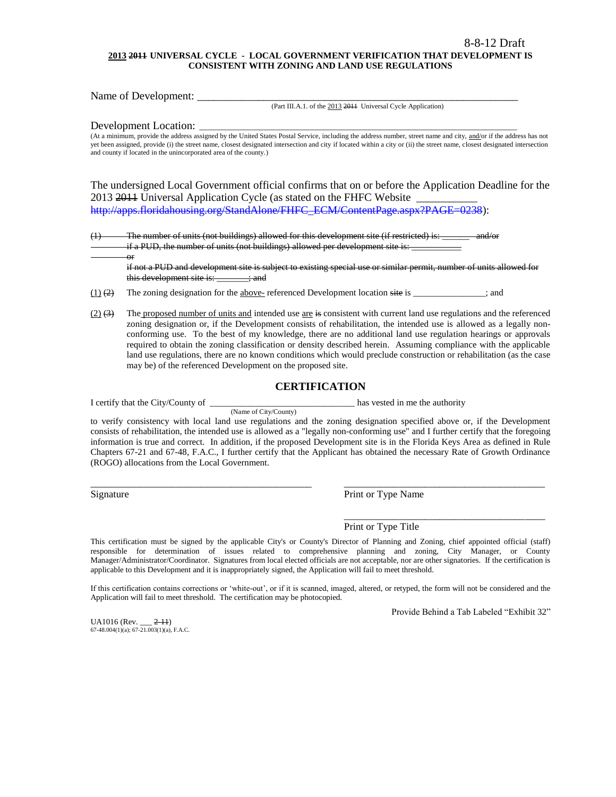#### **2013 2011 UNIVERSAL CYCLE - LOCAL GOVERNMENT VERIFICATION THAT DEVELOPMENT IS CONSISTENT WITH ZONING AND LAND USE REGULATIONS**

Name of Development: \_\_\_\_\_\_\_\_\_\_\_\_\_\_\_\_\_\_\_\_\_\_\_\_\_\_\_\_\_\_\_\_\_\_\_\_\_\_\_\_\_\_\_\_\_\_\_\_\_\_\_\_\_\_\_\_\_\_

(Part III.A.1. of the 2013 2011 Universal Cycle Application)

Development Location:

or

(At a minimum, provide the address assigned by the United States Postal Service, including the address number, street name and city, and/or if the address has not yet been assigned, provide (i) the street name, closest designated intersection and city if located within a city or (ii) the street name, closest designated intersection and county if located in the unincorporated area of the county.)

The undersigned Local Government official confirms that on or before the Application Deadline for the 2013 2014 Universal Application Cycle (as stated on the FHFC Website [http://apps.floridahousing.org/StandAlone/FHFC\\_ECM/ContentPage.aspx?PAGE=0238\)](http://apps.floridahousing.org/StandAlone/FHFC_ECM/ContentPage.aspx?PAGE=0238):

(1) The number of units (not buildings) allowed for this development site (if restricted) is: \_\_\_\_\_\_ and/or if a PUD, the number of units (not buildings) allowed per development site is:

if not a PUD and development site is subject to existing special use or similar permit, number of units allowed for this development site is:  $\longrightarrow$ 

 $(1)$  (2) The zoning designation for the above- referenced Development location site is \_\_\_\_\_\_\_\_\_\_\_\_; and

(Name of City/County)

 $(2)$   $(3)$  The proposed number of units and intended use are is consistent with current land use regulations and the referenced zoning designation or, if the Development consists of rehabilitation, the intended use is allowed as a legally nonconforming use. To the best of my knowledge, there are no additional land use regulation hearings or approvals required to obtain the zoning classification or density described herein. Assuming compliance with the applicable land use regulations, there are no known conditions which would preclude construction or rehabilitation (as the case may be) of the referenced Development on the proposed site.

#### **CERTIFICATION**

I certify that the City/County of \_\_\_\_\_\_\_\_\_\_\_\_\_\_\_\_\_\_\_\_\_\_\_\_\_\_\_\_\_\_\_\_ has vested in me the authority

to verify consistency with local land use regulations and the zoning designation specified above or, if the Development consists of rehabilitation, the intended use is allowed as a "legally non-conforming use" and I further certify that the foregoing information is true and correct. In addition, if the proposed Development site is in the Florida Keys Area as defined in Rule Chapters 67-21 and 67-48, F.A.C., I further certify that the Applicant has obtained the necessary Rate of Growth Ordinance (ROGO) allocations from the Local Government.

\_\_\_\_\_\_\_\_\_\_\_\_\_\_\_\_\_\_\_\_\_\_\_\_\_\_\_\_\_\_\_\_\_\_\_\_\_\_\_\_\_\_\_\_ \_\_\_\_\_\_\_\_\_\_\_\_\_\_\_\_\_\_\_\_\_\_\_\_\_\_\_\_\_\_\_\_\_\_\_\_\_\_\_\_

Signature Print or Type Name

Print or Type Title

This certification must be signed by the applicable City's or County's Director of Planning and Zoning, chief appointed official (staff) responsible for determination of issues related to comprehensive planning and zoning, City Manager, or County Manager/Administrator/Coordinator. Signatures from local elected officials are not acceptable, nor are other signatories. If the certification is applicable to this Development and it is inappropriately signed, the Application will fail to meet threshold.

If this certification contains corrections or "white-out", or if it is scanned, imaged, altered, or retyped, the form will not be considered and the Application will fail to meet threshold. The certification may be photocopied.

Provide Behind a Tab Labeled "Exhibit 32"

\_\_\_\_\_\_\_\_\_\_\_\_\_\_\_\_\_\_\_\_\_\_\_\_\_\_\_\_\_\_\_\_\_\_\_\_\_\_\_\_

 $UA1016$  (Rev.  $2-11$ )  $67-48.004(1)(a)$ ;  $67-21.003(1)(a)$ , F.A.C.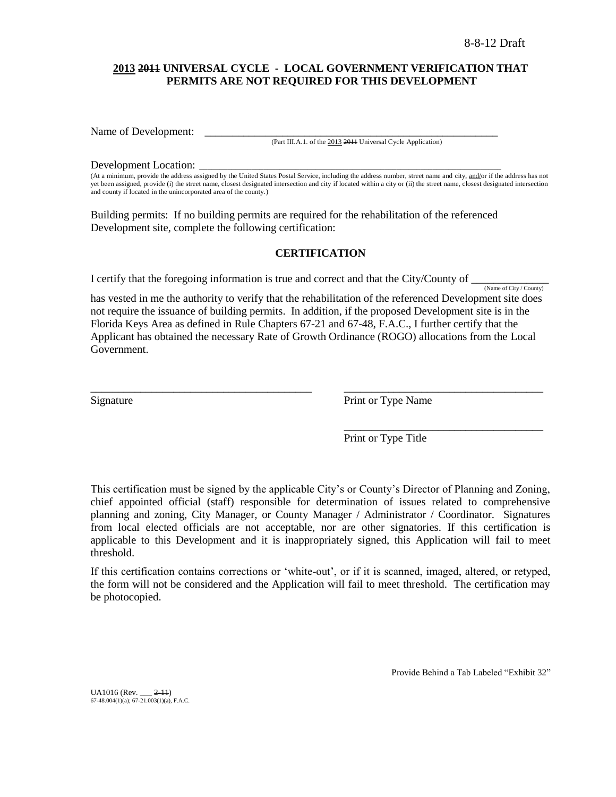## **2013 2011 UNIVERSAL CYCLE - LOCAL GOVERNMENT VERIFICATION THAT PERMITS ARE NOT REQUIRED FOR THIS DEVELOPMENT**

Name of Development:

(Part III.A.1. of the 2013 2011 Universal Cycle Application)

#### Development Location:

(At a minimum, provide the address assigned by the United States Postal Service, including the address number, street name and city, and/or if the address has not yet been assigned, provide (i) the street name, closest designated intersection and city if located within a city or (ii) the street name, closest designated intersection and county if located in the unincorporated area of the county.)

Building permits: If no building permits are required for the rehabilitation of the referenced Development site, complete the following certification:

## **CERTIFICATION**

I certify that the foregoing information is true and correct and that the City/County of

(Name of City / County) has vested in me the authority to verify that the rehabilitation of the referenced Development site does not require the issuance of building permits. In addition, if the proposed Development site is in the Florida Keys Area as defined in Rule Chapters 67-21 and 67-48, F.A.C., I further certify that the Applicant has obtained the necessary Rate of Growth Ordinance (ROGO) allocations from the Local Government.

\_\_\_\_\_\_\_\_\_\_\_\_\_\_\_\_\_\_\_\_\_\_\_\_\_\_\_\_\_\_\_\_\_\_\_\_\_\_\_\_ \_\_\_\_\_\_\_\_\_\_\_\_\_\_\_\_\_\_\_\_\_\_\_\_\_\_\_\_\_\_\_\_\_\_\_\_

Signature Print or Type Name

Print or Type Title

\_\_\_\_\_\_\_\_\_\_\_\_\_\_\_\_\_\_\_\_\_\_\_\_\_\_\_\_\_\_\_\_\_\_\_\_

This certification must be signed by the applicable City"s or County"s Director of Planning and Zoning, chief appointed official (staff) responsible for determination of issues related to comprehensive planning and zoning, City Manager, or County Manager / Administrator / Coordinator. Signatures from local elected officials are not acceptable, nor are other signatories. If this certification is applicable to this Development and it is inappropriately signed, this Application will fail to meet threshold.

If this certification contains corrections or "white-out", or if it is scanned, imaged, altered, or retyped, the form will not be considered and the Application will fail to meet threshold. The certification may be photocopied.

Provide Behind a Tab Labeled "Exhibit 32"

UA1016 (Rev. \_\_\_ 2-11) 67-48.004(1)(a); 67-21.003(1)(a), F.A.C.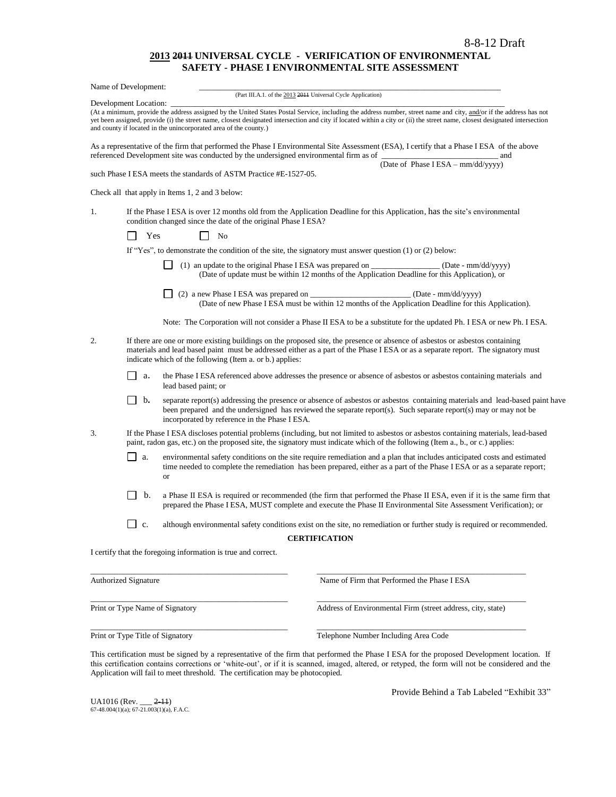#### **2013 2011 UNIVERSAL CYCLE - VERIFICATION OF ENVIRONMENTAL SAFETY - PHASE I ENVIRONMENTAL SITE ASSESSMENT**

|                                                                                                                                                                                                                                                                                                                                    | Name of Development:            |                                                                                                                                                                                                                                                                                                                                                                                                                      |
|------------------------------------------------------------------------------------------------------------------------------------------------------------------------------------------------------------------------------------------------------------------------------------------------------------------------------------|---------------------------------|----------------------------------------------------------------------------------------------------------------------------------------------------------------------------------------------------------------------------------------------------------------------------------------------------------------------------------------------------------------------------------------------------------------------|
|                                                                                                                                                                                                                                                                                                                                    | Development Location:           | (Part III.A.1. of the 2013 2011 Universal Cycle Application)                                                                                                                                                                                                                                                                                                                                                         |
|                                                                                                                                                                                                                                                                                                                                    |                                 | (At a minimum, provide the address assigned by the United States Postal Service, including the address number, street name and city, and/or if the address has not<br>yet been assigned, provide (i) the street name, closest designated intersection and city if located within a city or (ii) the street name, closest designated intersection<br>and county if located in the unincorporated area of the county.) |
|                                                                                                                                                                                                                                                                                                                                    |                                 | As a representative of the firm that performed the Phase I Environmental Site Assessment (ESA), I certify that a Phase I ESA of the above<br>referenced Development site was conducted by the undersigned environmental firm as of<br>and                                                                                                                                                                            |
|                                                                                                                                                                                                                                                                                                                                    |                                 | (Date of Phase $I$ ESA – mm/dd/yyyy)<br>such Phase I ESA meets the standards of ASTM Practice #E-1527-05.                                                                                                                                                                                                                                                                                                            |
|                                                                                                                                                                                                                                                                                                                                    |                                 | Check all that apply in Items 1, 2 and 3 below:                                                                                                                                                                                                                                                                                                                                                                      |
| 1.                                                                                                                                                                                                                                                                                                                                 |                                 | If the Phase I ESA is over 12 months old from the Application Deadline for this Application, has the site's environmental<br>condition changed since the date of the original Phase I ESA?                                                                                                                                                                                                                           |
|                                                                                                                                                                                                                                                                                                                                    | Yes                             | No                                                                                                                                                                                                                                                                                                                                                                                                                   |
|                                                                                                                                                                                                                                                                                                                                    |                                 | If "Yes", to demonstrate the condition of the site, the signatory must answer question (1) or (2) below:                                                                                                                                                                                                                                                                                                             |
|                                                                                                                                                                                                                                                                                                                                    |                                 | (1) an update to the original Phase I ESA was prepared on __<br>$\qquad$ (Date - mm/dd/yyyy)<br>(Date of update must be within 12 months of the Application Deadline for this Application), or                                                                                                                                                                                                                       |
|                                                                                                                                                                                                                                                                                                                                    |                                 | (Date - mm/dd/yyyy)<br>(Date of new Phase I ESA must be within 12 months of the Application Deadline for this Application).                                                                                                                                                                                                                                                                                          |
|                                                                                                                                                                                                                                                                                                                                    |                                 | Note: The Corporation will not consider a Phase II ESA to be a substitute for the updated Ph. I ESA or new Ph. I ESA.                                                                                                                                                                                                                                                                                                |
| 2.<br>If there are one or more existing buildings on the proposed site, the presence or absence of asbestos or asbestos containing<br>materials and lead based paint must be addressed either as a part of the Phase I ESA or as a separate report. The signatory must<br>indicate which of the following (Item a. or b.) applies: |                                 |                                                                                                                                                                                                                                                                                                                                                                                                                      |
|                                                                                                                                                                                                                                                                                                                                    | $\blacksquare$<br>а.            | the Phase I ESA referenced above addresses the presence or absence of asbestos or asbestos containing materials and<br>lead based paint; or                                                                                                                                                                                                                                                                          |
|                                                                                                                                                                                                                                                                                                                                    | $\mathsf{I}$ b.                 | separate report(s) addressing the presence or absence of asbestos or asbestos containing materials and lead-based paint have<br>been prepared and the undersigned has reviewed the separate report(s). Such separate report(s) may or may not be<br>incorporated by reference in the Phase I ESA.                                                                                                                    |
| 3.                                                                                                                                                                                                                                                                                                                                 |                                 | If the Phase I ESA discloses potential problems (including, but not limited to asbestos or asbestos containing materials, lead-based<br>paint, radon gas, etc.) on the proposed site, the signatory must indicate which of the following (Item a., b., or c.) applies:                                                                                                                                               |
|                                                                                                                                                                                                                                                                                                                                    | a.                              | environmental safety conditions on the site require remediation and a plan that includes anticipated costs and estimated<br>time needed to complete the remediation has been prepared, either as a part of the Phase I ESA or as a separate report;<br>or                                                                                                                                                            |
|                                                                                                                                                                                                                                                                                                                                    | b.                              | a Phase II ESA is required or recommended (the firm that performed the Phase II ESA, even if it is the same firm that<br>prepared the Phase I ESA, MUST complete and execute the Phase II Environmental Site Assessment Verification); or                                                                                                                                                                            |
|                                                                                                                                                                                                                                                                                                                                    | c.                              | although environmental safety conditions exist on the site, no remediation or further study is required or recommended.                                                                                                                                                                                                                                                                                              |
|                                                                                                                                                                                                                                                                                                                                    |                                 | <b>CERTIFICATION</b>                                                                                                                                                                                                                                                                                                                                                                                                 |
|                                                                                                                                                                                                                                                                                                                                    |                                 | I certify that the foregoing information is true and correct.                                                                                                                                                                                                                                                                                                                                                        |
|                                                                                                                                                                                                                                                                                                                                    | <b>Authorized Signature</b>     | Name of Firm that Performed the Phase I ESA                                                                                                                                                                                                                                                                                                                                                                          |
|                                                                                                                                                                                                                                                                                                                                    | Print or Type Name of Signatory | Address of Environmental Firm (street address, city, state)                                                                                                                                                                                                                                                                                                                                                          |

Print or Type Title of Signatory Telephone Number Including Area Code

This certification must be signed by a representative of the firm that performed the Phase I ESA for the proposed Development location.If this certification contains corrections or "white-out", or if it is scanned, imaged, altered, or retyped, the form will not be considered and the Application will fail to meet threshold. The certification may be photocopied.

\_\_\_\_\_\_\_\_\_\_\_\_\_\_\_\_\_\_\_\_\_\_\_\_\_\_\_\_\_\_\_\_\_\_\_\_\_\_\_\_\_\_\_\_\_\_\_\_\_ \_\_\_\_\_\_\_\_\_\_\_\_\_\_\_\_\_\_\_\_\_\_\_\_\_\_\_\_\_\_\_\_\_\_\_\_\_\_\_\_\_\_\_\_\_\_\_\_\_\_\_\_

UA1016 (Rev. \_\_\_ <del>2-11</del>)<br>67-48.004(1)(a); 67-21.003(1)(a), F.A.C.

Provide Behind a Tab Labeled "Exhibit 33"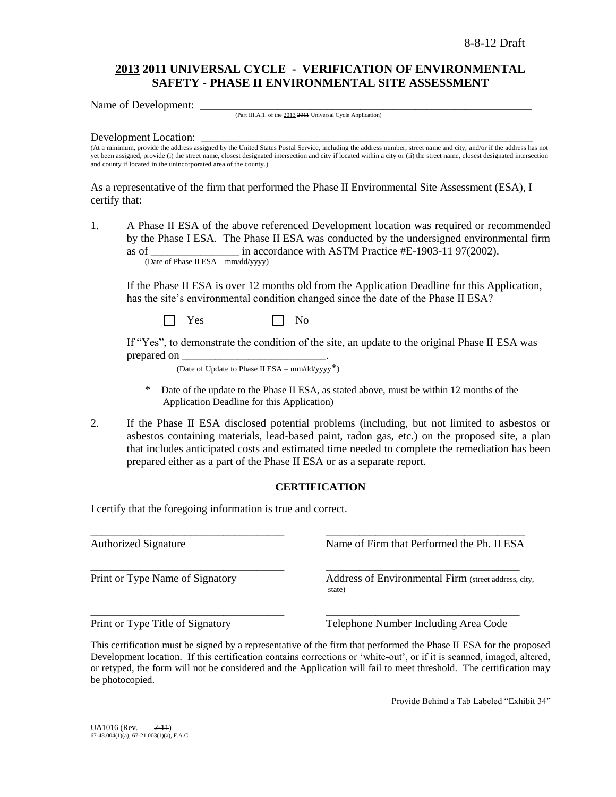# **2013 2011 UNIVERSAL CYCLE - VERIFICATION OF ENVIRONMENTAL SAFETY - PHASE II ENVIRONMENTAL SITE ASSESSMENT**

Name of Development:

(Part III.A.1. of the 2013 2011 Universal Cycle Application)

#### Development Location:

(At a minimum, provide the address assigned by the United States Postal Service, including the address number, street name and city, and/or if the address has not yet been assigned, provide (i) the street name, closest designated intersection and city if located within a city or (ii) the street name, closest designated intersection and county if located in the unincorporated area of the county.)

As a representative of the firm that performed the Phase II Environmental Site Assessment (ESA), I certify that:

1. A Phase II ESA of the above referenced Development location was required or recommended by the Phase I ESA. The Phase II ESA was conducted by the undersigned environmental firm as of  $\frac{1}{2}$  in accordance with ASTM Practice #E-1903-11 97(2002). (Date of Phase II ESA – mm/dd/yyyy)

If the Phase II ESA is over 12 months old from the Application Deadline for this Application, has the site's environmental condition changed since the date of the Phase II ESA?

 $Yes \t\t \Box No$ 

If "Yes", to demonstrate the condition of the site, an update to the original Phase II ESA was prepared on

(Date of Update to Phase II ESA –  $mm/dd/yyyy^*$ )

- Date of the update to the Phase II ESA, as stated above, must be within 12 months of the Application Deadline for this Application)
- 2. If the Phase II ESA disclosed potential problems (including, but not limited to asbestos or asbestos containing materials, lead-based paint, radon gas, etc.) on the proposed site, a plan that includes anticipated costs and estimated time needed to complete the remediation has been prepared either as a part of the Phase II ESA or as a separate report.

## **CERTIFICATION**

I certify that the foregoing information is true and correct.

\_\_\_\_\_\_\_\_\_\_\_\_\_\_\_\_\_\_\_\_\_\_\_\_\_\_\_\_\_\_\_\_\_\_\_ \_\_\_\_\_\_\_\_\_\_\_\_\_\_\_\_\_\_\_\_\_\_\_\_\_\_\_\_\_\_\_\_\_\_\_\_ Authorized Signature The Name of Firm that Performed the Ph. II ESA \_\_\_\_\_\_\_\_\_\_\_\_\_\_\_\_\_\_\_\_\_\_\_\_\_\_\_\_\_\_\_\_\_\_\_ \_\_\_\_\_\_\_\_\_\_\_\_\_\_\_\_\_\_\_\_\_\_\_\_\_\_\_\_\_\_\_\_\_\_\_ Print or Type Name of Signatory **Address** of Environmental Firm (street address, city, state) \_\_\_\_\_\_\_\_\_\_\_\_\_\_\_\_\_\_\_\_\_\_\_\_\_\_\_\_\_\_\_\_\_\_\_ \_\_\_\_\_\_\_\_\_\_\_\_\_\_\_\_\_\_\_\_\_\_\_\_\_\_\_\_\_\_\_\_\_\_\_ Print or Type Title of Signatory Telephone Number Including Area Code

This certification must be signed by a representative of the firm that performed the Phase II ESA for the proposed Development location. If this certification contains corrections or 'white-out', or if it is scanned, imaged, altered, or retyped, the form will not be considered and the Application will fail to meet threshold. The certification may be photocopied.

Provide Behind a Tab Labeled "Exhibit 34"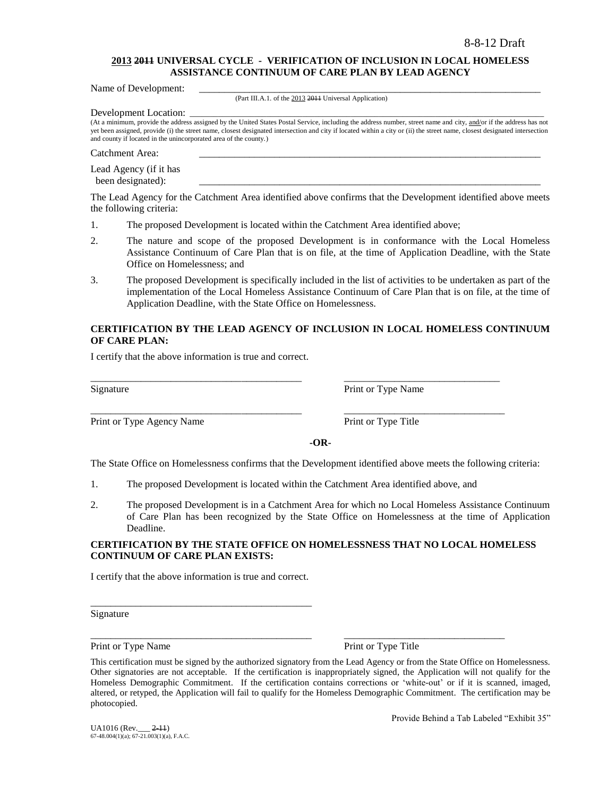### **2013 2011 UNIVERSAL CYCLE - VERIFICATION OF INCLUSION IN LOCAL HOMELESS ASSISTANCE CONTINUUM OF CARE PLAN BY LEAD AGENCY**

Name of Development:

(Part III.A.1. of the 2013 2011 Universal Application)

Development Location:

(At a minimum, provide the address assigned by the United States Postal Service, including the address number, street name and city, and/or if the address has not yet been assigned, provide (i) the street name, closest designated intersection and city if located within a city or (ii) the street name, closest designated intersection and county if located in the unincorporated area of the county.)

Catchment Area:

Lead Agency (if it has been designated):

The Lead Agency for the Catchment Area identified above confirms that the Development identified above meets the following criteria:

- 1. The proposed Development is located within the Catchment Area identified above;
- 2. The nature and scope of the proposed Development is in conformance with the Local Homeless Assistance Continuum of Care Plan that is on file, at the time of Application Deadline, with the State Office on Homelessness; and
- 3. The proposed Development is specifically included in the list of activities to be undertaken as part of the implementation of the Local Homeless Assistance Continuum of Care Plan that is on file, at the time of Application Deadline, with the State Office on Homelessness.

## **CERTIFICATION BY THE LEAD AGENCY OF INCLUSION IN LOCAL HOMELESS CONTINUUM OF CARE PLAN:**

I certify that the above information is true and correct.

Print or Type Agency Name Print or Type Title

Signature Print or Type Name

**-OR-**

The State Office on Homelessness confirms that the Development identified above meets the following criteria:

1. The proposed Development is located within the Catchment Area identified above, and

\_\_\_\_\_\_\_\_\_\_\_\_\_\_\_\_\_\_\_\_\_\_\_\_\_\_\_\_\_\_\_\_\_\_\_\_\_\_\_\_\_\_ \_\_\_\_\_\_\_\_\_\_\_\_\_\_\_\_\_\_\_\_\_\_\_\_\_\_\_\_\_\_\_

\_\_\_\_\_\_\_\_\_\_\_\_\_\_\_\_\_\_\_\_\_\_\_\_\_\_\_\_\_\_\_\_\_\_\_\_\_\_\_\_\_\_ \_\_\_\_\_\_\_\_\_\_\_\_\_\_\_\_\_\_\_\_\_\_\_\_\_\_\_\_\_\_\_\_

2. The proposed Development is in a Catchment Area for which no Local Homeless Assistance Continuum of Care Plan has been recognized by the State Office on Homelessness at the time of Application Deadline.

#### **CERTIFICATION BY THE STATE OFFICE ON HOMELESSNESS THAT NO LOCAL HOMELESS CONTINUUM OF CARE PLAN EXISTS:**

I certify that the above information is true and correct.

\_\_\_\_\_\_\_\_\_\_\_\_\_\_\_\_\_\_\_\_\_\_\_\_\_\_\_\_\_\_\_\_\_\_\_\_\_\_\_\_\_\_\_\_

Signature

Print or Type Name Print or Type Title

\_\_\_\_\_\_\_\_\_\_\_\_\_\_\_\_\_\_\_\_\_\_\_\_\_\_\_\_\_\_\_\_\_\_\_\_\_\_\_\_\_\_\_\_ \_\_\_\_\_\_\_\_\_\_\_\_\_\_\_\_\_\_\_\_\_\_\_\_\_\_\_\_\_\_\_\_

Provide Behind a Tab Labeled "Exhibit 35"

This certification must be signed by the authorized signatory from the Lead Agency or from the State Office on Homelessness. Other signatories are not acceptable. If the certification is inappropriately signed, the Application will not qualify for the Homeless Demographic Commitment. If the certification contains corrections or 'white-out' or if it is scanned, imaged, altered, or retyped, the Application will fail to qualify for the Homeless Demographic Commitment. The certification may be photocopied.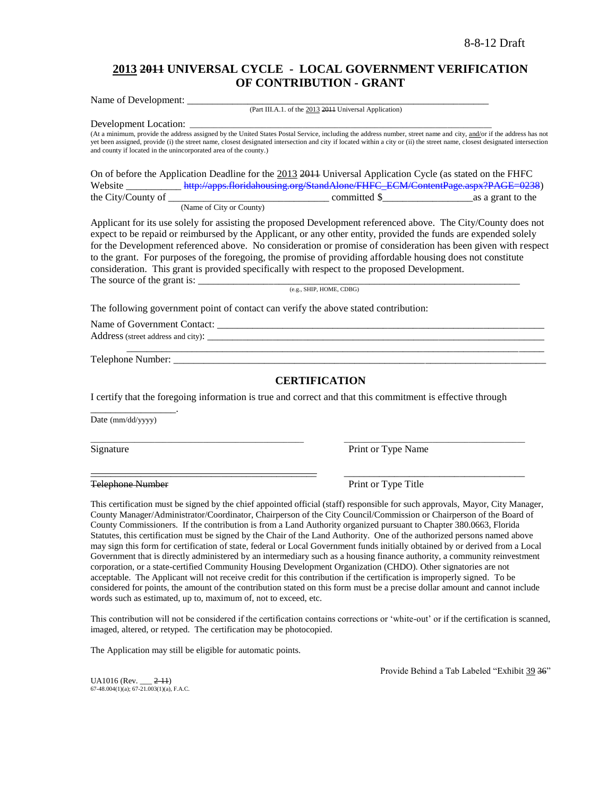# **2013 2011 UNIVERSAL CYCLE - LOCAL GOVERNMENT VERIFICATION OF CONTRIBUTION - GRANT**

Name of Development:

Development Location:

(Part III.A.1. of the 2013 2011 Universal Application)

(At a minimum, provide the address assigned by the United States Postal Service, including the address number, street name and city, and/or if the address has not yet been assigned, provide (i) the street name, closest designated intersection and city if located within a city or (ii) the street name, closest designated intersection and county if located in the unincorporated area of the county.)

On of before the Application Deadline for the 2013 2011 Universal Application Cycle (as stated on the FHFC Website \_\_\_\_\_\_\_\_\_\_\_\_\_\_\_\_ [http://apps.floridahousing.org/StandAlone/FHFC\\_ECM/ContentPage.aspx?PAGE=0238\)](http://apps.floridahousing.org/StandAlone/FHFC_ECM/ContentPage.aspx?PAGE=0238)<br>committed \$ as a grant to the  $\sum_{\text{c}\in \mathbb{Z}}$  committed  $\sum_{\text{c}\in \mathbb{Z}}$  as a grant to the

(Name of City or County)

Applicant for its use solely for assisting the proposed Development referenced above. The City/County does not expect to be repaid or reimbursed by the Applicant, or any other entity, provided the funds are expended solely for the Development referenced above. No consideration or promise of consideration has been given with respect to the grant. For purposes of the foregoing, the promise of providing affordable housing does not constitute consideration. This grant is provided specifically with respect to the proposed Development. The source of the grant is:  $\frac{1}{\frac{1}{2} \cdot \frac{1}{2} \cdot \frac{1}{2} \cdot \frac{1}{2} \cdot \frac{1}{2} \cdot \frac{1}{2} \cdot \frac{1}{2} \cdot \frac{1}{2} \cdot \frac{1}{2} \cdot \frac{1}{2} \cdot \frac{1}{2} \cdot \frac{1}{2} \cdot \frac{1}{2} \cdot \frac{1}{2} \cdot \frac{1}{2} \cdot \frac{1}{2} \cdot \frac{1}{2} \cdot \frac{1}{2} \cdot \frac{1}{2} \cdot \frac{1}{2} \cdot \frac{1}{2} \$ 

(e.g., SHIP, HOME, CDBG)

The following government point of contact can verify the above stated contribution:

Name of Government Contact:

Address (street address and city): \_\_\_\_\_\_\_\_\_\_\_\_\_\_\_\_\_\_\_\_\_\_\_\_\_\_\_\_\_\_\_\_\_\_\_\_\_\_\_\_\_\_\_\_\_\_\_\_\_\_\_\_\_\_\_\_\_\_\_\_\_\_\_\_\_\_\_ \_\_\_\_\_\_\_\_\_\_\_\_\_\_\_\_\_\_\_\_\_\_\_\_\_\_\_\_\_\_\_\_\_\_\_\_\_\_\_\_\_\_\_\_\_\_\_\_\_\_\_\_\_\_\_\_\_\_\_\_\_\_\_\_\_\_\_\_\_\_\_\_\_\_\_\_\_\_\_\_\_\_\_

Telephone Number:

## **CERTIFICATION**

I certify that the foregoing information is true and correct and that this commitment is effective through

\_\_\_\_\_\_\_\_\_\_\_\_\_\_\_\_\_\_\_\_\_\_\_\_\_\_\_\_\_\_\_\_\_\_\_\_\_\_\_\_\_\_\_\_\_\_\_\_\_\_\_\_\_ \_\_\_\_\_\_\_\_\_\_\_\_\_\_\_\_\_\_\_\_\_\_\_\_\_\_\_\_\_\_\_\_\_\_\_\_\_\_\_\_\_\_\_\_\_

\_\_\_\_\_\_\_\_\_\_\_\_\_\_\_\_\_\_\_\_\_\_\_\_\_\_\_\_\_\_\_\_\_\_\_\_\_\_\_\_\_\_\_\_\_ \_\_\_\_\_\_\_\_\_\_\_\_\_\_\_\_\_\_\_\_\_\_\_\_\_\_\_\_\_\_\_\_\_\_\_\_

Date (mm/dd/yyyy)

\_\_\_\_\_\_\_\_\_\_\_\_\_\_\_\_\_.

Signature Print or Type Name

Telephone Number **Print of Type Title** 

This certification must be signed by the chief appointed official (staff) responsible for such approvals, Mayor, City Manager, County Manager/Administrator/Coordinator, Chairperson of the City Council/Commission or Chairperson of the Board of County Commissioners. If the contribution is from a Land Authority organized pursuant to Chapter 380.0663, Florida Statutes, this certification must be signed by the Chair of the Land Authority. One of the authorized persons named above may sign this form for certification of state, federal or Local Government funds initially obtained by or derived from a Local Government that is directly administered by an intermediary such as a housing finance authority, a community reinvestment corporation, or a state-certified Community Housing Development Organization (CHDO). Other signatories are not acceptable. The Applicant will not receive credit for this contribution if the certification is improperly signed. To be considered for points, the amount of the contribution stated on this form must be a precise dollar amount and cannot include words such as estimated, up to, maximum of, not to exceed, etc.

This contribution will not be considered if the certification contains corrections or 'white-out' or if the certification is scanned, imaged, altered, or retyped. The certification may be photocopied.

The Application may still be eligible for automatic points.

Provide Behind a Tab Labeled "Exhibit 39 36"

 $UA1016$  (Rev.  $2-11$ )  $67-48.004(1)(a)$ ;  $67-21.003(1)(a)$ , F.A.C.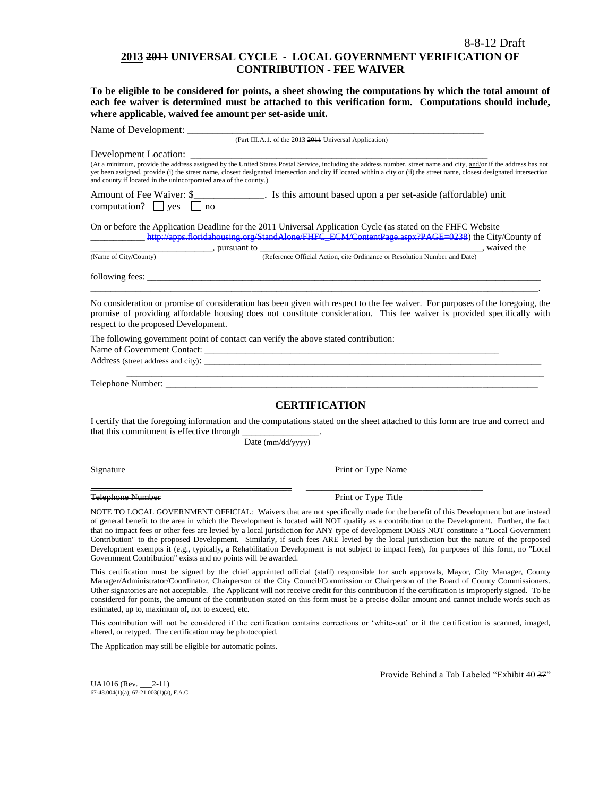## **2013 2011 UNIVERSAL CYCLE - LOCAL GOVERNMENT VERIFICATION OF CONTRIBUTION - FEE WAIVER**

**To be eligible to be considered for points, a sheet showing the computations by which the total amount of each fee waiver is determined must be attached to this verification form. Computations should include, where applicable, waived fee amount per set-aside unit.**

| Name of Development:                                                                                                                                                                                                           |                                                                                                                                                                                                                                                                                                                                                                                                                                                                                                                                                                                                                                                                                                                   |
|--------------------------------------------------------------------------------------------------------------------------------------------------------------------------------------------------------------------------------|-------------------------------------------------------------------------------------------------------------------------------------------------------------------------------------------------------------------------------------------------------------------------------------------------------------------------------------------------------------------------------------------------------------------------------------------------------------------------------------------------------------------------------------------------------------------------------------------------------------------------------------------------------------------------------------------------------------------|
|                                                                                                                                                                                                                                | (Part III.A.1. of the 2013 2014 Universal Application)                                                                                                                                                                                                                                                                                                                                                                                                                                                                                                                                                                                                                                                            |
| Development Location:                                                                                                                                                                                                          |                                                                                                                                                                                                                                                                                                                                                                                                                                                                                                                                                                                                                                                                                                                   |
| and county if located in the unincorporated area of the county.)                                                                                                                                                               | (At a minimum, provide the address assigned by the United States Postal Service, including the address number, street name and city, and/or if the address has not<br>yet been assigned, provide (i) the street name, closest designated intersection and city if located within a city or (ii) the street name, closest designated intersection                                                                                                                                                                                                                                                                                                                                                                  |
| Amount of Fee Waiver: \$<br>computation? $\Box$ yes<br>$\ln$                                                                                                                                                                   | <b>Example 2</b> . Is this amount based upon a per set-aside (affordable) unit                                                                                                                                                                                                                                                                                                                                                                                                                                                                                                                                                                                                                                    |
| On or before the Application Deadline for the 2011 Universal Application Cycle (as stated on the FHFC Website<br>$\frac{1}{\sqrt{2}}$ , pursuant to $\frac{1}{\sqrt{2}}$                                                       | http://apps.floridahousing.org/StandAlone/FHFC_ECM/ContentPage.aspx?PAGE=0238) the City/County of                                                                                                                                                                                                                                                                                                                                                                                                                                                                                                                                                                                                                 |
| (Name of City/County)                                                                                                                                                                                                          | (Reference Official Action, cite Ordinance or Resolution Number and Date), waived the                                                                                                                                                                                                                                                                                                                                                                                                                                                                                                                                                                                                                             |
| following fees: $\qquad \qquad$                                                                                                                                                                                                |                                                                                                                                                                                                                                                                                                                                                                                                                                                                                                                                                                                                                                                                                                                   |
| respect to the proposed Development.                                                                                                                                                                                           | No consideration or promise of consideration has been given with respect to the fee waiver. For purposes of the foregoing, the<br>promise of providing affordable housing does not constitute consideration. This fee waiver is provided specifically with                                                                                                                                                                                                                                                                                                                                                                                                                                                        |
| The following government point of contact can verify the above stated contribution:<br>Name of Government Contact:                                                                                                             |                                                                                                                                                                                                                                                                                                                                                                                                                                                                                                                                                                                                                                                                                                                   |
|                                                                                                                                                                                                                                |                                                                                                                                                                                                                                                                                                                                                                                                                                                                                                                                                                                                                                                                                                                   |
| Telephone Number: The contract of the contract of the contract of the contract of the contract of the contract of the contract of the contract of the contract of the contract of the contract of the contract of the contract |                                                                                                                                                                                                                                                                                                                                                                                                                                                                                                                                                                                                                                                                                                                   |
|                                                                                                                                                                                                                                | <b>CERTIFICATION</b>                                                                                                                                                                                                                                                                                                                                                                                                                                                                                                                                                                                                                                                                                              |
| that this commitment is effective through                                                                                                                                                                                      | I certify that the foregoing information and the computations stated on the sheet attached to this form are true and correct and                                                                                                                                                                                                                                                                                                                                                                                                                                                                                                                                                                                  |
| Date (mm/dd/yyyy)                                                                                                                                                                                                              |                                                                                                                                                                                                                                                                                                                                                                                                                                                                                                                                                                                                                                                                                                                   |
| Signature                                                                                                                                                                                                                      | Print or Type Name                                                                                                                                                                                                                                                                                                                                                                                                                                                                                                                                                                                                                                                                                                |
| Telephone Number                                                                                                                                                                                                               | Print or Type Title                                                                                                                                                                                                                                                                                                                                                                                                                                                                                                                                                                                                                                                                                               |
| Government Contribution" exists and no points will be awarded.                                                                                                                                                                 | NOTE TO LOCAL GOVERNMENT OFFICIAL: Waivers that are not specifically made for the benefit of this Development but are instead<br>of general benefit to the area in which the Development is located will NOT qualify as a contribution to the Development. Further, the fact<br>that no impact fees or other fees are levied by a local jurisdiction for ANY type of development DOES NOT constitute a "Local Government"<br>Contribution" to the proposed Development. Similarly, if such fees ARE levied by the local jurisdiction but the nature of the proposed<br>Development exempts it (e.g., typically, a Rehabilitation Development is not subject to impact fees), for purposes of this form, no "Local |
| estimated, up to, maximum of, not to exceed, etc.                                                                                                                                                                              | This certification must be signed by the chief appointed official (staff) responsible for such approvals, Mayor, City Manager, County<br>Manager/Administrator/Coordinator, Chairperson of the City Council/Commission or Chairperson of the Board of County Commissioners.<br>Other signatories are not acceptable. The Applicant will not receive credit for this contribution if the certification is improperly signed. To be<br>considered for points, the amount of the contribution stated on this form must be a precise dollar amount and cannot include words such as                                                                                                                                   |
| the contract of the contract of the contract of the contract of the contract of the contract of the contract of                                                                                                                |                                                                                                                                                                                                                                                                                                                                                                                                                                                                                                                                                                                                                                                                                                                   |

This contribution will not be considered if the certification contains corrections or "white-out" or if the certification is scanned, imaged, altered, or retyped. The certification may be photocopied.

The Application may still be eligible for automatic points.

Provide Behind a Tab Labeled "Exhibit 40 37"

UA1016 (Rev. \_\_\_2-11) 67-48.004(1)(a); 67-21.003(1)(a), F.A.C.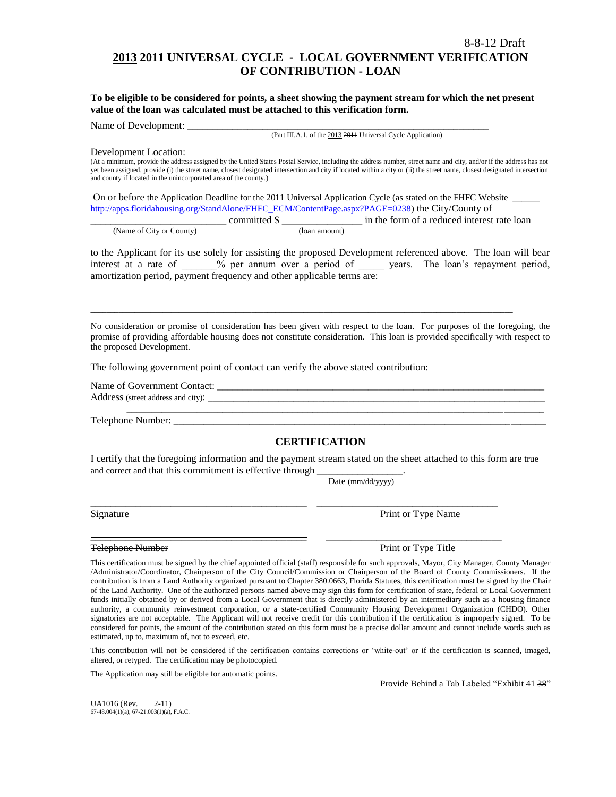# **2013 2011 UNIVERSAL CYCLE - LOCAL GOVERNMENT VERIFICATION OF CONTRIBUTION - LOAN**

**To be eligible to be considered for points, a sheet showing the payment stream for which the net present value of the loan was calculated must be attached to this verification form.** 

Name of Development:

(Part III.A.1. of the 2013 2011 Universal Cycle Application)

Development Location:

(At a minimum, provide the address assigned by the United States Postal Service, including the address number, street name and city, and/or if the address has not yet been assigned, provide (i) the street name, closest designated intersection and city if located within a city or (ii) the street name, closest designated intersection and county if located in the unincorporated area of the county.)

On or before the Application Deadline for the 2011 Universal Application Cycle (as stated on the FHFC Website \_\_\_\_\_\_ [http://apps.floridahousing.org/StandAlone/FHFC\\_ECM/ContentPage.aspx?PAGE=0238\)](http://apps.floridahousing.org/StandAlone/FHFC_ECM/ContentPage.aspx?PAGE=0238) the City/County of

 $\_$  ,  $\_$  ,  $\_$  ,  $\_$  ,  $\_$  ,  $\_$  ,  $\_$  ,  $\_$  ,  $\_$  ,  $\_$  ,  $\_$  ,  $\_$  ,  $\_$  ,  $\_$  ,  $\_$  ,  $\_$  ,  $\_$  ,  $\_$  ,  $\_$  ,  $\_$  ,  $\_$  ,  $\_$  ,  $\_$  ,  $\_$  ,  $\_$  ,  $\_$  ,  $\_$  ,  $\_$  ,  $\_$  ,  $\_$  ,  $\_$  ,  $\_$  ,  $\_$  ,  $\_$  ,  $\_$  ,  $\_$  ,  $\_$  ,  $\_$  ,  $\_$  ,  $\_$  ,  $\_$  ,  $\_$  ,  $\_$  ,  $\_$  ,  $\_$  ,  $\_$  ,  $\_$  ,  $\_$  ,  $\_$  ,  $\_$  ,  $\_$  ,  $\_$  ,  $\_$  ,  $\_$  ,  $\_$  ,  $\_$  ,  $\_$  ,  $\_$  ,  $\_$  ,  $\_$  ,  $\_$  ,  $\_$  ,  $\_$  ,  $\_$  ,  $\_$  ,  $\_$  ,  $\_$  ,  $\_$  ,  $\_$  ,  $\_$  ,  $\_$  ,  $\_$  ,  $\_$  ,  $\_$  ,

|                          |               | in the form of a reduced interest rate loan |
|--------------------------|---------------|---------------------------------------------|
| (Name of City or County) | (Ioan amount) |                                             |

to the Applicant for its use solely for assisting the proposed Development referenced above. The loan will bear interest at a rate of  $\%$  per annum over a period of years. The loan's repayment period, amortization period, payment frequency and other applicable terms are:

No consideration or promise of consideration has been given with respect to the loan. For purposes of the foregoing, the promise of providing affordable housing does not constitute consideration. This loan is provided specifically with respect to the proposed Development.

The following government point of contact can verify the above stated contribution:

Name of Government Contact: \_\_\_\_\_\_\_\_\_\_\_\_\_\_\_\_\_\_\_\_\_\_\_\_\_\_\_\_\_\_\_\_\_\_\_\_\_\_\_\_\_\_\_\_\_\_\_\_\_\_\_\_\_\_\_\_\_\_\_\_\_\_\_\_\_ Address (street address and city): \_\_\_\_\_\_\_\_\_\_\_\_\_\_\_\_\_\_\_\_\_\_\_\_\_\_\_\_\_\_\_\_\_\_\_\_\_\_\_\_\_\_\_\_\_\_\_\_\_\_\_\_\_\_\_\_\_\_\_\_\_\_\_\_\_\_\_ \_\_\_\_\_\_\_\_\_\_\_\_\_\_\_\_\_\_\_\_\_\_\_\_\_\_\_\_\_\_\_\_\_\_\_\_\_\_\_\_\_\_\_\_\_\_\_\_\_\_\_\_\_\_\_\_\_\_\_\_\_\_\_\_\_\_\_\_\_\_\_\_\_\_\_\_\_\_\_\_\_\_\_

Telephone Number: \_\_\_\_\_\_\_\_\_\_\_\_\_\_\_\_\_\_\_\_\_\_\_\_\_\_\_\_\_\_\_\_\_\_\_\_\_\_\_\_\_\_\_\_\_\_\_\_\_\_\_\_\_\_\_\_\_\_\_\_\_\_\_\_\_\_\_\_\_\_\_\_\_\_

## **CERTIFICATION**

I certify that the foregoing information and the payment stream stated on the sheet attached to this form are true and correct and that this commitment is effective through

\_\_\_\_\_\_\_\_\_\_\_\_\_\_\_\_\_\_\_\_\_\_\_\_\_\_\_\_\_\_\_\_\_\_\_\_\_\_\_\_\_\_\_ \_\_\_\_\_\_\_\_\_\_\_\_\_\_\_\_\_\_\_\_\_\_\_\_\_\_\_\_\_\_\_\_\_\_\_\_

\_\_\_\_\_\_\_\_\_\_\_\_\_\_\_\_\_\_\_\_\_\_\_\_\_\_\_\_\_\_\_\_\_\_\_\_\_\_\_\_\_\_\_ \_\_\_\_\_\_\_\_\_\_\_\_\_\_\_\_\_\_\_\_\_\_\_\_\_\_\_\_\_\_\_\_\_\_\_

Date (mm/dd/yyyy)

Signature **Print or Type Name** Print or Type Name

#### Telephone Number **Print of Type Title** Print or Type Title

This certification must be signed by the chief appointed official (staff) responsible for such approvals, Mayor, City Manager, County Manager /Administrator/Coordinator, Chairperson of the City Council/Commission or Chairperson of the Board of County Commissioners. If the contribution is from a Land Authority organized pursuant to Chapter 380.0663, Florida Statutes, this certification must be signed by the Chair of the Land Authority. One of the authorized persons named above may sign this form for certification of state, federal or Local Government funds initially obtained by or derived from a Local Government that is directly administered by an intermediary such as a housing finance authority, a community reinvestment corporation, or a state-certified Community Housing Development Organization (CHDO). Other signatories are not acceptable. The Applicant will not receive credit for this contribution if the certification is improperly signed. To be considered for points, the amount of the contribution stated on this form must be a precise dollar amount and cannot include words such as estimated, up to, maximum of, not to exceed, etc.

This contribution will not be considered if the certification contains corrections or "white-out" or if the certification is scanned, imaged, altered, or retyped. The certification may be photocopied.

The Application may still be eligible for automatic points.

Provide Behind a Tab Labeled "Exhibit 41 38"

 $UA1016$  (Rev.  $2-11$ )  $67-48.004(1)(a)$ ;  $67-21.003(1)(a)$ , F.A.C.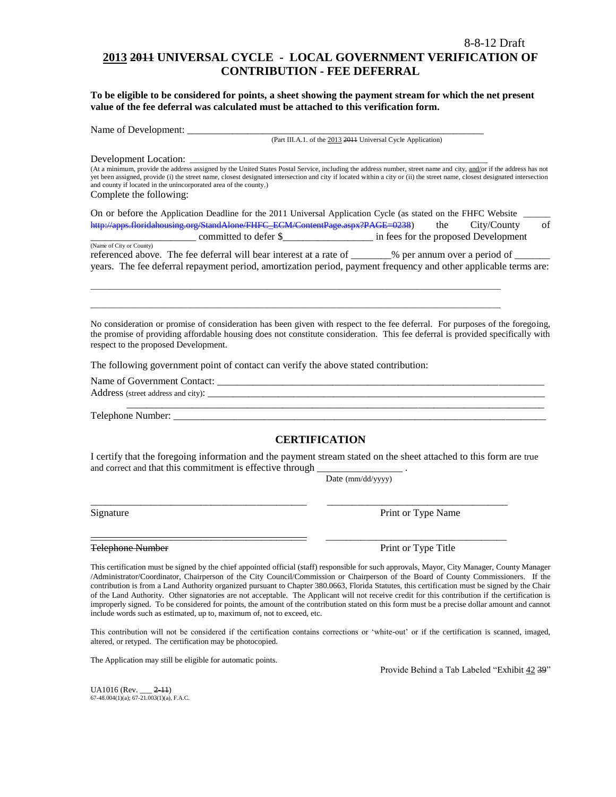# **2013 2011 UNIVERSAL CYCLE - LOCAL GOVERNMENT VERIFICATION OF CONTRIBUTION - FEE DEFERRAL**

**To be eligible to be considered for points, a sheet showing the payment stream for which the net present value of the fee deferral was calculated must be attached to this verification form.**

Name of Development: \_\_\_\_\_\_\_\_\_\_\_\_\_\_\_\_\_\_\_\_\_\_\_\_\_\_\_\_\_\_\_\_\_\_\_\_\_\_\_\_\_\_\_\_\_\_\_\_\_\_\_\_\_\_\_\_\_\_\_

(Part III.A.1. of the 2013 2011 Universal Cycle Application)

Development Location:

(At a minimum, provide the address assigned by the United States Postal Service, including the address number, street name and city, and/or if the address has not yet been assigned, provide (i) the street name, closest designated intersection and city if located within a city or (ii) the street name, closest designated intersection and county if located in the unincorporated area of the county.) Complete the following:

| On or before the Application Deadline for the 2011 Universal Application Cycle (as stated on the FHFC Website |     |                                      |    |
|---------------------------------------------------------------------------------------------------------------|-----|--------------------------------------|----|
| http://apps.floridahousing.org/StandAlone/FHFC_ECM/ContentPage.aspx?PAGE=0238)                                | the | City/County                          | of |
| committed to defer \$                                                                                         |     | in fees for the proposed Development |    |
| (Name of City or County)                                                                                      |     |                                      |    |

| $(1)$ and $(0)$ can be compared |                                                                                                                  |                              |  |
|---------------------------------|------------------------------------------------------------------------------------------------------------------|------------------------------|--|
|                                 | referenced above. The fee deferral will bear interest at a rate of                                               | % per annum over a period of |  |
|                                 | years. The fee deferral repayment period, amortization period, payment frequency and other applicable terms are: |                              |  |

\_\_\_\_\_\_\_\_\_\_\_\_\_\_\_\_\_\_\_\_\_\_\_\_\_\_\_\_\_\_\_\_\_\_\_\_\_\_\_\_\_\_\_\_\_\_\_\_\_\_\_\_\_\_\_\_\_\_\_\_\_\_\_\_\_\_\_\_\_\_\_\_\_\_\_\_\_\_\_\_\_\_\_\_\_\_\_\_\_\_\_\_\_\_\_\_\_\_\_\_\_\_ \_\_\_\_\_\_\_\_\_\_\_\_\_\_\_\_\_\_\_\_\_\_\_\_\_\_\_\_\_\_\_\_\_\_\_\_\_\_\_\_\_\_\_\_\_\_\_\_\_\_\_\_\_\_\_\_\_\_\_\_\_\_\_\_\_\_\_\_\_\_\_\_\_\_\_\_\_\_\_\_\_\_\_\_\_\_\_\_\_\_\_\_\_\_\_\_\_\_\_\_\_\_

No consideration or promise of consideration has been given with respect to the fee deferral. For purposes of the foregoing, the promise of providing affordable housing does not constitute consideration. This fee deferral is provided specifically with respect to the proposed Development.

The following government point of contact can verify the above stated contribution:

Name of Government Contact: \_\_\_\_\_\_\_\_\_\_\_\_\_\_\_\_\_\_\_\_\_\_\_\_\_\_\_\_\_\_\_\_\_\_\_\_\_\_\_\_\_\_\_\_\_\_\_\_\_\_\_\_\_\_\_\_\_\_\_\_\_\_\_\_\_ Address (street address and city): \_\_\_\_\_\_\_\_\_\_\_\_\_\_\_\_\_\_\_\_\_\_\_\_\_\_\_\_\_\_\_\_\_\_\_\_\_\_\_\_\_\_\_\_\_\_\_\_\_\_\_\_\_\_\_\_\_\_\_\_\_\_\_\_\_\_\_ \_\_\_\_\_\_\_\_\_\_\_\_\_\_\_\_\_\_\_\_\_\_\_\_\_\_\_\_\_\_\_\_\_\_\_\_\_\_\_\_\_\_\_\_\_\_\_\_\_\_\_\_\_\_\_\_\_\_\_\_\_\_\_\_\_\_\_\_\_\_\_\_\_\_\_\_\_\_\_\_\_\_\_

Telephone Number: \_\_\_\_\_\_\_\_\_\_\_\_\_\_\_\_\_\_\_\_\_\_\_\_\_\_\_\_\_\_\_\_\_\_\_\_\_\_\_\_\_\_\_\_\_\_\_\_\_\_\_\_\_\_\_\_\_\_\_\_\_\_\_\_\_\_\_\_\_\_\_\_\_\_

## **CERTIFICATION**

I certify that the foregoing information and the payment stream stated on the sheet attached to this form are true and correct and that this commitment is effective through

\_\_\_\_\_\_\_\_\_\_\_\_\_\_\_\_\_\_\_\_\_\_\_\_\_\_\_\_\_\_\_\_\_\_\_\_\_\_\_\_\_\_\_ \_\_\_\_\_\_\_\_\_\_\_\_\_\_\_\_\_\_\_\_\_\_\_\_\_\_\_\_\_\_\_\_\_\_\_\_

Date (mm/dd/yyyy)

Signature Print or Type Name

\_\_\_\_\_\_\_\_\_\_\_\_\_\_\_\_\_\_\_\_\_\_\_\_\_\_\_\_\_\_\_\_\_\_\_\_\_\_\_\_\_\_\_ \_\_\_\_\_\_\_\_\_\_\_\_\_\_\_\_\_\_\_\_\_\_\_\_\_\_\_\_\_\_\_\_\_\_\_\_ Telephone Number **Print or Type Title** 

This certification must be signed by the chief appointed official (staff) responsible for such approvals, Mayor, City Manager, County Manager /Administrator/Coordinator, Chairperson of the City Council/Commission or Chairperson of the Board of County Commissioners. If the contribution is from a Land Authority organized pursuant to Chapter 380.0663, Florida Statutes, this certification must be signed by the Chair of the Land Authority. Other signatories are not acceptable. The Applicant will not receive credit for this contribution if the certification is improperly signed. To be considered for points, the amount of the contribution stated on this form must be a precise dollar amount and cannot include words such as estimated, up to, maximum of, not to exceed, etc.

This contribution will not be considered if the certification contains corrections or "white-out" or if the certification is scanned, imaged, altered, or retyped. The certification may be photocopied.

The Application may still be eligible for automatic points.

Provide Behind a Tab Labeled "Exhibit 42 39"

 $UA1016$  (Rev.  $2-11$ ) 67-48.004(1)(a); 67-21.003(1)(a), F.A.C.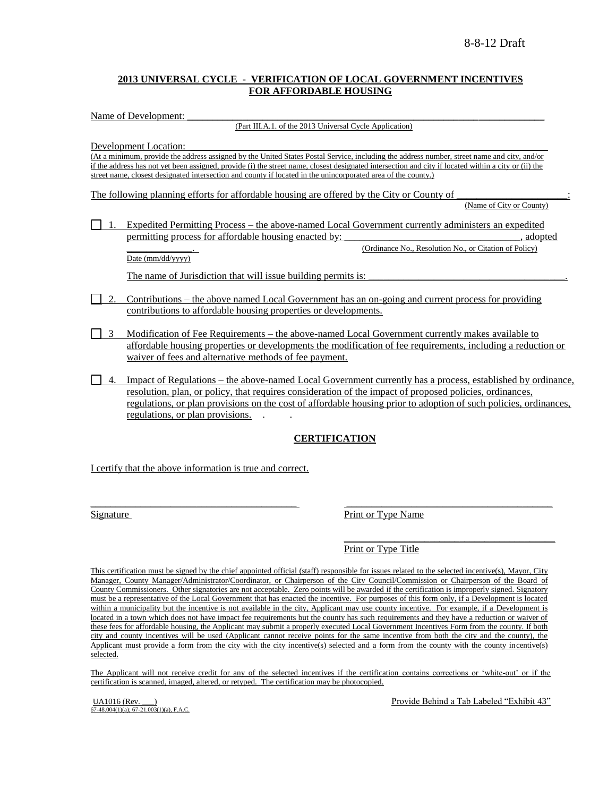## **2013 UNIVERSAL CYCLE - VERIFICATION OF LOCAL GOVERNMENT INCENTIVES FOR AFFORDABLE HOUSING**

Name of Development:

(Part III.A.1. of the 2013 Universal Cycle Application)

Development Location:

(At a minimum, provide the address assigned by the United States Postal Service, including the address number, street name and city, and/or if the address has not yet been assigned, provide (i) the street name, closest designated intersection and city if located within a city or (ii) the street name, closest designated intersection and county if located in the unincorporated area of the county.)

The following planning efforts for affordable housing are offered by the City or County of

(Name of City or County)

1. Expedited Permitting Process – the above-named Local Government currently administers an expedited permitting process for affordable housing enacted by:  $\qquad \qquad$ , adopted (Ordinance No., Resolution No., or Citation of Policy)

Date (mm/dd/yyyy)

The name of Jurisdiction that will issue building permits is:

- 2. Contributions the above named Local Government has an on-going and current process for providing contributions to affordable housing properties or developments.
- 3 Modification of Fee Requirements the above-named Local Government currently makes available to affordable housing properties or developments the modification of fee requirements, including a reduction or waiver of fees and alternative methods of fee payment.
- 4. Impact of Regulations the above-named Local Government currently has a process, established by ordinance, resolution, plan, or policy, that requires consideration of the impact of proposed policies, ordinances, regulations, or plan provisions on the cost of affordable housing prior to adoption of such policies, ordinances, regulations, or plan provisions. . .

## **CERTIFICATION**

I certify that the above information is true and correct.

Signature Print or Type Name

Print or Type Title

This certification must be signed by the chief appointed official (staff) responsible for issues related to the selected incentive(s), Mayor, City Manager, County Manager/Administrator/Coordinator, or Chairperson of the City Council/Commission or Chairperson of the Board of County Commissioners. Other signatories are not acceptable. Zero points will be awarded if the certification is improperly signed. Signatory must be a representative of the Local Government that has enacted the incentive. For purposes of this form only, if a Development is located within a municipality but the incentive is not available in the city, Applicant may use county incentive. For example, if a Development is located in a town which does not have impact fee requirements but the county has such requirements and they have a reduction or waiver of these fees for affordable housing, the Applicant may submit a properly executed Local Government Incentives Form from the county. If both city and county incentives will be used (Applicant cannot receive points for the same incentive from both the city and the county), the Applicant must provide a form from the city with the city incentive(s) selected and a form from the county with the county incentive(s) selected.

\_\_\_\_\_\_\_\_\_\_\_\_\_\_\_\_\_\_\_\_\_\_\_\_\_\_\_\_\_\_\_\_\_\_\_\_\_\_\_\_\_ \_\_\_\_\_\_\_\_\_\_\_\_\_\_\_\_\_\_\_\_\_\_\_\_\_\_\_\_\_\_\_\_\_\_\_\_\_\_\_\_\_

The Applicant will not receive credit for any of the selected incentives if the certification contains corrections or 'white-out' or if the certification is scanned, imaged, altered, or retyped. The certification may be photocopied.

 $\overrightarrow{67-48.004(1)(a)}$ ;  $\overrightarrow{67-21.003(1)(a)}$ , F.A.C.

UA1016 (Rev. \_\_\_) **Provide Behind a Tab Labeled "Exhibit 43"** Provide Behind a Tab Labeled "Exhibit 43"

\_\_\_\_\_\_\_\_\_\_\_\_\_\_\_\_\_\_\_\_\_\_\_\_\_\_\_\_\_\_\_\_\_\_\_\_\_\_\_\_\_\_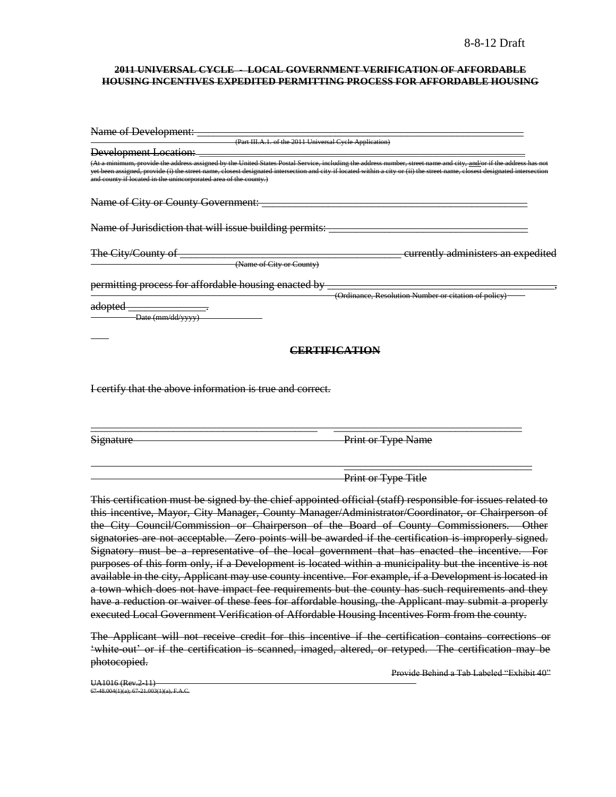#### **2011 UNIVERSAL CYCLE - LOCAL GOVERNMENT VERIFICATION OF AFFORDABLE HOUSING INCENTIVES EXPEDITED PERMITTING PROCESS FOR AFFORDABLE HOUSING**

| Name of Development:                                                                                                                                                                                                                                                                                                                                                                                                         |                                                      |
|------------------------------------------------------------------------------------------------------------------------------------------------------------------------------------------------------------------------------------------------------------------------------------------------------------------------------------------------------------------------------------------------------------------------------|------------------------------------------------------|
| (Part III.A.1. of the 2011 Universal Cycle Application)                                                                                                                                                                                                                                                                                                                                                                      |                                                      |
| <b>Development Location:</b>                                                                                                                                                                                                                                                                                                                                                                                                 |                                                      |
| (At a minimum, provide the address assigned by the United States Postal Service, including the address number, street name and city, <u>and/</u> or if the address has not<br>yet been assigned, provide (i) the street name, closest designated intersection and city if located within a city or (ii) the street name, closest designated intersection<br>and county if located in the unincorporated area of the county.) |                                                      |
| Name of City or County Government:                                                                                                                                                                                                                                                                                                                                                                                           |                                                      |
| Name of Jurisdiction that will issue building permits:                                                                                                                                                                                                                                                                                                                                                                       |                                                      |
| The City/County of                                                                                                                                                                                                                                                                                                                                                                                                           | currently administers an expedited                   |
| (Name of City or County)                                                                                                                                                                                                                                                                                                                                                                                                     |                                                      |
| permitting process for affordable housing enacted by                                                                                                                                                                                                                                                                                                                                                                         |                                                      |
|                                                                                                                                                                                                                                                                                                                                                                                                                              | (Ordinance, Resolution Number or citation of policy) |
| <del>adopted</del><br>Date (mm/dd/yyyy)                                                                                                                                                                                                                                                                                                                                                                                      |                                                      |
|                                                                                                                                                                                                                                                                                                                                                                                                                              | <b>ERTIFICATION</b>                                  |
|                                                                                                                                                                                                                                                                                                                                                                                                                              |                                                      |
| I certify that the above information is true and correct.                                                                                                                                                                                                                                                                                                                                                                    |                                                      |
|                                                                                                                                                                                                                                                                                                                                                                                                                              |                                                      |

Signature Print or Type Name

 $\overline{\phantom{a}}$  , and the contract of the contract of the contract of the contract of the contract of the contract of the contract of the contract of the contract of the contract of the contract of the contract of the contrac Print or Type Title

This certification must be signed by the chief appointed official (staff) responsible for issues related to this incentive, Mayor, City Manager, County Manager/Administrator/Coordinator, or Chairperson of the City Council/Commission or Chairperson of the Board of County Commissioners. Other signatories are not acceptable. Zero points will be awarded if the certification is improperly signed. Signatory must be a representative of the local government that has enacted the incentive. For purposes of this form only, if a Development is located within a municipality but the incentive is not available in the city, Applicant may use county incentive. For example, if a Development is located in a town which does not have impact fee requirements but the county has such requirements and they have a reduction or waiver of these fees for affordable housing, the Applicant may submit a properly executed Local Government Verification of Affordable Housing Incentives Form from the county.

The Applicant will not receive credit for this incentive if the certification contains corrections or "white-out" or if the certification is scanned, imaged, altered, or retyped. The certification may be photocopied.

Provide Behind a Tab Labeled "Exhibit 40"

UA1016 (Rev.2-11) 67-48.004(1)(a); 67-21.003(1)(a), F.A.C.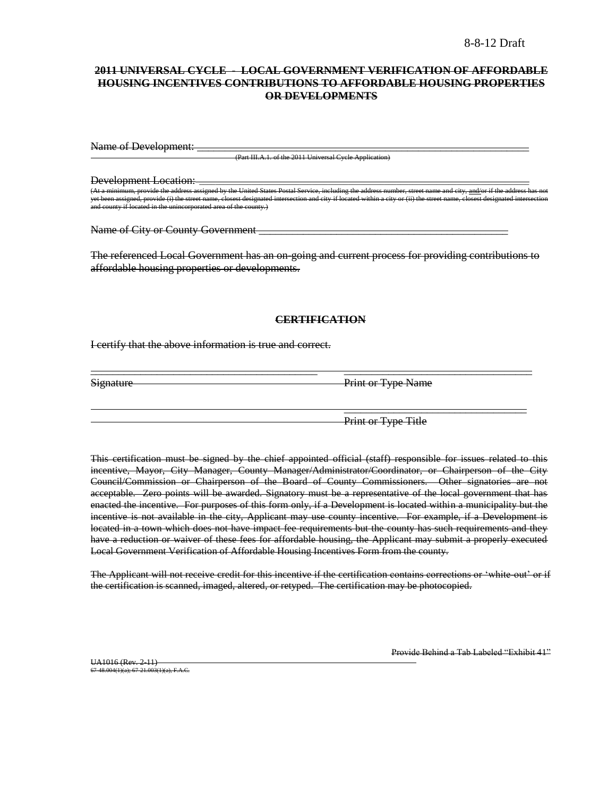## **2011 UNIVERSAL CYCLE - LOCAL GOVERNMENT VERIFICATION OF AFFORDABLE HOUSING INCENTIVES CONTRIBUTIONS TO AFFORDABLE HOUSING PROPERTIES OR DEVELOPMENTS**

Name of Development:

(Part III.A.1. of the 2011 Universal Cycle Application)

Development Location:

the United States Postal Service, including the United States Postal Service, including the ide (i) the street name, closest designated intersection and city if located within and county if located in the unincorporated area of the county.)

Name of City or County Government **example 2** 

The referenced Local Government has an on-going and current process for providing contributions to affordable housing properties or developments.

#### **CERTIFICATION**

\_\_\_\_\_\_\_\_\_\_\_\_\_\_\_\_\_\_\_\_\_\_\_\_\_\_\_\_\_\_\_\_\_\_\_\_\_\_\_\_\_ \_\_\_\_\_\_\_\_\_\_\_\_\_\_\_\_\_\_\_\_\_\_\_\_\_\_\_\_\_\_\_\_\_\_

I certify that the above information is true and correct.

Signature Print or Type Name

Print or Type Title

\_\_\_\_\_\_\_\_\_\_\_\_\_\_\_\_\_\_\_\_\_\_\_\_\_\_\_\_\_\_\_\_\_

This certification must be signed by the chief appointed official (staff) responsible for issues related to this incentive, Mayor, City Manager, County Manager/Administrator/Coordinator, or Chairperson of the City Council/Commission or Chairperson of the Board of County Commissioners. Other signatories are not acceptable. Zero points will be awarded. Signatory must be a representative of the local government that has enacted the incentive. For purposes of this form only, if a Development is located within a municipality but the incentive is not available in the city, Applicant may use county incentive. For example, if a Development is located in a town which does not have impact fee requirements but the county has such requirements and they have a reduction or waiver of these fees for affordable housing, the Applicant may submit a properly executed Local Government Verification of Affordable Housing Incentives Form from the county.

The Applicant will not receive credit for this incentive if the certification contains corrections or "white-out" or if the certification is scanned, imaged, altered, or retyped. The certification may be photocopied.

UA1016 (Rev. 2-11) 67-48.004(1)(a); 67-21.003(1)(a), F.A.C. Provide Behind a Tab Labeled "Exhibit 41"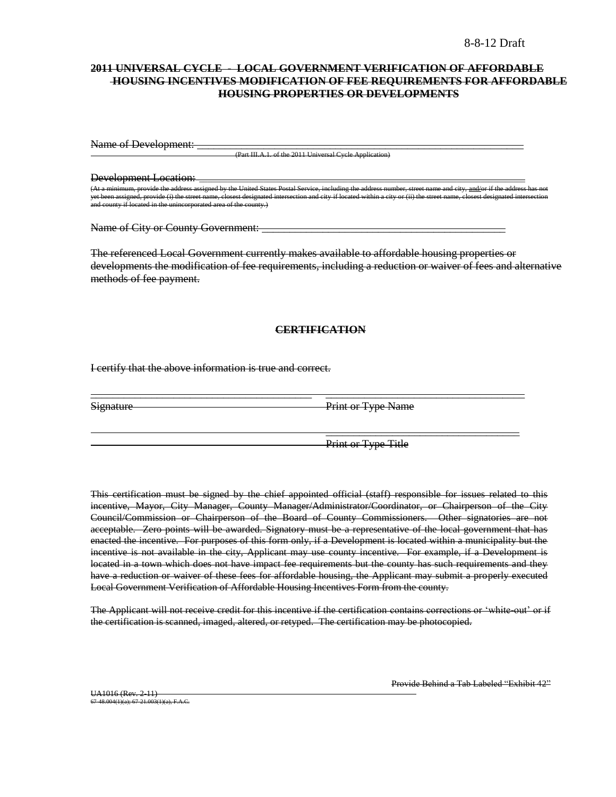## **2011 UNIVERSAL CYCLE - LOCAL GOVERNMENT VERIFICATION OF AFFORDABLE HOUSING INCENTIVES MODIFICATION OF FEE REQUIREMENTS FOR AFFORDABLE HOUSING PROPERTIES OR DEVELOPMENTS**

Name of Development: \_

(Part III.A.1. of the 2011 Universal Cycle Application)

Development Location:

n, provide the address assigned by the United States Postal Service, including the address number, street name and city, <u>and/</u>or if th<br>ned, provide (i) the street name, closest designated intersection and city if located y provide (i) the street name, closest designated in the unincorporated area of the county if nincorporated area of the county.)

Name of City or County Government: \_\_\_\_\_\_\_\_\_\_\_\_\_\_\_\_\_\_\_\_\_\_\_\_\_\_\_\_\_\_\_\_\_\_\_\_\_\_\_\_\_\_\_\_

The referenced Local Government currently makes available to affordable housing properties or developments the modification of fee requirements, including a reduction or waiver of fees and alternative methods of fee payment.

#### **CERTIFICATION**

\_\_\_\_\_\_\_\_\_\_\_\_\_\_\_\_\_\_\_\_\_\_\_\_\_\_\_\_\_\_\_\_\_\_\_\_\_\_\_\_ \_\_\_\_\_\_\_\_\_\_\_\_\_\_\_\_\_\_\_\_\_\_\_\_\_\_\_\_\_\_\_\_\_\_\_\_

I certify that the above information is true and correct.

Signature Print or Type Name

Print or Type Title

 $\overline{\phantom{a}}$  , and the contract of the contract of the contract of the contract of the contract of the contract of the contract of the contract of the contract of the contract of the contract of the contract of the contrac

This certification must be signed by the chief appointed official (staff) responsible for issues related to this incentive, Mayor, City Manager, County Manager/Administrator/Coordinator, or Chairperson of the City Council/Commission or Chairperson of the Board of County Commissioners. Other signatories are not acceptable. Zero points will be awarded. Signatory must be a representative of the local government that has enacted the incentive. For purposes of this form only, if a Development is located within a municipality but the incentive is not available in the city, Applicant may use county incentive. For example, if a Development is located in a town which does not have impact fee requirements but the county has such requirements and they have a reduction or waiver of these fees for affordable housing, the Applicant may submit a properly executed Local Government Verification of Affordable Housing Incentives Form from the county.

The Applicant will not receive credit for this incentive if the certification contains corrections or 'white out' or if the certification is scanned, imaged, altered, or retyped. The certification may be photocopied.

Provide Behind a Tab Labeled "Exhibit 42"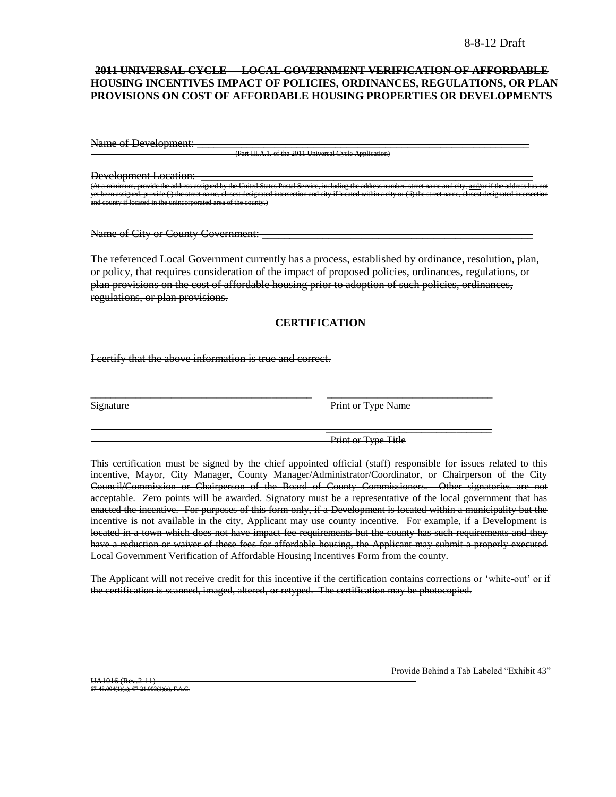## **2011 UNIVERSAL CYCLE - LOCAL GOVERNMENT VERIFICATION OF AFFORDABLE HOUSING INCENTIVES IMPACT OF POLICIES, ORDINANCES, REGULATIONS, OR PLAN PROVISIONS ON COST OF AFFORDABLE HOUSING PROPERTIES OR DEVELOPMENTS**

Name of Development:

(Part III.A.1. of the 2011 Universal Cycle Appli

Development Location:

United States Postal Service yet been assigned, provide (i) the street name, closest designated intersection and city if located within a city or (ii) the street name, closest designated intersection and county if located in the unincorporated area of the county.)

Name of City or County Government:

The referenced Local Government currently has a process, established by ordinance, resolution, plan, or policy, that requires consideration of the impact of proposed policies, ordinances, regulations, or plan provisions on the cost of affordable housing prior to adoption of such policies, ordinances, regulations, or plan provisions.

#### **CERTIFICATION**

\_\_\_\_\_\_\_\_\_\_\_\_\_\_\_\_\_\_\_\_\_\_\_\_\_\_\_\_\_\_\_\_\_\_\_\_\_\_\_\_\_\_\_\_ \_\_\_\_\_\_\_\_\_\_\_\_\_\_\_\_\_\_\_\_\_\_\_\_\_\_\_\_\_\_\_\_\_

I certify that the above information is true and correct.

Signature Print or Type Name

Print or Type Title

\_\_\_\_\_\_\_\_\_\_\_\_\_\_\_\_\_\_\_\_\_\_\_\_\_\_\_\_\_\_\_\_\_

This certification must be signed by the chief appointed official (staff) responsible for issues related to this incentive, Mayor, City Manager, County Manager/Administrator/Coordinator, or Chairperson of the City Council/Commission or Chairperson of the Board of County Commissioners. Other signatories are not acceptable. Zero points will be awarded. Signatory must be a representative of the local government that has enacted the incentive. For purposes of this form only, if a Development is located within a municipality but the incentive is not available in the city, Applicant may use county incentive. For example, if a Development is located in a town which does not have impact fee requirements but the county has such requirements and they have a reduction or waiver of these fees for affordable housing, the Applicant may submit a properly executed Local Government Verification of Affordable Housing Incentives Form from the county.

The Applicant will not receive credit for this incentive if the certification contains corrections or "white out" or if the certification is scanned, imaged, altered, or retyped. The certification may be photocopied.

UA1016 (Rev.2-11) 67-48.004(1)(a); 67-21.003(1)(a), F.A.C. Provide Behind a Tab Labeled "Exhibit 43"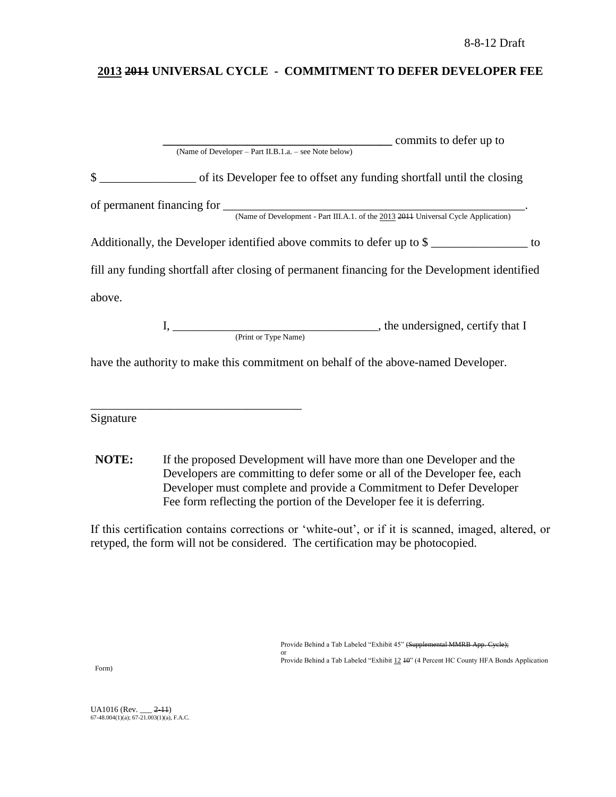# **2013 2011 UNIVERSAL CYCLE - COMMITMENT TO DEFER DEVELOPER FEE**

|              | commits to defer up to                                                                                                                                                                                                                |  |
|--------------|---------------------------------------------------------------------------------------------------------------------------------------------------------------------------------------------------------------------------------------|--|
|              | (Name of Developer – Part II.B.1.a. – see Note below)                                                                                                                                                                                 |  |
| $\mathbb{S}$ | of its Developer fee to offset any funding shortfall until the closing                                                                                                                                                                |  |
|              |                                                                                                                                                                                                                                       |  |
|              |                                                                                                                                                                                                                                       |  |
|              | Additionally, the Developer identified above commits to defer up to $\frac{1}{2}$ denotes the Leo state of the Developer identified above commits to defer up to $\frac{1}{2}$ denotes the Developer identified above commits to defe |  |
|              | fill any funding shortfall after closing of permanent financing for the Development identified                                                                                                                                        |  |
| above.       |                                                                                                                                                                                                                                       |  |
|              |                                                                                                                                                                                                                                       |  |
|              | (Print or Type Name)                                                                                                                                                                                                                  |  |
|              | have the authority to make this commitment on behalf of the above-named Developer.                                                                                                                                                    |  |

Signature

\_\_\_\_\_\_\_\_\_\_\_\_\_\_\_\_\_\_\_\_\_\_\_\_\_\_\_\_\_\_\_\_\_\_\_

**NOTE:** If the proposed Development will have more than one Developer and the Developers are committing to defer some or all of the Developer fee, each Developer must complete and provide a Commitment to Defer Developer Fee form reflecting the portion of the Developer fee it is deferring.

If this certification contains corrections or "white-out", or if it is scanned, imaged, altered, or retyped, the form will not be considered. The certification may be photocopied.

> Provide Behind a Tab Labeled "Exhibit 45" (Supplemental MMRB App. Cycle); or

Provide Behind a Tab Labeled "Exhibit 12 40" (4 Percent HC County HFA Bonds Application

Form)

UA1016 (Rev. \_\_\_ <del>2-11</del>)<br>67-48.004(1)(a); 67-21.003(1)(a), F.A.C.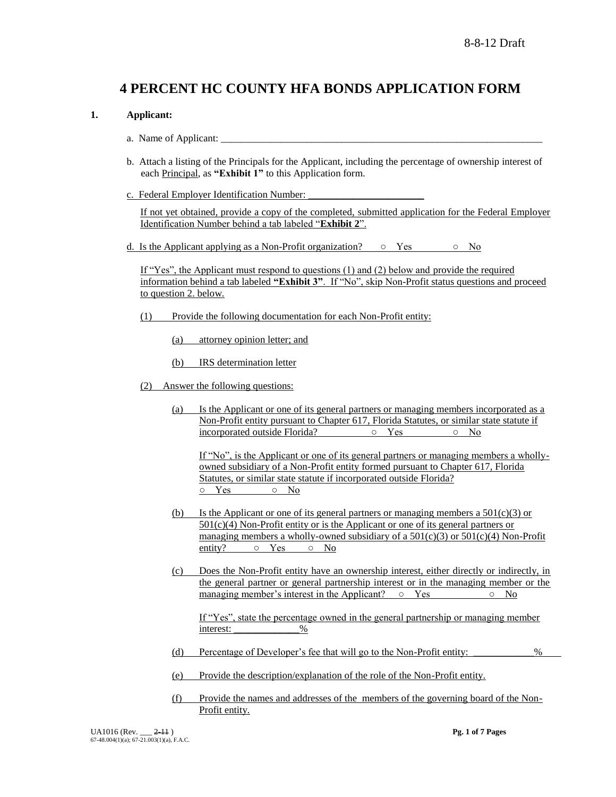# **4 PERCENT HC COUNTY HFA BONDS APPLICATION FORM**

## **1. Applicant:**

- a. Name of Applicant:
- b. Attach a listing of the Principals for the Applicant, including the percentage of ownership interest of each Principal, as **"Exhibit 1"** to this Application form.
- c. Federal Employer Identification Number:

If not yet obtained, provide a copy of the completed, submitted application for the Federal Employer Identification Number behind a tab labeled "**Exhibit 2**".

d. Is the Applicant applying as a Non-Profit organization?  $\circ$  Yes  $\circ$  No

If "Yes", the Applicant must respond to questions (1) and (2) below and provide the required information behind a tab labeled **"Exhibit 3"**. If "No", skip Non-Profit status questions and proceed to question 2. below.

- (1) Provide the following documentation for each Non-Profit entity:
	- (a) attorney opinion letter; and
	- (b) IRS determination letter
- (2) Answer the following questions:
	- (a) Is the Applicant or one of its general partners or managing members incorporated as a Non-Profit entity pursuant to Chapter 617, Florida Statutes, or similar state statute if incorporated outside Florida? ○ Yes ○ No

If "No", is the Applicant or one of its general partners or managing members a whollyowned subsidiary of a Non-Profit entity formed pursuant to Chapter 617, Florida Statutes, or similar state statute if incorporated outside Florida? ○ Yes ○ No

- (b) Is the Applicant or one of its general partners or managing members a  $501(c)(3)$  or 501(c)(4) Non-Profit entity or is the Applicant or one of its general partners or managing members a wholly-owned subsidiary of a  $501(c)(3)$  or  $501(c)(4)$  Non-Profit entity?  $\circ$  Yes  $\circ$  No
- (c) Does the Non-Profit entity have an ownership interest, either directly or indirectly, in the general partner or general partnership interest or in the managing member or the managing member's interest in the Applicant? ○ Yes 
<br> **D** No

If "Yes", state the percentage owned in the general partnership or managing member interest: <u>\_\_\_\_\_\_\_\_\_\_\_\_\_\_\_\_%</u>

- (d) Percentage of Developer"s fee that will go to the Non-Profit entity: \_\_\_\_\_\_\_\_\_\_\_\_%
- (e) Provide the description/explanation of the role of the Non-Profit entity.
- (f) Provide the names and addresses of the members of the governing board of the Non-Profit entity.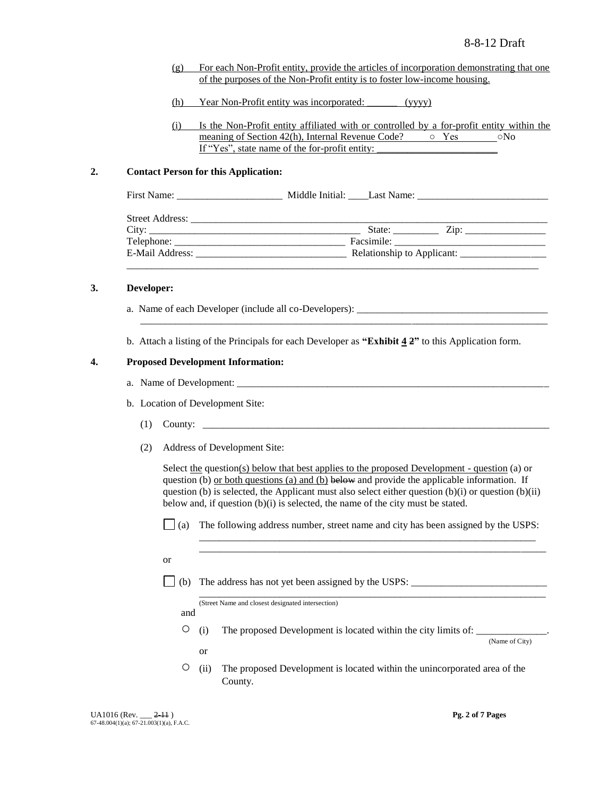- (g) For each Non-Profit entity, provide the articles of incorporation demonstrating that one of the purposes of the Non-Profit entity is to foster low-income housing.
- (h) Year Non-Profit entity was incorporated: \_\_\_\_\_\_ (yyyy)
- (i) Is the Non-Profit entity affiliated with or controlled by a for-profit entity within the meaning of Section 42(h), Internal Revenue Code? ○ Yes ○No If "Yes", state name of the for-profit entity:

#### **2. Contact Person for this Application:**

#### **3. Developer:**

- a. Name of each Developer (include all co-Developers): \_\_\_\_\_\_\_\_\_\_\_\_\_\_\_\_\_\_\_\_\_\_\_\_\_
- b. Attach a listing of the Principals for each Developer as **"Exhibit 4 2"** to this Application form.

\_\_\_\_\_\_\_\_\_\_\_\_\_\_\_\_\_\_\_\_\_\_\_\_\_\_\_\_\_\_\_\_\_\_\_\_\_\_\_\_\_\_\_\_\_\_\_\_\_\_\_\_\_\_\_\_\_\_\_\_\_\_\_\_\_\_\_\_\_\_\_\_\_\_\_\_\_\_\_\_\_

#### **4. Proposed Development Information:**

- a. Name of Development:
- b. Location of Development Site:
	- $(1)$  County:  $\Box$
	- (2) Address of Development Site:

Select the question(s) below that best applies to the proposed Development - question (a) or question (b) <u>or both questions (a) and (b)</u> below and provide the applicable information. If question (b) is selected, the Applicant must also select either question  $(b)(i)$  or question  $(b)(ii)$ below and, if question (b)(i) is selected, the name of the city must be stated.

 $\Box$  (a) The following address number, street name and city has been assigned by the USPS:

\_\_\_\_\_\_\_\_\_\_\_\_\_\_\_\_\_\_\_\_\_\_\_\_\_\_\_\_\_\_\_\_\_\_\_\_\_\_\_\_\_\_\_\_\_\_\_\_\_\_\_\_\_\_\_\_\_\_\_\_\_\_\_\_\_\_\_ \_\_\_\_\_\_\_\_\_\_\_\_\_\_\_\_\_\_\_\_\_\_\_\_\_\_\_\_\_\_\_\_\_\_\_\_\_\_\_\_\_\_\_\_\_\_\_\_\_\_\_\_\_\_\_\_\_\_\_\_\_\_\_\_\_\_\_\_\_

- or
- $\Box$  (b) The address has not yet been assigned by the USPS:

\_\_\_\_\_\_\_\_\_\_\_\_\_\_\_\_\_\_\_\_\_\_\_\_\_\_\_\_\_\_\_\_\_\_\_\_\_\_\_\_\_\_\_\_\_\_\_\_\_\_\_\_\_\_\_\_\_\_\_\_\_\_\_\_\_\_\_\_\_ (Street Name and closest designated intersection)

and

or

 $\circ$  (i) The proposed Development is located within the city limits of:

(Name of City)

○ (ii) The proposed Development is located within the unincorporated area of the County.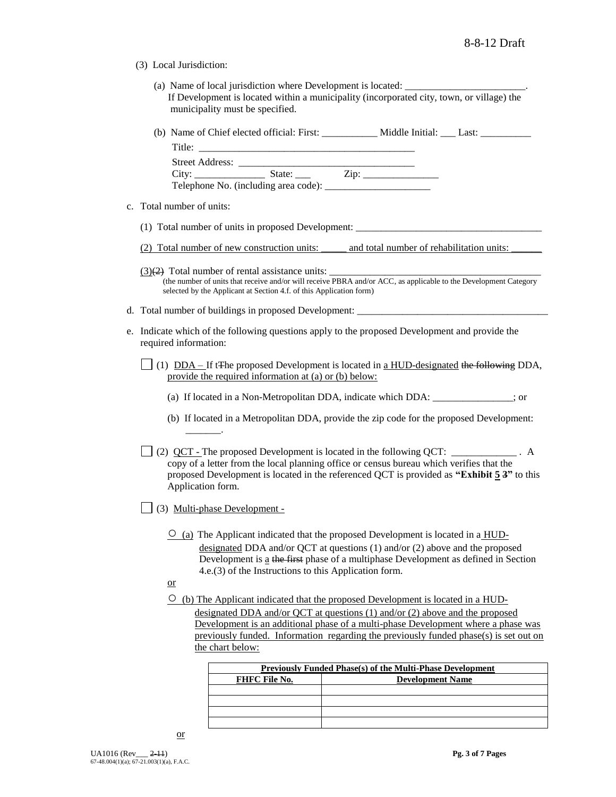- (3) Local Jurisdiction:
	- (a) Name of local jurisdiction where Development is located: If Development is located within a municipality (incorporated city, town, or village) the municipality must be specified.
	- (b) Name of Chief elected official: First: \_\_\_\_\_\_\_\_\_\_\_ Middle Initial: \_\_\_ Last: \_\_\_\_\_\_\_\_\_\_

| Title:                 |                                      |      |  |
|------------------------|--------------------------------------|------|--|
| <b>Street Address:</b> |                                      |      |  |
| City:                  | State:                               | Zip: |  |
|                        | Telephone No. (including area code): |      |  |

- c. Total number of units:
	- (1) Total number of units in proposed Development: \_\_\_\_\_\_\_\_\_\_\_\_\_\_\_\_\_\_\_\_\_\_\_\_\_\_\_\_\_\_\_\_\_\_\_\_\_
	- (2) Total number of new construction units: \_\_\_\_\_ and total number of rehabilitation units: \_\_\_\_\_\_
	- $(3)(2)$  Total number of rental assistance units: (the number of units that receive and/or will receive PBRA and/or ACC, as applicable to the Development Category selected by the Applicant at Section 4.f. of this Application form)
- d. Total number of buildings in proposed Development: \_
- e. Indicate which of the following questions apply to the proposed Development and provide the required information:
	- (1)  $DDA If tFhe proposed Development is located in a HUD-designed the following DDA,$ </u> provide the required information at (a) or (b) below:
		- (a) If located in a Non-Metropolitan DDA, indicate which DDA: \_\_\_\_\_\_\_\_\_\_\_\_\_\_\_\_; or
		- (b) If located in a Metropolitan DDA, provide the zip code for the proposed Development: \_\_\_\_\_\_\_.

(2) QCT - The proposed Development is located in the following QCT: \_\_\_\_\_\_\_\_\_\_\_\_\_ . A copy of a letter from the local planning office or census bureau which verifies that the proposed Development is located in the referenced QCT is provided as **"Exhibit 5 3"** to this Application form.

- (3) Multi-phase Development
	- $\overline{O}$  (a) The Applicant indicated that the proposed Development is located in a HUDdesignated DDA and/or QCT at questions (1) and/or (2) above and the proposed Development is a the first phase of a multiphase Development as defined in Section 4.e.(3) of the Instructions to this Application form.
	- or
	- $\circ$  (b) The Applicant indicated that the proposed Development is located in a HUDdesignated DDA and/or QCT at questions (1) and/or (2) above and the proposed Development is an additional phase of a multi-phase Development where a phase was previously funded. Information regarding the previously funded phase(s) is set out on the chart below:

| <b>Previously Funded Phase(s) of the Multi-Phase Development</b> |                         |  |  |  |  |
|------------------------------------------------------------------|-------------------------|--|--|--|--|
| <b>FHFC File No.</b>                                             | <b>Development Name</b> |  |  |  |  |
|                                                                  |                         |  |  |  |  |
|                                                                  |                         |  |  |  |  |
|                                                                  |                         |  |  |  |  |
|                                                                  |                         |  |  |  |  |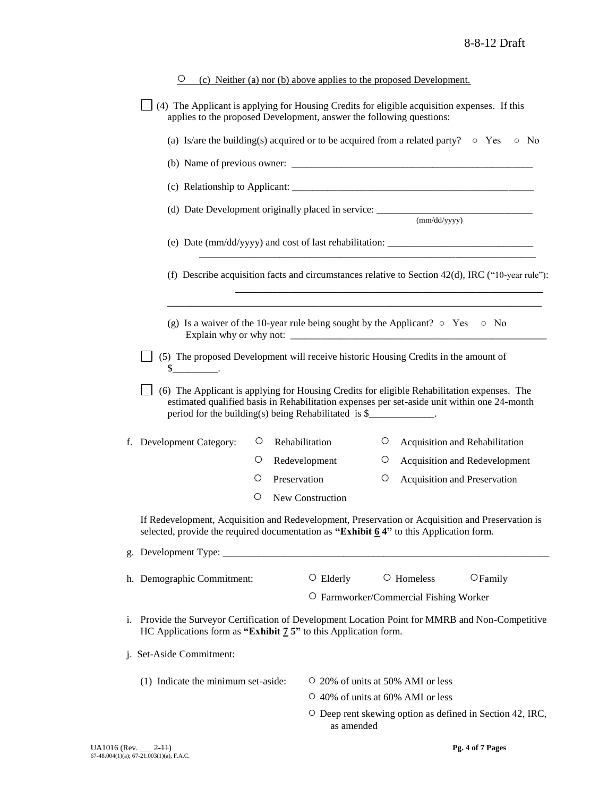|                                                                                                                                                                                                                                                                                                                                                                                                                                                                                                                                                                                                                                                                                                                                                                                                                                                                    | $\cup$                                                                                                                                                                                                                                                   |                   |              | (c) Neither (a) nor (b) above applies to the proposed Development.                 |                                                                 |            |                                                                 |  |  |
|--------------------------------------------------------------------------------------------------------------------------------------------------------------------------------------------------------------------------------------------------------------------------------------------------------------------------------------------------------------------------------------------------------------------------------------------------------------------------------------------------------------------------------------------------------------------------------------------------------------------------------------------------------------------------------------------------------------------------------------------------------------------------------------------------------------------------------------------------------------------|----------------------------------------------------------------------------------------------------------------------------------------------------------------------------------------------------------------------------------------------------------|-------------------|--------------|------------------------------------------------------------------------------------|-----------------------------------------------------------------|------------|-----------------------------------------------------------------|--|--|
|                                                                                                                                                                                                                                                                                                                                                                                                                                                                                                                                                                                                                                                                                                                                                                                                                                                                    | (4) The Applicant is applying for Housing Credits for eligible acquisition expenses. If this<br>applies to the proposed Development, answer the following questions:                                                                                     |                   |              |                                                                                    |                                                                 |            |                                                                 |  |  |
|                                                                                                                                                                                                                                                                                                                                                                                                                                                                                                                                                                                                                                                                                                                                                                                                                                                                    | (a) Is/are the building(s) acquired or to be acquired from a related party? $\circ$ Yes<br>$\circ$ No                                                                                                                                                    |                   |              |                                                                                    |                                                                 |            |                                                                 |  |  |
|                                                                                                                                                                                                                                                                                                                                                                                                                                                                                                                                                                                                                                                                                                                                                                                                                                                                    |                                                                                                                                                                                                                                                          |                   |              |                                                                                    |                                                                 |            |                                                                 |  |  |
|                                                                                                                                                                                                                                                                                                                                                                                                                                                                                                                                                                                                                                                                                                                                                                                                                                                                    |                                                                                                                                                                                                                                                          |                   |              |                                                                                    |                                                                 |            |                                                                 |  |  |
|                                                                                                                                                                                                                                                                                                                                                                                                                                                                                                                                                                                                                                                                                                                                                                                                                                                                    |                                                                                                                                                                                                                                                          |                   |              |                                                                                    |                                                                 |            |                                                                 |  |  |
|                                                                                                                                                                                                                                                                                                                                                                                                                                                                                                                                                                                                                                                                                                                                                                                                                                                                    | (e) Date (mm/dd/yyyy) and cost of last rehabilitation: __________________________<br>(f) Describe acquisition facts and circumstances relative to Section $42(d)$ , IRC ("10-year rule"):<br><u> 1989 - Johann Stein, Amerikaansk politiker (* 1989)</u> |                   |              |                                                                                    |                                                                 |            |                                                                 |  |  |
|                                                                                                                                                                                                                                                                                                                                                                                                                                                                                                                                                                                                                                                                                                                                                                                                                                                                    |                                                                                                                                                                                                                                                          |                   |              |                                                                                    |                                                                 |            |                                                                 |  |  |
| (g) Is a waiver of the 10-year rule being sought by the Applicant? $\circ$ Yes $\circ$ No<br>(5) The proposed Development will receive historic Housing Credits in the amount of<br>$\frac{\S_{\frac{1}{2}}}{\S_{\frac{1}{2}}}\frac{\S_{\frac{1}{2}}}{\S_{\frac{1}{2}}}\frac{\S_{\frac{1}{2}}}{\S_{\frac{1}{2}}}\frac{\S_{\frac{1}{2}}}{\S_{\frac{1}{2}}}\frac{\S_{\frac{1}{2}}}{\S_{\frac{1}{2}}}\frac{\S_{\frac{1}{2}}}{\S_{\frac{1}{2}}}\frac{\S_{\frac{1}{2}}}{\S_{\frac{1}{2}}}\frac{\S_{\frac{1}{2}}}{\S_{\frac{1}{2}}}\frac{\S_{\frac{1}{2}}}{\S_{\frac{1}{2}}}\frac{\S_{\frac{1}{2}}}{$<br>(6) The Applicant is applying for Housing Credits for eligible Rehabilitation expenses. The<br>estimated qualified basis in Rehabilitation expenses per set-aside unit within one 24-month<br>period for the building(s) being Rehabilitated is \$____________. |                                                                                                                                                                                                                                                          |                   |              |                                                                                    |                                                                 |            |                                                                 |  |  |
|                                                                                                                                                                                                                                                                                                                                                                                                                                                                                                                                                                                                                                                                                                                                                                                                                                                                    | f. Development Category:                                                                                                                                                                                                                                 | $\cup$<br>$\circ$ |              | Rehabilitation<br>Redevelopment                                                    | O.<br>Ő                                                         |            | Acquisition and Rehabilitation<br>Acquisition and Redevelopment |  |  |
|                                                                                                                                                                                                                                                                                                                                                                                                                                                                                                                                                                                                                                                                                                                                                                                                                                                                    |                                                                                                                                                                                                                                                          | Ő                 | Preservation |                                                                                    | О                                                               |            | Acquisition and Preservation                                    |  |  |
|                                                                                                                                                                                                                                                                                                                                                                                                                                                                                                                                                                                                                                                                                                                                                                                                                                                                    |                                                                                                                                                                                                                                                          | O                 |              | New Construction                                                                   |                                                                 |            |                                                                 |  |  |
|                                                                                                                                                                                                                                                                                                                                                                                                                                                                                                                                                                                                                                                                                                                                                                                                                                                                    | If Redevelopment, Acquisition and Redevelopment, Preservation or Acquisition and Preservation is<br>selected, provide the required documentation as "Exhibit $6.4$ " to this Application form.                                                           |                   |              |                                                                                    |                                                                 |            |                                                                 |  |  |
|                                                                                                                                                                                                                                                                                                                                                                                                                                                                                                                                                                                                                                                                                                                                                                                                                                                                    |                                                                                                                                                                                                                                                          |                   |              |                                                                                    |                                                                 |            |                                                                 |  |  |
|                                                                                                                                                                                                                                                                                                                                                                                                                                                                                                                                                                                                                                                                                                                                                                                                                                                                    | h. Demographic Commitment:                                                                                                                                                                                                                               |                   |              | $\circ$ Elderly                                                                    |                                                                 | O Homeless | $\bigcirc$ Family                                               |  |  |
|                                                                                                                                                                                                                                                                                                                                                                                                                                                                                                                                                                                                                                                                                                                                                                                                                                                                    | O Farmworker/Commercial Fishing Worker<br>i. Provide the Surveyor Certification of Development Location Point for MMRB and Non-Competitive<br>HC Applications form as "Exhibit $7.5$ " to this Application form.                                         |                   |              |                                                                                    |                                                                 |            |                                                                 |  |  |
|                                                                                                                                                                                                                                                                                                                                                                                                                                                                                                                                                                                                                                                                                                                                                                                                                                                                    | j. Set-Aside Commitment:                                                                                                                                                                                                                                 |                   |              |                                                                                    |                                                                 |            |                                                                 |  |  |
| (1) Indicate the minimum set-aside:                                                                                                                                                                                                                                                                                                                                                                                                                                                                                                                                                                                                                                                                                                                                                                                                                                |                                                                                                                                                                                                                                                          |                   |              | $\circ$ 20% of units at 50% AMI or less<br>$\circ$ 40% of units at 60% AMI or less | $\circ$ Deep rent skewing option as defined in Section 42, IRC, |            |                                                                 |  |  |
| as amended                                                                                                                                                                                                                                                                                                                                                                                                                                                                                                                                                                                                                                                                                                                                                                                                                                                         |                                                                                                                                                                                                                                                          |                   |              |                                                                                    |                                                                 |            |                                                                 |  |  |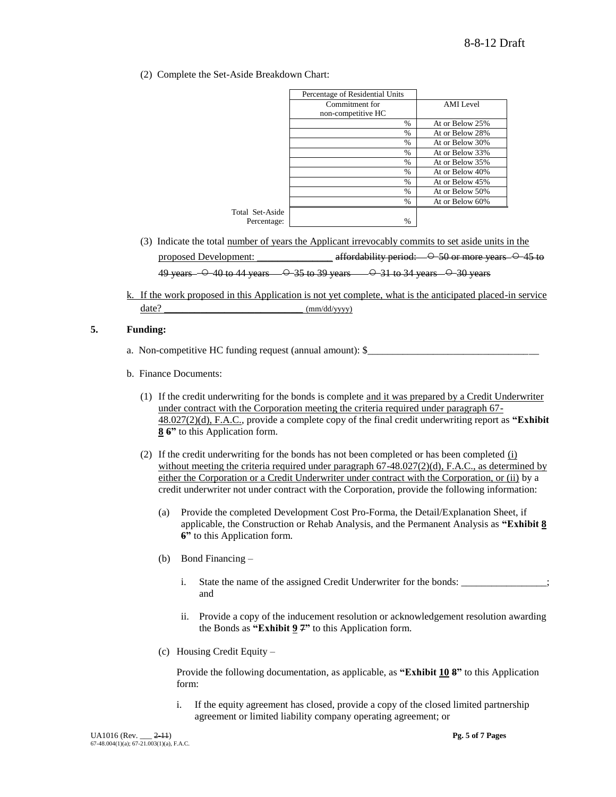(2) Complete the Set-Aside Breakdown Chart:

|                 | Percentage of Residential Units |                 |
|-----------------|---------------------------------|-----------------|
|                 | Commitment for                  | AMI Level       |
|                 | non-competitive HC              |                 |
|                 | %                               | At or Below 25% |
|                 | %                               | At or Below 28% |
|                 | $\frac{0}{0}$                   | At or Below 30% |
|                 | $\%$                            | At or Below 33% |
|                 | $\frac{0}{0}$                   | At or Below 35% |
|                 | $\frac{0}{0}$                   | At or Below 40% |
|                 | %                               | At or Below 45% |
|                 | $\frac{0}{0}$                   | At or Below 50% |
|                 | $\frac{0}{0}$                   | At or Below 60% |
| Total Set-Aside |                                 |                 |
| Percentage:     | $\%$                            |                 |

- (3) Indicate the total number of years the Applicant irrevocably commits to set aside units in the proposed Development:  $\frac{\text{affordability period:} \leftarrow \text{O} - 50 \text{ or more years.} \leftarrow \text{O} - 45 \text{ to}}{\text{offordability period:} \leftarrow \text{O} - 50 \text{ or more years.} \leftarrow \text{O} - 45 \text{ to}}$ 49 years  $-$  40 to 44 years  $35$  to 39 years  $31$  to 34 years  $30$  years
- k. If the work proposed in this Application is not yet complete, what is the anticipated placed-in service  $date?$  (mm/dd/yyyy)

## **5. Funding:**

- a. Non-competitive HC funding request (annual amount): \$\_\_\_\_\_\_\_\_\_\_\_\_\_\_\_\_\_\_\_\_\_\_\_\_
- b. Finance Documents:
	- (1) If the credit underwriting for the bonds is complete and it was prepared by a Credit Underwriter under contract with the Corporation meeting the criteria required under paragraph 67- 48.027(2)(d), F.A.C., provide a complete copy of the final credit underwriting report as **"Exhibit 8 6"** to this Application form.
	- (2) If the credit underwriting for the bonds has not been completed or has been completed (i) without meeting the criteria required under paragraph  $67-48.027(2)(d)$ , F.A.C., as determined by either the Corporation or a Credit Underwriter under contract with the Corporation, or (ii) by a credit underwriter not under contract with the Corporation, provide the following information:
		- (a) Provide the completed Development Cost Pro-Forma, the Detail/Explanation Sheet, if applicable, the Construction or Rehab Analysis, and the Permanent Analysis as **"Exhibit 8 6"** to this Application form.
		- (b) Bond Financing
			- i. State the name of the assigned Credit Underwriter for the bonds: \_\_\_\_\_\_\_\_\_\_\_\_\_; and
			- ii. Provide a copy of the inducement resolution or acknowledgement resolution awarding the Bonds as **"Exhibit 9 7"** to this Application form.
		- (c) Housing Credit Equity –

Provide the following documentation, as applicable, as **"Exhibit 10 8"** to this Application form:

i. If the equity agreement has closed, provide a copy of the closed limited partnership agreement or limited liability company operating agreement; or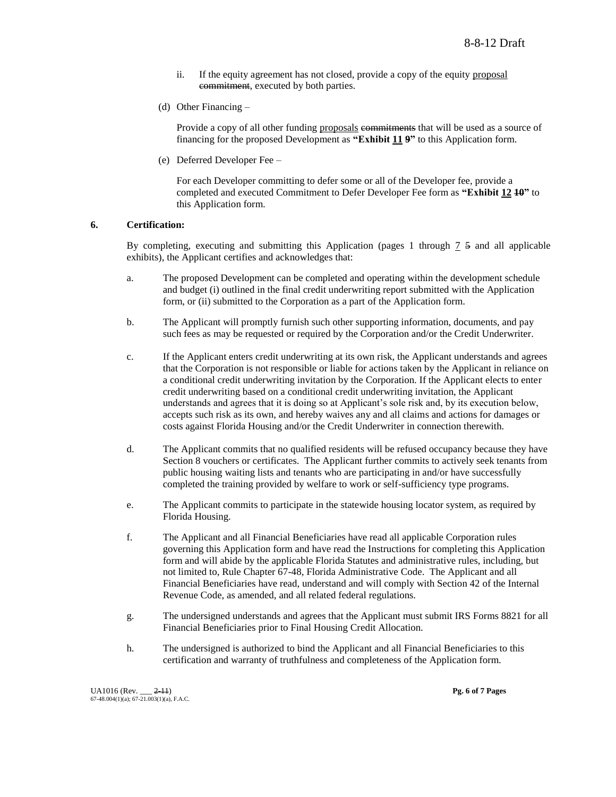- ii. If the equity agreement has not closed, provide a copy of the equity proposal commitment, executed by both parties.
- (d) Other Financing –

Provide a copy of all other funding proposals commitments that will be used as a source of financing for the proposed Development as **"Exhibit 11 9"** to this Application form.

(e) Deferred Developer Fee –

For each Developer committing to defer some or all of the Developer fee, provide a completed and executed Commitment to Defer Developer Fee form as **"Exhibit 12 10"** to this Application form.

#### **6. Certification:**

By completing, executing and submitting this Application (pages 1 through 7 5 and all applicable exhibits), the Applicant certifies and acknowledges that:

- a. The proposed Development can be completed and operating within the development schedule and budget (i) outlined in the final credit underwriting report submitted with the Application form, or (ii) submitted to the Corporation as a part of the Application form.
- b. The Applicant will promptly furnish such other supporting information, documents, and pay such fees as may be requested or required by the Corporation and/or the Credit Underwriter.
- c. If the Applicant enters credit underwriting at its own risk, the Applicant understands and agrees that the Corporation is not responsible or liable for actions taken by the Applicant in reliance on a conditional credit underwriting invitation by the Corporation. If the Applicant elects to enter credit underwriting based on a conditional credit underwriting invitation, the Applicant understands and agrees that it is doing so at Applicant"s sole risk and, by its execution below, accepts such risk as its own, and hereby waives any and all claims and actions for damages or costs against Florida Housing and/or the Credit Underwriter in connection therewith.
- d. The Applicant commits that no qualified residents will be refused occupancy because they have Section 8 vouchers or certificates. The Applicant further commits to actively seek tenants from public housing waiting lists and tenants who are participating in and/or have successfully completed the training provided by welfare to work or self-sufficiency type programs.
- e. The Applicant commits to participate in the statewide housing locator system, as required by Florida Housing.
- f. The Applicant and all Financial Beneficiaries have read all applicable Corporation rules governing this Application form and have read the Instructions for completing this Application form and will abide by the applicable Florida Statutes and administrative rules, including, but not limited to, Rule Chapter 67-48, Florida Administrative Code. The Applicant and all Financial Beneficiaries have read, understand and will comply with Section 42 of the Internal Revenue Code, as amended, and all related federal regulations.
- g. The undersigned understands and agrees that the Applicant must submit IRS Forms 8821 for all Financial Beneficiaries prior to Final Housing Credit Allocation.
- h. The undersigned is authorized to bind the Applicant and all Financial Beneficiaries to this certification and warranty of truthfulness and completeness of the Application form.